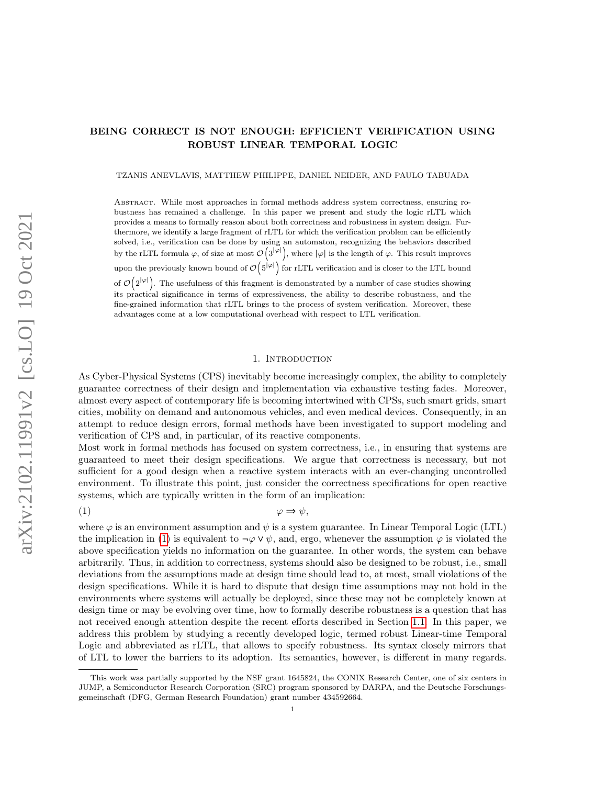TZANIS ANEVLAVIS, MATTHEW PHILIPPE, DANIEL NEIDER, AND PAULO TABUADA

Abstract. While most approaches in formal methods address system correctness, ensuring robustness has remained a challenge. In this paper we present and study the logic rLTL which provides a means to formally reason about both correctness and robustness in system design. Furthermore, we identify a large fragment of rLTL for which the verification problem can be efficiently solved, i.e., verification can be done by using an automaton, recognizing the behaviors described by the rLTL formula  $\varphi$ , of size at most  $\mathcal{O}(3^{|\varphi|})$ , where  $|\varphi|$  is the length of  $\varphi$ . This result improves upon the previously known bound of  $\mathcal{O}(5^{|\varphi|})$  for rLTL verification and is closer to the LTL bound of  $\mathcal{O}(2^{|\varphi|})$ . The usefulness of this fragment is demonstrated by a number of case studies showing its practical significance in terms of expressiveness, the ability to describe robustness, and the fine-grained information that rLTL brings to the process of system verification. Moreover, these advantages come at a low computational overhead with respect to LTL verification.

# <span id="page-0-0"></span>1. INTRODUCTION

As Cyber-Physical Systems (CPS) inevitably become increasingly complex, the ability to completely guarantee correctness of their design and implementation via exhaustive testing fades. Moreover, almost every aspect of contemporary life is becoming intertwined with CPSs, such smart grids, smart cities, mobility on demand and autonomous vehicles, and even medical devices. Consequently, in an attempt to reduce design errors, formal methods have been investigated to support modeling and verification of CPS and, in particular, of its reactive components.

Most work in formal methods has focused on system correctness, i.e., in ensuring that systems are guaranteed to meet their design specifications. We argue that correctness is necessary, but not sufficient for a good design when a reactive system interacts with an ever-changing uncontrolled environment. To illustrate this point, just consider the correctness specifications for open reactive systems, which are typically written in the form of an implication:

(1)  $\qquad \qquad \varphi \Rightarrow \psi,$ 

where  $\varphi$  is an environment assumption and  $\psi$  is a system guarantee. In Linear Temporal Logic (LTL) the implication in [\(1\)](#page-0-0) is equivalent to  $\neg \varphi \vee \psi$ , and, ergo, whenever the assumption  $\varphi$  is violated the above specification yields no information on the guarantee. In other words, the system can behave arbitrarily. Thus, in addition to correctness, systems should also be designed to be robust, i.e., small deviations from the assumptions made at design time should lead to, at most, small violations of the design specifications. While it is hard to dispute that design time assumptions may not hold in the environments where systems will actually be deployed, since these may not be completely known at design time or may be evolving over time, how to formally describe robustness is a question that has not received enough attention despite the recent efforts described in Section [1.1.](#page-1-0) In this paper, we address this problem by studying a recently developed logic, termed robust Linear-time Temporal Logic and abbreviated as rLTL, that allows to specify robustness. Its syntax closely mirrors that of LTL to lower the barriers to its adoption. Its semantics, however, is different in many regards.

This work was partially supported by the NSF grant 1645824, the CONIX Research Center, one of six centers in JUMP, a Semiconductor Research Corporation (SRC) program sponsored by DARPA, and the Deutsche Forschungsgemeinschaft (DFG, German Research Foundation) grant number 434592664.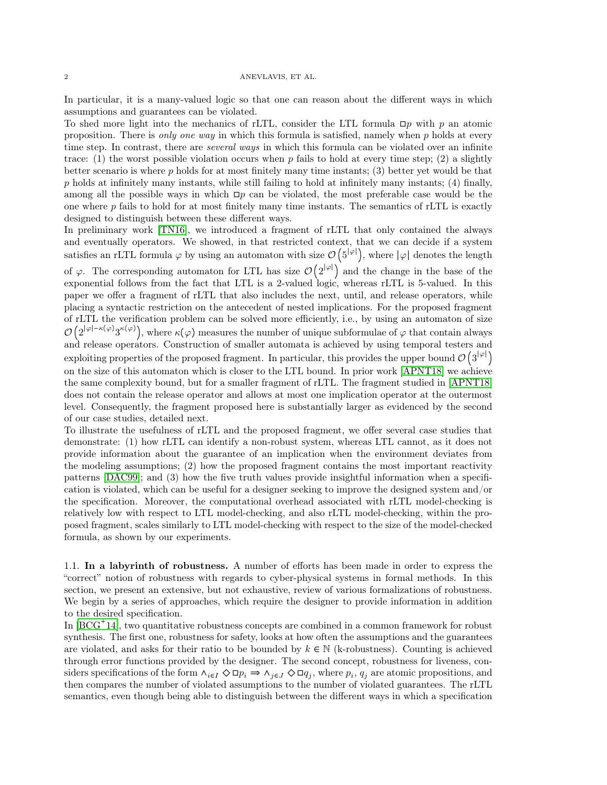In particular, it is a many-valued logic so that one can reason about the different ways in which assumptions and guarantees can be violated.

To shed more light into the mechanics of rLTL, consider the LTL formula  $\Box p$  with p an atomic proposition. There is only one way in which this formula is satisfied, namely when  $p$  holds at every time step. In contrast, there are *several ways* in which this formula can be violated over an infinite trace: (1) the worst possible violation occurs when p fails to hold at every time step; (2) a slightly better scenario is where p holds for at most finitely many time instants; (3) better yet would be that  $p$  holds at infinitely many instants, while still failing to hold at infinitely many instants; (4) finally, among all the possible ways in which  $\Box p$  can be violated, the most preferable case would be the one where p fails to hold for at most finitely many time instants. The semantics of rLTL is exactly designed to distinguish between these different ways.

In preliminary work [\[TN16\]](#page-32-0), we introduced a fragment of rLTL that only contained the always and eventually operators. We showed, in that restricted context, that we can decide if a system satisfies an rLTL formula  $\varphi$  by using an automaton with size  $\mathcal{O}(5^{|\varphi|})$ , where  $|\varphi|$  denotes the length of  $\varphi$ . The corresponding automaton for LTL has size  $\mathcal{O}(2^{|\varphi|})$  and the change in the base of the exponential follows from the fact that LTL is a 2-valued logic, whereas rLTL is 5-valued. In this paper we offer a fragment of rLTL that also includes the next, until, and release operators, while placing a syntactic restriction on the antecedent of nested implications. For the proposed fragment of rLTL the verification problem can be solved more efficiently, i.e., by using an automaton of size  $\mathcal{O}(2^{|\varphi|-\kappa(\varphi)}3^{\kappa(\varphi)})$ , where  $\kappa(\varphi)$  measures the number of unique subformulae of  $\varphi$  that contain always and release operators. Construction of smaller automata is achieved by using temporal testers and exploiting properties of the proposed fragment. In particular, this provides the upper bound  $\mathcal{O}(3^{|\varphi|})$ on the size of this automaton which is closer to the LTL bound. In prior work [\[APNT18\]](#page-30-0) we achieve the same complexity bound, but for a smaller fragment of rLTL. The fragment studied in [\[APNT18\]](#page-30-0) does not contain the release operator and allows at most one implication operator at the outermost level. Consequently, the fragment proposed here is substantially larger as evidenced by the second of our case studies, detailed next.

To illustrate the usefulness of rLTL and the proposed fragment, we offer several case studies that demonstrate: (1) how rLTL can identify a non-robust system, whereas LTL cannot, as it does not provide information about the guarantee of an implication when the environment deviates from the modeling assumptions; (2) how the proposed fragment contains the most important reactivity patterns [\[DAC99\]](#page-31-0); and (3) how the five truth values provide insightful information when a specification is violated, which can be useful for a designer seeking to improve the designed system and/or the specification. Moreover, the computational overhead associated with rLTL model-checking is relatively low with respect to LTL model-checking, and also rLTL model-checking, within the proposed fragment, scales similarly to LTL model-checking with respect to the size of the model-checked formula, as shown by our experiments.

<span id="page-1-0"></span>1.1. In a labyrinth of robustness. A number of efforts has been made in order to express the "correct" notion of robustness with regards to cyber-physical systems in formal methods. In this section, we present an extensive, but not exhaustive, review of various formalizations of robustness. We begin by a series of approaches, which require the designer to provide information in addition to the desired specification.

In [\[BCG](#page-30-1)<sup>+</sup>14], two quantitative robustness concepts are combined in a common framework for robust synthesis. The first one, robustness for safety, looks at how often the assumptions and the guarantees are violated, and asks for their ratio to be bounded by  $k \in \mathbb{N}$  (k-robustness). Counting is achieved through error functions provided by the designer. The second concept, robustness for liveness, considers specifications of the form  $\land_{i \in I} \Diamond \Box p_i \Rightarrow \land_{j \in J} \Diamond \Box q_j$ , where  $p_i$ ,  $q_j$  are atomic propositions, and then compares the number of violated assumptions to the number of violated guarantees. The rLTL semantics, even though being able to distinguish between the different ways in which a specification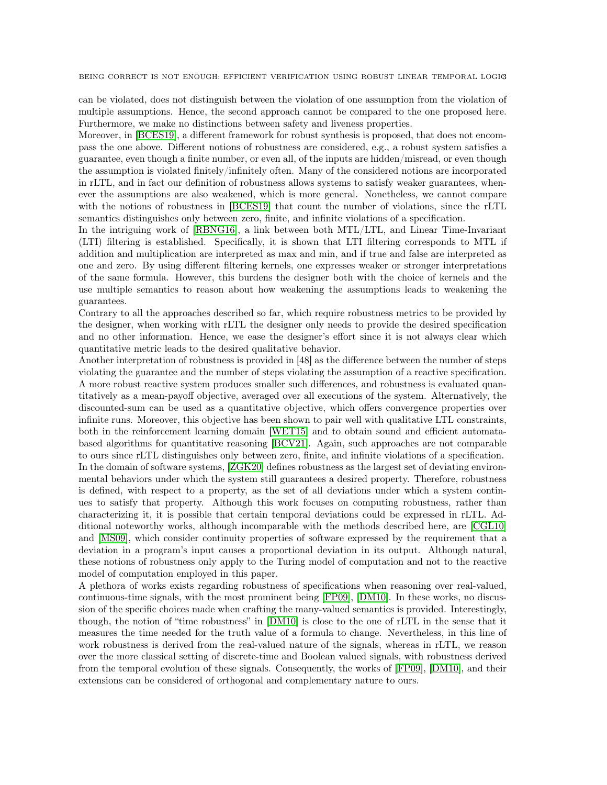can be violated, does not distinguish between the violation of one assumption from the violation of multiple assumptions. Hence, the second approach cannot be compared to the one proposed here. Furthermore, we make no distinctions between safety and liveness properties.

Moreover, in [\[BCES19\]](#page-30-2), a different framework for robust synthesis is proposed, that does not encompass the one above. Different notions of robustness are considered, e.g., a robust system satisfies a guarantee, even though a finite number, or even all, of the inputs are hidden/misread, or even though the assumption is violated finitely/infinitely often. Many of the considered notions are incorporated in rLTL, and in fact our definition of robustness allows systems to satisfy weaker guarantees, whenever the assumptions are also weakened, which is more general. Nonetheless, we cannot compare with the notions of robustness in [\[BCES19\]](#page-30-2) that count the number of violations, since the rLTL semantics distinguishes only between zero, finite, and infinite violations of a specification.

In the intriguing work of [\[RBNG16\]](#page-32-1), a link between both MTL/LTL, and Linear Time-Invariant (LTI) filtering is established. Specifically, it is shown that LTI filtering corresponds to MTL if addition and multiplication are interpreted as max and min, and if true and false are interpreted as one and zero. By using different filtering kernels, one expresses weaker or stronger interpretations of the same formula. However, this burdens the designer both with the choice of kernels and the use multiple semantics to reason about how weakening the assumptions leads to weakening the guarantees.

Contrary to all the approaches described so far, which require robustness metrics to be provided by the designer, when working with rLTL the designer only needs to provide the desired specification and no other information. Hence, we ease the designer's effort since it is not always clear which quantitative metric leads to the desired qualitative behavior.

Another interpretation of robustness is provided in [48] as the difference between the number of steps violating the guarantee and the number of steps violating the assumption of a reactive specification. A more robust reactive system produces smaller such differences, and robustness is evaluated quantitatively as a mean-payoff objective, averaged over all executions of the system. Alternatively, the discounted-sum can be used as a quantitative objective, which offers convergence properties over infinite runs. Moreover, this objective has been shown to pair well with qualitative LTL constraints, both in the reinforcement learning domain [\[WET15\]](#page-32-2) and to obtain sound and efficient automatabased algorithms for quantitative reasoning [\[BCV21\]](#page-30-3). Again, such approaches are not comparable to ours since rLTL distinguishes only between zero, finite, and infinite violations of a specification. In the domain of software systems, [\[ZGK20\]](#page-32-3) defines robustness as the largest set of deviating environmental behaviors under which the system still guarantees a desired property. Therefore, robustness is defined, with respect to a property, as the set of all deviations under which a system continues to satisfy that property. Although this work focuses on computing robustness, rather than characterizing it, it is possible that certain temporal deviations could be expressed in rLTL. Additional noteworthy works, although incomparable with the methods described here, are [\[CGL10\]](#page-31-1) and [\[MS09\]](#page-31-2), which consider continuity properties of software expressed by the requirement that a deviation in a program's input causes a proportional deviation in its output. Although natural, these notions of robustness only apply to the Turing model of computation and not to the reactive model of computation employed in this paper.

A plethora of works exists regarding robustness of specifications when reasoning over real-valued, continuous-time signals, with the most prominent being [\[FP09\]](#page-31-3), [\[DM10\]](#page-31-4). In these works, no discussion of the specific choices made when crafting the many-valued semantics is provided. Interestingly, though, the notion of "time robustness" in [\[DM10\]](#page-31-4) is close to the one of rLTL in the sense that it measures the time needed for the truth value of a formula to change. Nevertheless, in this line of work robustness is derived from the real-valued nature of the signals, whereas in rLTL, we reason over the more classical setting of discrete-time and Boolean valued signals, with robustness derived from the temporal evolution of these signals. Consequently, the works of [\[FP09\]](#page-31-3), [\[DM10\]](#page-31-4), and their extensions can be considered of orthogonal and complementary nature to ours.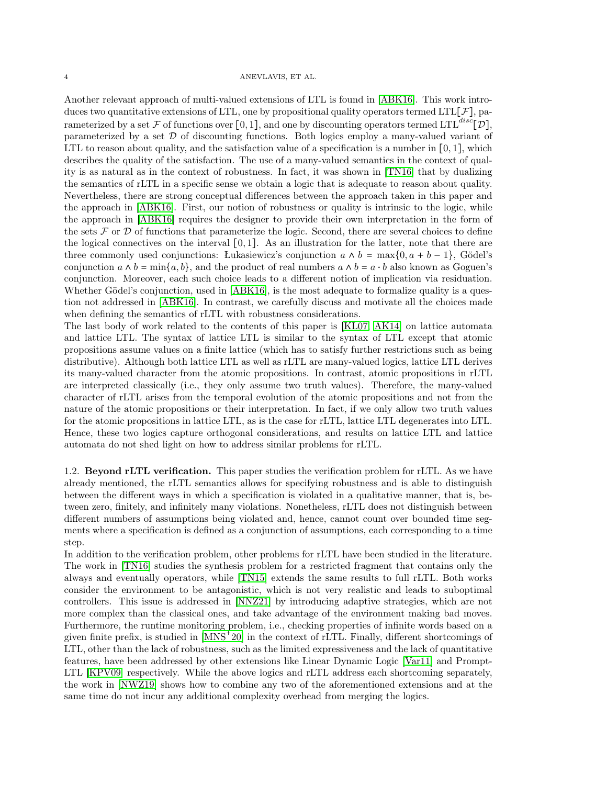Another relevant approach of multi-valued extensions of LTL is found in [\[ABK16\]](#page-30-4). This work introduces two quantitative extensions of LTL, one by propositional quality operators termed LTL[ $\mathcal{F}$ ], parameterized by a set F of functions over [0, 1], and one by discounting operators termed LTL<sup>disc</sup>[D], parameterized by a set  $D$  of discounting functions. Both logics employ a many-valued variant of LTL to reason about quality, and the satisfaction value of a specification is a number in  $[0, 1]$ , which describes the quality of the satisfaction. The use of a many-valued semantics in the context of quality is as natural as in the context of robustness. In fact, it was shown in [\[TN16\]](#page-32-0) that by dualizing the semantics of rLTL in a specific sense we obtain a logic that is adequate to reason about quality. Nevertheless, there are strong conceptual differences between the approach taken in this paper and the approach in [\[ABK16\]](#page-30-4). First, our notion of robustness or quality is intrinsic to the logic, while the approach in [\[ABK16\]](#page-30-4) requires the designer to provide their own interpretation in the form of the sets  $\mathcal F$  or  $\mathcal D$  of functions that parameterize the logic. Second, there are several choices to define the logical connectives on the interval [0, 1]. As an illustration for the latter, note that there are three commonly used conjunctions: Łukasiewicz's conjunction  $a \wedge b = \max\{0, a + b - 1\}$ , Gödel's conjunction  $a \wedge b = \min\{a, b\}$ , and the product of real numbers  $a \wedge b = a \cdot b$  also known as Goguen's conjunction. Moreover, each such choice leads to a different notion of implication via residuation. Whether Gödel's conjunction, used in [\[ABK16\]](#page-30-4), is the most adequate to formalize quality is a question not addressed in [\[ABK16\]](#page-30-4). In contrast, we carefully discuss and motivate all the choices made when defining the semantics of rLTL with robustness considerations.

The last body of work related to the contents of this paper is [\[KL07,](#page-31-5) [AK14\]](#page-30-5) on lattice automata and lattice LTL. The syntax of lattice LTL is similar to the syntax of LTL except that atomic propositions assume values on a finite lattice (which has to satisfy further restrictions such as being distributive). Although both lattice LTL as well as rLTL are many-valued logics, lattice LTL derives its many-valued character from the atomic propositions. In contrast, atomic propositions in rLTL are interpreted classically (i.e., they only assume two truth values). Therefore, the many-valued character of rLTL arises from the temporal evolution of the atomic propositions and not from the nature of the atomic propositions or their interpretation. In fact, if we only allow two truth values for the atomic propositions in lattice LTL, as is the case for rLTL, lattice LTL degenerates into LTL. Hence, these two logics capture orthogonal considerations, and results on lattice LTL and lattice automata do not shed light on how to address similar problems for rLTL.

1.2. Beyond rLTL verification. This paper studies the verification problem for rLTL. As we have already mentioned, the rLTL semantics allows for specifying robustness and is able to distinguish between the different ways in which a specification is violated in a qualitative manner, that is, between zero, finitely, and infinitely many violations. Nonetheless, rLTL does not distinguish between different numbers of assumptions being violated and, hence, cannot count over bounded time segments where a specification is defined as a conjunction of assumptions, each corresponding to a time step.

In addition to the verification problem, other problems for rLTL have been studied in the literature. The work in [\[TN16\]](#page-32-0) studies the synthesis problem for a restricted fragment that contains only the always and eventually operators, while [\[TN15\]](#page-32-4) extends the same results to full rLTL. Both works consider the environment to be antagonistic, which is not very realistic and leads to suboptimal controllers. This issue is addressed in [\[NNZ21\]](#page-31-6) by introducing adaptive strategies, which are not more complex than the classical ones, and take advantage of the environment making bad moves. Furthermore, the runtime monitoring problem, i.e., checking properties of infinite words based on a given finite prefix, is studied in [\[MNS](#page-31-7)<sup>+</sup> 20] in the context of rLTL. Finally, different shortcomings of LTL, other than the lack of robustness, such as the limited expressiveness and the lack of quantitative features, have been addressed by other extensions like Linear Dynamic Logic [\[Var11\]](#page-32-5) and Prompt-LTL [\[KPV09\]](#page-31-8) respectively. While the above logics and rLTL address each shortcoming separately, the work in [\[NWZ19\]](#page-31-9) shows how to combine any two of the aforementioned extensions and at the same time do not incur any additional complexity overhead from merging the logics.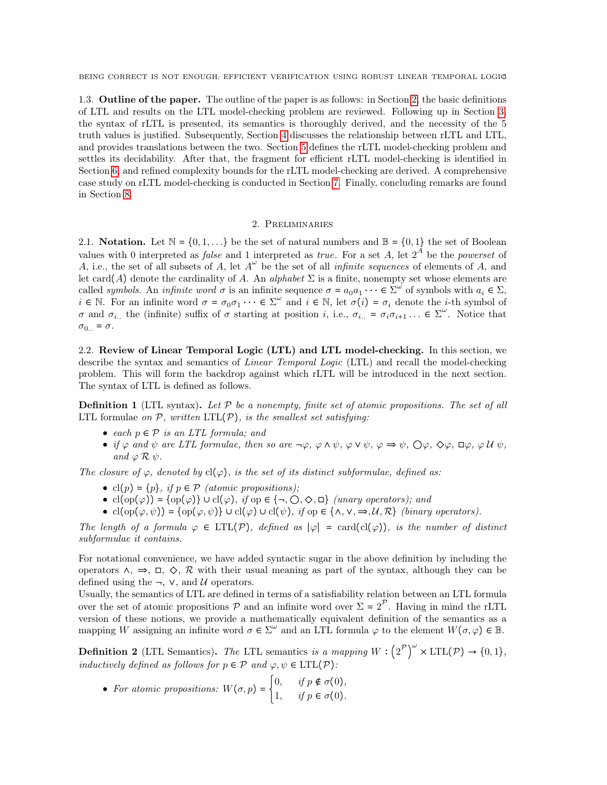1.3. Outline of the paper. The outline of the paper is as follows: in Section [2,](#page-4-0) the basic definitions of LTL and results on the LTL model-checking problem are reviewed. Following up in Section [3,](#page-6-0) the syntax of rLTL is presented, its semantics is thoroughly derived, and the necessity of the 5 truth values is justified. Subsequently, Section [4](#page-15-0) discusses the relationship between rLTL and LTL, and provides translations between the two. Section [5](#page-17-0) defines the rLTL model-checking problem and settles its decidability. After that, the fragment for efficient rLTL model-checking is identified in Section [6,](#page-18-0) and refined complexity bounds for the rLTL model-checking are derived. A comprehensive case study on rLTL model-checking is conducted in Section [7.](#page-25-0) Finally, concluding remarks are found in Section [8.](#page-30-6)

# 2. Preliminaries

<span id="page-4-0"></span>2.1. Notation. Let  $\mathbb{N} = \{0, 1, \ldots\}$  be the set of natural numbers and  $\mathbb{B} = \{0, 1\}$  the set of Boolean values with 0 interpreted as *false* and 1 interpreted as *true*. For a set A, let  $2^A$  be the *powerset* of A, i.e., the set of all subsets of A, let  $A^{\omega}$  be the set of all *infinite sequences* of elements of A, and let card(A) denote the cardinality of A. An alphabet  $\Sigma$  is a finite, nonempty set whose elements are called symbols. An infinite word  $\sigma$  is an infinite sequence  $\sigma = a_0 a_1 \cdots \in \Sigma^{\omega}$  of symbols with  $a_i \in \Sigma$ ,  $i \in \mathbb{N}$ . For an infinite word  $\sigma = \sigma_0 \sigma_1 \cdots \in \Sigma^{\omega}$  and  $i \in \mathbb{N}$ , let  $\sigma(i) = \sigma_i$  denote the *i*-th symbol of σ and  $\sigma_{i}$ , the (infinite) suffix of σ starting at position i, i.e.,  $\sigma_{i}$  =  $\sigma_{i}\sigma_{i+1}$ ...  $\in \Sigma^{\omega}$ . Notice that  $\sigma_{0..} = \sigma$ .

2.2. Review of Linear Temporal Logic (LTL) and LTL model-checking. In this section, we describe the syntax and semantics of *Linear Temporal Logic* (LTL) and recall the model-checking problem. This will form the backdrop against which rLTL will be introduced in the next section. The syntax of LTL is defined as follows.

**Definition 1** (LTL syntax). Let  $P$  be a nonempty, finite set of atomic propositions. The set of all LTL formulae on  $P$ , written LTL $(P)$ , is the smallest set satisfying:

- each  $p \in \mathcal{P}$  is an LTL formula; and
- if  $\varphi$  and  $\psi$  are LTL formulae, then so are  $\neg \varphi$ ,  $\varphi \wedge \psi$ ,  $\varphi \vee \psi$ ,  $\varphi \Rightarrow \psi$ ,  $\bigcirc \varphi$ ,  $\Diamond \varphi$ ,  $\Box \varphi$ ,  $\varphi \mathcal{U} \psi$ , and  $\varphi \mathcal{R} \psi$ .

The closure of  $\varphi$ , denoted by cl( $\varphi$ ), is the set of its distinct subformulae, defined as:

- cl(p) = {p}, if  $p \in \mathcal{P}$  (atomic propositions);
- cl(op( $\varphi$ )) = {op( $\varphi$ } ∪ cl( $\varphi$ ), if op  $\in \{\neg, \bigcirc, \Diamond, \Box\}$  (unary operators); and
- cl(op( $\varphi, \psi$ )) = {op( $\varphi, \psi$ } ∪ cl( $\varphi$ ) ∪ cl( $\psi$ ), if op  $\in \{\land, \lor, \Rightarrow, \mathcal{U}, \mathcal{R}\}$  (binary operators).

The length of a formula  $\varphi \in \text{LTL}(\mathcal{P})$ , defined as  $|\varphi| = \text{card}(\text{cl}(\varphi))$ , is the number of distinct subformulae it contains.

For notational convenience, we have added syntactic sugar in the above definition by including the operators  $\land$ ,  $\Rightarrow$ ,  $\Box$ ,  $\Diamond$ ,  $\mathcal{R}$  with their usual meaning as part of the syntax, although they can be defined using the  $\neg$ ,  $\nabla$ , and  $\mathcal{U}$  operators.

Usually, the semantics of LTL are defined in terms of a satisfiability relation between an LTL formula over the set of atomic propositions  $P$  and an infinite word over  $\Sigma = 2^P$ . Having in mind the rLTL version of these notions, we provide a mathematically equivalent definition of the semantics as a mapping W assigning an infinite word  $\sigma \in \Sigma^{\omega}$  and an LTL formula  $\varphi$  to the element  $W(\sigma, \varphi) \in \mathbb{B}$ .

**Definition 2** (LTL Semantics). The LTL semantics is a mapping  $W: \left(2^{\mathcal{P}}\right)^{\omega} \times \text{LTL}(\mathcal{P}) \rightarrow \{0,1\},\$ inductively defined as follows for  $p \in \mathcal{P}$  and  $\varphi, \psi \in \mathrm{LTL}(\mathcal{P})$ :

• For atomic propositions:  $W(\sigma, p) = \begin{cases} 0, & \text{if } p \notin \sigma(0), \\ 1, & \text{if } p \in \sigma(0) \end{cases}$ 1, if  $p \in \sigma(0)$ .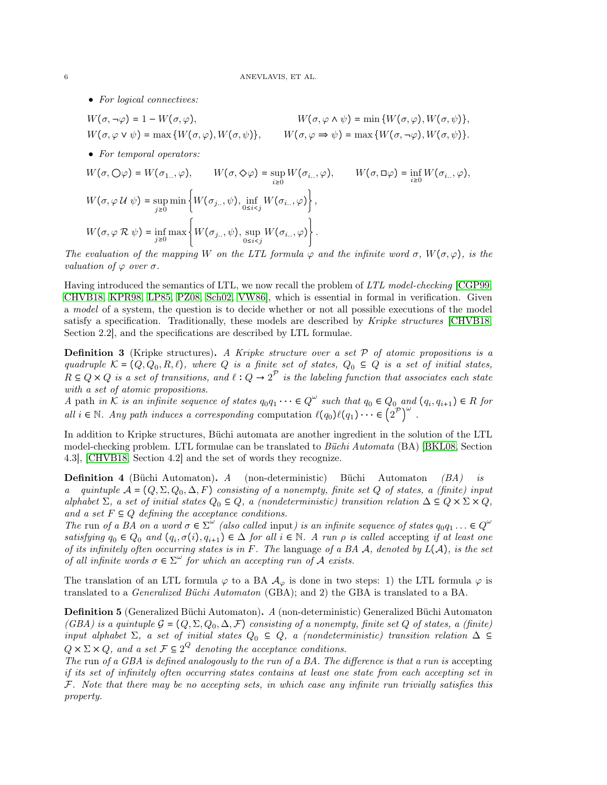• For logical connectives:

 $W(\sigma, \neg \varphi) = 1 - W(\sigma, \varphi),$   $W(\sigma, \varphi \wedge \psi) = \min \{W(\sigma, \varphi), W(\sigma, \psi)\},$  $W(\sigma, \varphi \vee \psi) = \max \{W(\sigma, \varphi), W(\sigma, \psi)\}, \qquad W(\sigma, \varphi \Rightarrow \psi) = \max \{W(\sigma, \neg \varphi), W(\sigma, \psi)\}.$ 

• For temporal operators:

$$
W(\sigma, \bigcirc \varphi) = W(\sigma_{1...}, \varphi), \qquad W(\sigma, \Diamond \varphi) = \sup_{i \ge 0} W(\sigma_{i...}, \varphi), \qquad W(\sigma, \Box \varphi) = \inf_{i \ge 0} W(\sigma_{i...}, \varphi),
$$
  

$$
W(\sigma, \varphi \cup \psi) = \sup_{j \ge 0} \min \left\{ W(\sigma_{j...}, \psi), \inf_{0 \le i < j} W(\sigma_{i...}, \varphi) \right\},
$$
  

$$
W(\sigma, \varphi \cap \negthickspace \negthickspace R \psi) = \inf_{j \ge 0} \max \left\{ W(\sigma_{j...}, \psi), \sup_{0 \le i < j} W(\sigma_{i...}, \varphi) \right\}.
$$

The evaluation of the mapping W on the LTL formula  $\varphi$  and the infinite word  $\sigma$ ,  $W(\sigma, \varphi)$ , is the valuation of  $\varphi$  over  $\sigma$ .

Having introduced the semantics of LTL, we now recall the problem of LTL model-checking [\[CGP99,](#page-31-10) [CHVB18,](#page-31-11) [KPR98,](#page-31-12) [LP85,](#page-31-13) [PZ08,](#page-32-6) [Sch02,](#page-32-7) [VW86\]](#page-32-8), which is essential in formal in verification. Given a model of a system, the question is to decide whether or not all possible executions of the model satisfy a specification. Traditionally, these models are described by Kripke structures [\[CHVB18,](#page-31-11) Section 2.2], and the specifications are described by LTL formulae.

**Definition 3** (Kripke structures). A Kripke structure over a set  $P$  of atomic propositions is a quadruple  $\mathcal{K} = (Q, Q_0, R, \ell)$ , where Q is a finite set of states,  $Q_0 \subseteq Q$  is a set of initial states,  $R \subseteq Q \times Q$  is a set of transitions, and  $\ell : Q \to 2^{\mathcal{P}}$  is the labeling function that associates each state with a set of atomic propositions.

A path in  $\mathcal K$  is an infinite sequence of states  $q_0q_1\cdots\in Q^\omega$  such that  $q_0\in Q_0$  and  $(q_i,q_{i+1})\in R$  for all  $i \in \mathbb{N}$ . Any path induces a corresponding computation  $\ell(q_0)\ell(q_1) \cdots \in \binom{2^{\mathcal{P}}}{2}^{\omega}$ .

In addition to Kripke structures, Büchi automata are another ingredient in the solution of the LTL model-checking problem. LTL formulae can be translated to Büchi Automata (BA) [\[BKL08,](#page-30-7) Section 4.3], [\[CHVB18,](#page-31-11) Section 4.2] and the set of words they recognize.

Definition 4 (Büchi Automaton). A (non-deterministic) Büchi Automaton (BA) is a quintuple  $A = (Q, \Sigma, Q_0, \Delta, F)$  consisting of a nonempty, finite set Q of states, a (finite) input alphabet  $\Sigma$ , a set of initial states  $Q_0 \subseteq Q$ , a (nondeterministic) transition relation  $\Delta \subseteq Q \times \Sigma \times Q$ , and a set  $F \subseteq Q$  defining the acceptance conditions.

The run of a BA on a word  $\sigma \in \Sigma^{\omega}$  (also called input) is an infinite sequence of states  $q_0q_1 \ldots \in Q^{\omega}$ satisfying  $q_0 \in Q_0$  and  $(q_i, \sigma(i), q_{i+1}) \in \Delta$  for all  $i \in \mathbb{N}$ . A run  $\rho$  is called accepting if at least one of its infinitely often occurring states is in F. The language of a BA  $\mathcal{A}$ , denoted by  $L(\mathcal{A})$ , is the set of all infinite words  $\sigma \in \Sigma^{\omega}$  for which an accepting run of A exists.

The translation of an LTL formula  $\varphi$  to a BA  $\mathcal{A}_{\varphi}$  is done in two steps: 1) the LTL formula  $\varphi$  is translated to a Generalized Büchi Automaton (GBA); and 2) the GBA is translated to a BA.

Definition 5 (Generalized Büchi Automaton). A (non-deterministic) Generalized Büchi Automaton (GBA) is a quintuple  $G = (Q, \Sigma, Q_0, \Delta, \mathcal{F})$  consisting of a nonempty, finite set Q of states, a (finite) input alphabet  $\Sigma$ , a set of initial states  $Q_0 \subseteq Q$ , a (nondeterministic) transition relation  $\Delta \subseteq$  $Q \times \Sigma \times Q$ , and a set  $\mathcal{F} \subseteq 2^Q$  denoting the acceptance conditions.

The run of a GBA is defined analogously to the run of a BA. The difference is that a run is accepting if its set of infinitely often occurring states contains at least one state from each accepting set in  $F$ . Note that there may be no accepting sets, in which case any infinite run trivially satisfies this property.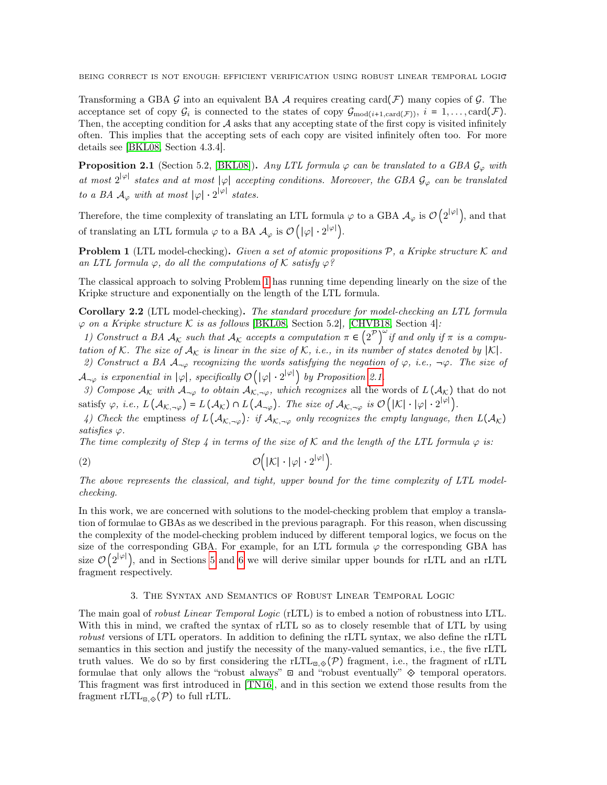Transforming a GBA G into an equivalent BA  $\mathcal A$  requires creating card $(\mathcal F)$  many copies of  $\mathcal G$ . The acceptance set of copy  $\mathcal{G}_i$  is connected to the states of copy  $\mathcal{G}_{\text{mod}(i+1,\text{card}(\mathcal{F}))}$ ,  $i = 1, \ldots, \text{card}(\mathcal{F})$ . Then, the accepting condition for  $A$  asks that any accepting state of the first copy is visited infinitely often. This implies that the accepting sets of each copy are visited infinitely often too. For more details see [\[BKL08,](#page-30-7) Section 4.3.4].

<span id="page-6-2"></span>**Proposition 2.1** (Section 5.2, [\[BKL08\]](#page-30-7)). Any LTL formula  $\varphi$  can be translated to a GBA  $\mathcal{G}_{\varphi}$  with at most  $2^{|\varphi|}$  states and at most  $|\varphi|$  accepting conditions. Moreover, the GBA  $\mathcal{G}_{\varphi}$  can be translated to a BA  $\mathcal{A}_{\varphi}$  with at most  $|\varphi| \cdot 2^{|\varphi|}$  states.

Therefore, the time complexity of translating an LTL formula  $\varphi$  to a GBA  $\mathcal{A}_{\varphi}$  is  $\mathcal{O}(2^{|\varphi|})$ , and that of translating an LTL formula  $\varphi$  to a BA  $\mathcal{A}_{\varphi}$  is  $\mathcal{O}(|\varphi|\cdot 2^{|\varphi|})$ .

<span id="page-6-1"></span>**Problem 1** (LTL model-checking). Given a set of atomic propositions  $P$ , a Kripke structure K and an LTL formula  $\varphi$ , do all the computations of K satisfy  $\varphi$ ?

The classical approach to solving Problem [1](#page-6-1) has running time depending linearly on the size of the Kripke structure and exponentially on the length of the LTL formula.

<span id="page-6-4"></span>Corollary 2.2 (LTL model-checking). The standard procedure for model-checking an LTL formula  $\varphi$  on a Kripke structure K is as follows [\[BKL08,](#page-30-7) Section 5.2], [\[CHVB18,](#page-31-11) Section 4]:

1) Construct a BA  $A_K$  such that  $A_K$  accepts a computation  $\pi \in (2^{\mathcal{P}})^{\omega}$  if and only if  $\pi$  is a computation of K. The size of  $A_K$  is linear in the size of K, i.e., in its number of states denoted by |K|.

2) Construct a BA  $A_{\neg\varphi}$  recognizing the words satisfying the negation of  $\varphi$ , i.e.,  $\neg\varphi$ . The size of  $\mathcal{A}_{\neg\varphi}$  is exponential in  $|\varphi|$ , specifically  $\mathcal{O}(|\varphi|\cdot 2^{|\varphi|})$  by Proposition [2.1.](#page-6-2)

3) Compose  $A_K$  with  $A_{\neg\varphi}$  to obtain  $A_{\mathcal{K},\neg\varphi}$ , which recognizes all the words of  $L(A_K)$  that do not satisfy  $\varphi$ , i.e.,  $L(\mathcal{A}_{\mathcal{K},\neg\varphi}) = L(\mathcal{A}_{\mathcal{K}}) \cap L(\mathcal{A}_{\neg\varphi})$ . The size of  $\mathcal{A}_{\mathcal{K},\neg\varphi}$  is  $\mathcal{O}(|\mathcal{K}|\cdot|\varphi|\cdot 2^{|\varphi|})$ .

4) Check the emptiness of  $L(\mathcal{A}_{\mathcal{K},\neg\varphi})$ : if  $\mathcal{A}_{\mathcal{K},\neg\varphi}$  only recognizes the empty language, then  $L(\mathcal{A}_{\mathcal{K}})$ satisfies  $\varphi$ .

The time complexity of Step 4 in terms of the size of  $K$  and the length of the LTL formula  $\varphi$  is:

<span id="page-6-3"></span>
$$
\mathcal{O}\Big(|\mathcal{K}| \cdot |\varphi| \cdot 2^{|\varphi|}\Big).
$$

The above represents the classical, and tight, upper bound for the time complexity of LTL modelchecking.

In this work, we are concerned with solutions to the model-checking problem that employ a translation of formulae to GBAs as we described in the previous paragraph. For this reason, when discussing the complexity of the model-checking problem induced by different temporal logics, we focus on the size of the corresponding GBA. For example, for an LTL formula  $\varphi$  the corresponding GBA has size  $\mathcal{O}(2^{|\varphi|})$ , and in Sections [5](#page-17-0) and [6](#page-18-0) we will derive similar upper bounds for rLTL and an rLTL fragment respectively.

### 3. The Syntax and Semantics of Robust Linear Temporal Logic

<span id="page-6-0"></span>The main goal of *robust Linear Temporal Logic* (rLTL) is to embed a notion of robustness into LTL. With this in mind, we crafted the syntax of rLTL so as to closely resemble that of LTL by using robust versions of LTL operators. In addition to defining the rLTL syntax, we also define the rLTL semantics in this section and justify the necessity of the many-valued semantics, i.e., the five rLTL truth values. We do so by first considering the rLTL<sub> $\mathbb{E}_{\alpha,\mathcal{D}}(\mathcal{P})$  fragment, i.e., the fragment of rLTL</sub> formulae that only allows the "robust always" ⊡ and "robust eventually" ⟐ temporal operators. This fragment was first introduced in [\[TN16\]](#page-32-0), and in this section we extend those results from the fragment rLTL<sub> $\mathbb{E}_{\mathbb{E},\diamondsuit}(\mathcal{P})$  to full rLTL.</sub>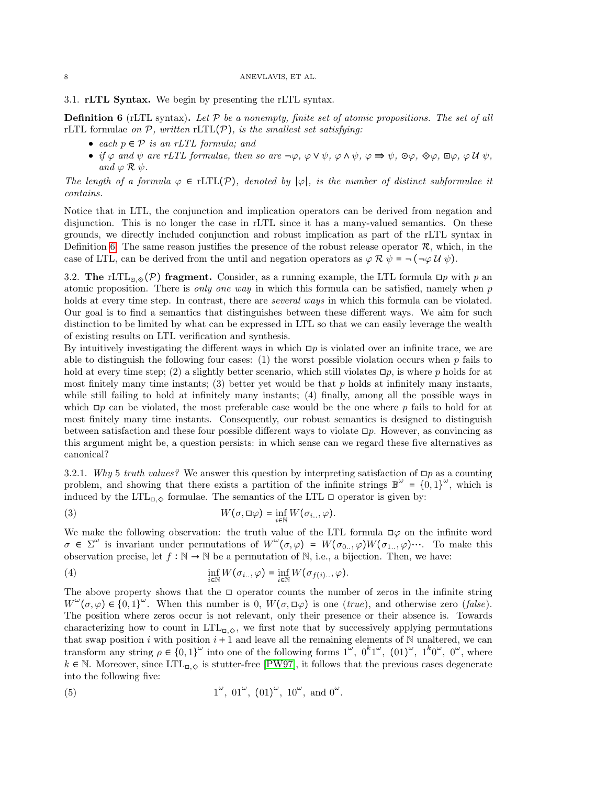### 8 ANEVLAVIS, ET AL.

3.1. rLTL Syntax. We begin by presenting the rLTL syntax.

<span id="page-7-0"></span>**Definition 6** (rLTL syntax). Let  $\mathcal P$  be a nonempty, finite set of atomic propositions. The set of all rLTL formulae on  $P$ , written rLTL $(P)$ , is the smallest set satisfying:

- each  $p \in \mathcal{P}$  is an rLTL formula; and
- if  $\varphi$  and  $\psi$  are rLTL formulae, then so are  $\neg \varphi$ ,  $\varphi \vee \psi$ ,  $\varphi \wedge \psi$ ,  $\varphi \Rightarrow \psi$ ,  $\Theta \varphi$ ,  $\Theta \varphi$ ,  $\Box \varphi$ ,  $\varphi \mathcal{U} \psi$ , and  $\varphi \mathrel{\mathcal{R}} \psi$ .

The length of a formula  $\varphi \in \text{rLTL}(\mathcal{P})$ , denoted by  $|\varphi|$ , is the number of distinct subformulae it contains.

Notice that in LTL, the conjunction and implication operators can be derived from negation and disjunction. This is no longer the case in rLTL since it has a many-valued semantics. On these grounds, we directly included conjunction and robust implication as part of the rLTL syntax in Definition [6.](#page-7-0) The same reason justifies the presence of the robust release operator  $\mathcal{R}$ , which, in the case of LTL, can be derived from the until and negation operators as  $\varphi \mathcal{R} \psi = \neg(\neg \varphi \mathcal{U} \psi)$ .

3.2. The rLTL<sub> $\mathbb{E}_{\mathbb{E}_{\mathbb{Q}}(\mathcal{P})}$  fragment. Consider, as a running example, the LTL formula  $\mathbb{E}_{p}$  with p an</sub> atomic proposition. There is only one way in which this formula can be satisfied, namely when  $p$ holds at every time step. In contrast, there are *several ways* in which this formula can be violated. Our goal is to find a semantics that distinguishes between these different ways. We aim for such distinction to be limited by what can be expressed in LTL so that we can easily leverage the wealth of existing results on LTL verification and synthesis.

By intuitively investigating the different ways in which  $\Box p$  is violated over an infinite trace, we are able to distinguish the following four cases: (1) the worst possible violation occurs when  $p$  fails to hold at every time step; (2) a slightly better scenario, which still violates  $\Box p$ , is where p holds for at most finitely many time instants; (3) better yet would be that  $p$  holds at infinitely many instants, while still failing to hold at infinitely many instants; (4) finally, among all the possible ways in which  $\Box p$  can be violated, the most preferable case would be the one where p fails to hold for at most finitely many time instants. Consequently, our robust semantics is designed to distinguish between satisfaction and these four possible different ways to violate  $\Box p$ . However, as convincing as this argument might be, a question persists: in which sense can we regard these five alternatives as canonical?

<span id="page-7-2"></span>3.2.1. Why 5 truth values? We answer this question by interpreting satisfaction of  $\Box p$  as a counting problem, and showing that there exists a partition of the infinite strings  $\mathbb{B}^{\omega} = \{0,1\}^{\omega}$ , which is induced by the  $LTL_{\Box, \Diamond}$  formulae. The semantics of the LTL  $\Box$  operator is given by:

(3) 
$$
W(\sigma, \Box \varphi) = \inf_{i \in \mathbb{N}} W(\sigma_{i..}, \varphi).
$$

We make the following observation: the truth value of the LTL formula  $\square \varphi$  on the infinite word  $\sigma \in \Sigma^{\omega}$  is invariant under permutations of  $W^{\omega}(\sigma, \varphi) = W(\sigma_{0...}, \varphi)W(\sigma_{1...}, \varphi) \cdots$ . To make this observation precise, let  $f : \mathbb{N} \to \mathbb{N}$  be a permutation of  $\mathbb{N}$ , i.e., a bijection. Then, we have:

(4) 
$$
\inf_{i \in \mathbb{N}} W(\sigma_{i..}, \varphi) = \inf_{i \in \mathbb{N}} W(\sigma_{f(i)..}, \varphi).
$$

The above property shows that the  $\Box$  operator counts the number of zeros in the infinite string  $W^{\omega}(\sigma,\varphi) \in \{0,1\}^{\omega}$ . When this number is 0,  $W(\sigma,\Box \varphi)$  is one (*true*), and otherwise zero (*false*). The position where zeros occur is not relevant, only their presence or their absence is. Towards characterizing how to count in  $LTL_{\square,\diamond}$ , we first note that by successively applying permutations that swap position i with position  $i + 1$  and leave all the remaining elements of N unaltered, we can transform any string  $\rho \in \{0,1\}^{\omega}$  into one of the following forms  $1^{\omega}$ ,  $0^k 1^{\omega}$ ,  $(01)^{\omega}$ ,  $1^k 0^{\omega}$ ,  $0^{\omega}$ , where  $k \in \mathbb{N}$ . Moreover, since  $LTL_{\Box, \Diamond}$  is stutter-free [\[PW97\]](#page-32-9), it follows that the previous cases degenerate into the following five:

<span id="page-7-1"></span>(5) 
$$
1^{\omega}
$$
,  $01^{\omega}$ ,  $(01)^{\omega}$ ,  $10^{\omega}$ , and  $0^{\omega}$ .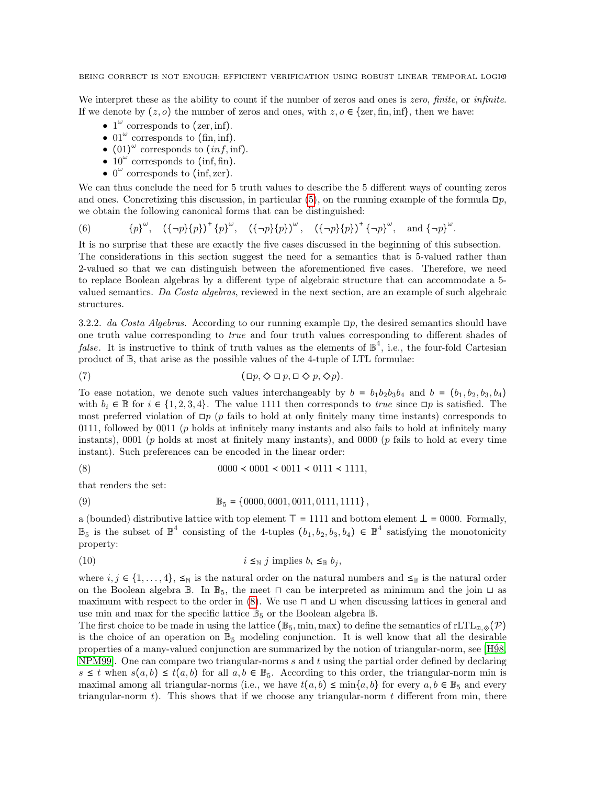We interpret these as the ability to count if the number of zeros and ones is zero, finite, or infinite. If we denote by  $(z, o)$  the number of zeros and ones, with  $z, o \in \{zer, fin, inf\}$ , then we have:

- $1^{\omega}$  corresponds to (zer, inf).
- $01^{\omega}$  corresponds to (fin, inf).
- $(01)^\omega$  corresponds to  $(inf, inf)$ .
- $10^{\omega}$  corresponds to (inf, fin).
- $\bullet$  0<sup> $\omega$ </sup> corresponds to (inf, zer).

We can thus conclude the need for 5 truth values to describe the 5 different ways of counting zeros and ones. Concretizing this discussion, in particular [\(5\)](#page-7-1), on the running example of the formula  $\Box p$ , we obtain the following canonical forms that can be distinguished:

<span id="page-8-2"></span>(6) 
$$
\{p\}^{\omega}
$$
,  $({\neg p}{p})^+ \{p\}^{\omega}$ ,  $({\neg p}{p})^{\omega}$ ,  $({\neg p}{p})^{\omega}$ ,  $({\neg p}{p})^+ \{p\}^{\omega}$ , and  ${\neg p}^{\omega}$ .

It is no surprise that these are exactly the five cases discussed in the beginning of this subsection. The considerations in this section suggest the need for a semantics that is 5-valued rather than 2-valued so that we can distinguish between the aforementioned five cases. Therefore, we need to replace Boolean algebras by a different type of algebraic structure that can accommodate a 5 valued semantics. Da Costa algebras, reviewed in the next section, are an example of such algebraic structures.

3.2.2. da Costa Algebras. According to our running example  $\Box p$ , the desired semantics should have one truth value corresponding to true and four truth values corresponding to different shades of *false*. It is instructive to think of truth values as the elements of  $\mathbb{B}^4$ , i.e., the four-fold Cartesian product of B, that arise as the possible values of the 4-tuple of LTL formulae:

<span id="page-8-1"></span>(7) 
$$
(\Box p, \Diamond \Box p, \Box \Diamond p, \Diamond p).
$$

To ease notation, we denote such values interchangeably by  $b = b_1b_2b_3b_4$  and  $b = (b_1, b_2, b_3, b_4)$ with  $b_i \in \mathbb{B}$  for  $i \in \{1, 2, 3, 4\}$ . The value 1111 then corresponds to *true* since  $\Box p$  is satisfied. The most preferred violation of  $\Box p$  (p fails to hold at only finitely many time instants) corresponds to 0111, followed by 0011 (p holds at infinitely many instants and also fails to hold at infinitely many instants), 0001 ( $p$  holds at most at finitely many instants), and 0000 ( $p$  fails to hold at every time instant). Such preferences can be encoded in the linear order:

<span id="page-8-0"></span>
$$
(8) \t\t\t 0000 < 0001 < 0011 < 0111 < 1111,
$$

that renders the set:

(9) 
$$
\mathbb{B}_5 = \{0000, 0001, 0011, 0111, 1111\},\
$$

a (bounded) distributive lattice with top element  $\top = 1111$  and bottom element  $\bot = 0000$ . Formally,  $\mathbb{B}_5$  is the subset of  $\mathbb{B}^4$  consisting of the 4-tuples  $(b_1, b_2, b_3, b_4) \in \mathbb{B}^4$  satisfying the monotonicity property:

(10) 
$$
i \leq_{\mathbb{N}} j \text{ implies } b_i \leq_{\mathbb{B}} b_j,
$$

where  $i, j \in \{1, \ldots, 4\}$ ,  $\leq_N$  is the natural order on the natural numbers and  $\leq_{\mathbb{B}}$  is the natural order on the Boolean algebra B. In  $\mathbb{B}_5$ , the meet  $\Box$  can be interpreted as minimum and the join  $\Box$  as maximum with respect to the order in  $(8)$ . We use  $\sqcap$  and  $\sqcup$  when discussing lattices in general and use min and max for the specific lattice  $\mathbb{B}_5$  or the Boolean algebra  $\mathbb{B}$ .

The first choice to be made in using the lattice ( $\mathbb{B}_5$ , min, max) to define the semantics of rLTL<sub> $\mathbb{E}_5$ ,  $\Diamond$ ( $\mathcal{P}$ )</sub> is the choice of an operation on  $\mathbb{B}_5$  modeling conjunction. It is well know that all the desirable properties of a many-valued conjunction are summarized by the notion of triangular-norm, see [\[H´98,](#page-31-14) NPM99. One can compare two triangular-norms  $s$  and  $t$  using the partial order defined by declaring  $s \leq t$  when  $s(a, b) \leq t(a, b)$  for all  $a, b \in \mathbb{B}_{5}$ . According to this order, the triangular-norm min is maximal among all triangular-norms (i.e., we have  $t(a, b) \le \min\{a, b\}$  for every  $a, b \in \mathbb{B}_5$  and every triangular-norm  $t$ ). This shows that if we choose any triangular-norm  $t$  different from min, there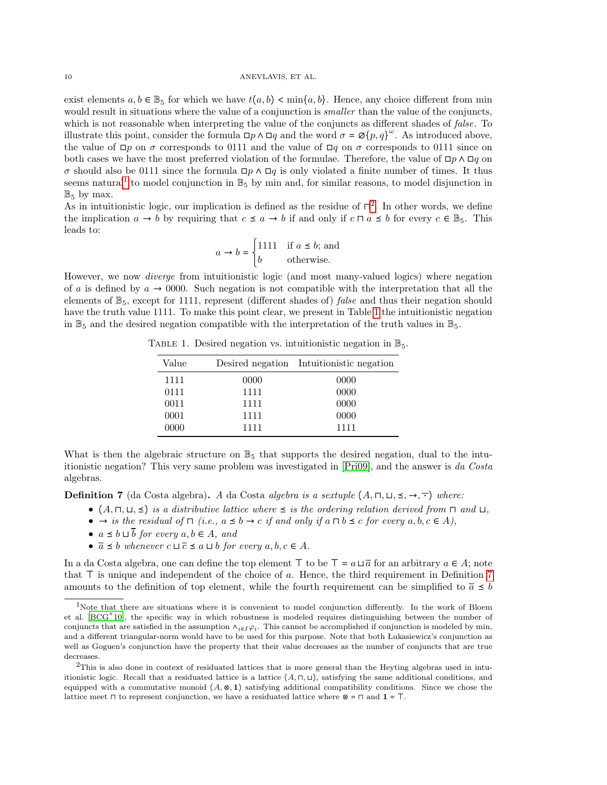exist elements  $a, b \in \mathbb{B}_5$  for which we have  $t(a, b) < \min\{a, b\}$ . Hence, any choice different from min would result in situations where the value of a conjunction is *smaller* than the value of the conjuncts, which is not reasonable when interpreting the value of the conjuncts as different shades of *false*. To illustrate this point, consider the formula  $\Box p \wedge \Box q$  and the word  $\sigma = \mathcal{O}\{p, q\}^{\omega}$ . As introduced above, the value of  $\Box p$  on  $\sigma$  corresponds to 0111 and the value of  $\Box q$  on  $\sigma$  corresponds to 0111 since on both cases we have the most preferred violation of the formulae. Therefore, the value of  $\Box p \land \Box q$  on  $\sigma$  should also be 0111 since the formula  $\Box p \land \Box q$  is only violated a finite number of times. It thus seems natural<sup>[1](#page-9-0)</sup> to model conjunction in  $\mathbb{B}_5$  by min and, for similar reasons, to model disjunction in  $\mathbb{B}_5$  by max.

As in intuitionistic logic, our implication is defined as the residue of  $\Box^2$  $\Box^2$ . In other words, we define the implication  $a \to b$  by requiring that  $c \le a \to b$  if and only if  $c \sqcap a \le b$  for every  $c \in \mathbb{B}_5$ . This leads to:

$$
a \to b = \begin{cases} 1111 & \text{if } a \le b; \text{ and} \\ b & \text{otherwise.} \end{cases}
$$

However, we now diverge from intuitionistic logic (and most many-valued logics) where negation of a is defined by  $a \to 0000$ . Such negation is not compatible with the interpretation that all the elements of  $\mathbb{B}_5$ , except for 1111, represent (different shades of) *false* and thus their negation should have the truth value 1111. To make this point clear, we present in Table [1](#page-9-2) the intuitionistic negation in  $\mathbb{B}_5$  and the desired negation compatible with the interpretation of the truth values in  $\mathbb{B}_5$ .

TABLE 1. Desired negation vs. intuitionistic negation in  $\mathbb{B}_5$ .

<span id="page-9-2"></span>

| Value |      | Desired negation Intuitionistic negation |
|-------|------|------------------------------------------|
| 1111  | 0000 | 0000                                     |
| 0111  | 1111 | 0000                                     |
| 0011  | 1111 | 0000                                     |
| 0001  | 1111 | 0000                                     |
| 0000  | 1111 | 1111                                     |

What is then the algebraic structure on  $\mathbb{B}_5$  that supports the desired negation, dual to the intuitionistic negation? This very same problem was investigated in [\[Pri09\]](#page-32-10), and the answer is da Costa algebras.

<span id="page-9-3"></span>**Definition 7** (da Costa algebra). A da Costa algebra is a sextuple  $(A, \Pi, \Pi, \leq, \rightarrow, \top)$  where:

- $(A, \Pi, \sqcup, \preceq)$  is a distributive lattice where  $\preceq$  is the ordering relation derived from  $\Pi$  and  $\sqcup$ ,
- → is the residual of  $\sqcap$  (i.e.,  $a \leq b \rightarrow c$  if and only if  $a \sqcap b \leq c$  for every  $a, b, c \in A$ ),
- $a \leq b \sqcup \overline{b}$  for every  $a, b \in A$ , and
- $\overline{a} \leq b$  whenever  $c \sqcup \overline{c} \leq a \sqcup b$  for every  $a, b, c \in A$ .

In a da Costa algebra, one can define the top element  $\top$  to be  $\top = a \sqcup \overline{a}$  for an arbitrary  $a \in A$ ; note that ⊤ is unique and independent of the choice of a. Hence, the third requirement in Definition [7](#page-9-3) amounts to the definition of top element, while the fourth requirement can be simplified to  $\bar{a} \leq b$ 

<span id="page-9-0"></span><sup>&</sup>lt;sup>1</sup>Note that there are situations where it is convenient to model conjunction differently. In the work of Bloem et al. [\[BCG](#page-30-8)<sup>+</sup>10], the specific way in which robustness is modeled requires distinguishing between the number of conjuncts that are satisfied in the assumption  $\lambda_{i\in I}\varphi_i$ . This cannot be accomplished if conjunction is modeled by min, and a different triangular-norm would have to be used for this purpose. Note that both Łukasiewicz's conjunction as well as Goguen's conjunction have the property that their value decreases as the number of conjuncts that are true decreases.

<span id="page-9-1"></span> $^{2}$ This is also done in context of residuated lattices that is more general than the Heyting algebras used in intuitionistic logic. Recall that a residuated lattice is a lattice  $(A, \Pi, \Pi)$ , satisfying the same additional conditions, and equipped with a commutative monoid  $(A, \otimes, 1)$  satisfying additional compatibility conditions. Since we chose the lattice meet  $\sqcap$  to represent conjunction, we have a residuated lattice where ⊗ =  $\sqcap$  and  $\mathbf{1}$  =  $\top$ .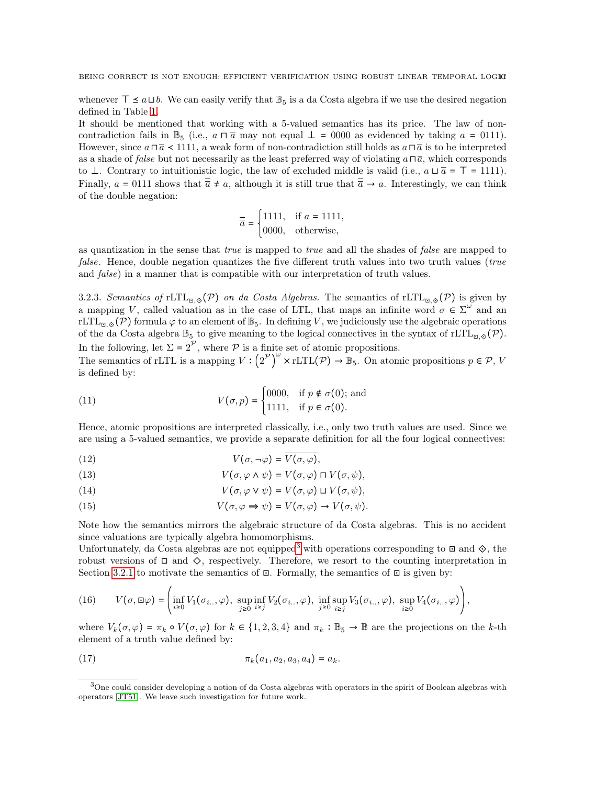whenever  $\top$  ≤  $a \sqcup b$ . We can easily verify that  $\mathbb{B}_5$  is a da Costa algebra if we use the desired negation defined in Table [1.](#page-9-2)

It should be mentioned that working with a 5-valued semantics has its price. The law of noncontradiction fails in  $\mathbb{B}_5$  (i.e.,  $a \sqcap \overline{a}$  may not equal  $\perp$  = 0000 as evidenced by taking  $a = 0111$ ). However, since  $a \sqcap \overline{a} \prec 1111$ , a weak form of non-contradiction still holds as  $a \sqcap \overline{a}$  is to be interpreted as a shade of *false* but not necessarily as the least preferred way of violating  $a \sqcap \overline{a}$ , which corresponds to ⊥. Contrary to intuitionistic logic, the law of excluded middle is valid (i.e.,  $a \sqcup \overline{a} = \top = 1111$ ). Finally,  $a = 0111$  shows that  $\overline{\overline{a}} \neq a$ , although it is still true that  $\overline{\overline{a}} \rightarrow a$ . Interestingly, we can think of the double negation:

$$
\overline{\overline{a}} = \begin{cases} 1111, & \text{if } a = 1111, \\ 0000, & \text{otherwise,} \end{cases}
$$

as quantization in the sense that true is mapped to true and all the shades of false are mapped to false. Hence, double negation quantizes the five different truth values into two truth values (true and false) in a manner that is compatible with our interpretation of truth values.

3.2.3. Semantics of rLTL<sub> $\mathbb{E}_{\mathbb{E},\Diamond}(\mathcal{P})$  on da Costa Algebras. The semantics of rLTL<sub> $\mathbb{E}_{\mathbb{E},\Diamond}(\mathcal{P})$  is given by</sub></sub> a mapping V, called valuation as in the case of LTL, that maps an infinite word  $\sigma \in \Sigma^{\omega}$  and an rLTL<sub> $\mathbb{E}_{\mathbb{E},\diamond}(\mathcal{P})$  formula  $\varphi$  to an element of  $\mathbb{B}_5$ . In defining V, we judiciously use the algebraic operations</sub> of the da Costa algebra  $\mathbb{B}_5$  to give meaning to the logical connectives in the syntax of rLTL<sub> $\mathbb{E}_7^{\mathbb{Q}}(\mathcal{P})$ .</sub> In the following, let  $\Sigma = 2^{\mathcal{P}}$ , where  $\mathcal P$  is a finite set of atomic propositions.

The semantics of rLTL is a mapping  $V: (2^{\mathcal{P}})^{\omega} \times \text{rLTL}(\mathcal{P}) \to \mathbb{B}_5$ . On atomic propositions  $p \in \mathcal{P}$ , V is defined by:

(11) 
$$
V(\sigma, p) = \begin{cases} 0000, & \text{if } p \notin \sigma(0); \text{ and} \\ 1111, & \text{if } p \in \sigma(0). \end{cases}
$$

Hence, atomic propositions are interpreted classically, i.e., only two truth values are used. Since we are using a 5-valued semantics, we provide a separate definition for all the four logical connectives:

$$
(12) \t\t V(\sigma, \neg \varphi) = \overline{V(\sigma, \varphi)},
$$

(13) 
$$
V(\sigma, \varphi \wedge \psi) = V(\sigma, \varphi) \sqcap V(\sigma, \psi),
$$

(14) 
$$
V(\sigma, \varphi \vee \psi) = V(\sigma, \varphi) \sqcup V(\sigma, \psi),
$$

<span id="page-10-3"></span>(15) 
$$
V(\sigma, \varphi \Rightarrow \psi) = V(\sigma, \varphi) \rightarrow V(\sigma, \psi).
$$

Note how the semantics mirrors the algebraic structure of da Costa algebras. This is no accident since valuations are typically algebra homomorphisms.

Unfortunately, da Costa algebras are not equipped<sup>[3](#page-10-0)</sup> with operations corresponding to  $\Box$  and  $\diamondsuit$ , the robust versions of  $\Box$  and  $\diamondsuit$ , respectively. Therefore, we resort to the counting interpretation in Section [3.2.1](#page-7-2) to motivate the semantics of  $\Xi$ . Formally, the semantics of  $\Xi$  is given by:

 $\overline{ }$ 

<span id="page-10-1"></span>
$$
(16) \qquad V(\sigma, \mathbf{u}\varphi)=\left(\inf_{i\geq 0}V_1(\sigma_{i..}, \varphi), \sup_{j\geq 0}\inf_{i\geq j}V_2(\sigma_{i..}, \varphi), \inf_{j\geq 0}\sup_{i\geq j}V_3(\sigma_{i..}, \varphi), \sup_{i\geq 0}V_4(\sigma_{i..}, \varphi)\right),
$$

where  $V_k(\sigma, \varphi) = \pi_k \circ V(\sigma, \varphi)$  for  $k \in \{1, 2, 3, 4\}$  and  $\pi_k : \mathbb{B}_5 \to \mathbb{B}$  are the projections on the k-th element of a truth value defined by:

(17) 
$$
\pi_k(a_1, a_2, a_3, a_4) = a_k.
$$

<span id="page-10-2"></span> $\lambda$ 

<span id="page-10-0"></span> $3$ One could consider developing a notion of da Costa algebras with operators in the spirit of Boolean algebras with operators [\[JT51\]](#page-31-16). We leave such investigation for future work.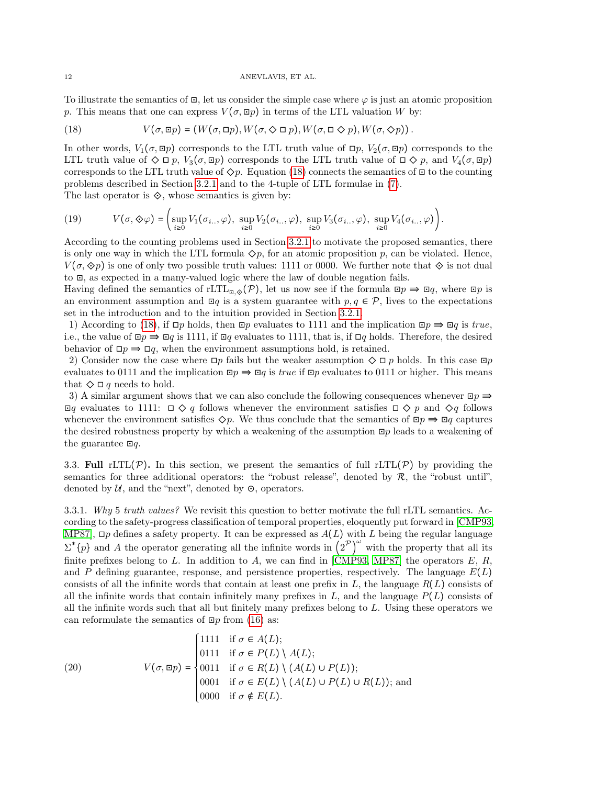### 12 ANEVLAVIS, ET AL.

To illustrate the semantics of  $\Xi$ , let us consider the simple case where  $\varphi$  is just an atomic proposition p. This means that one can express  $V(\sigma, \Xi p)$  in terms of the LTL valuation W by:

<span id="page-11-0"></span>(18) 
$$
V(\sigma, \mathbf{u}p) = (W(\sigma, \mathbf{u}p), W(\sigma, \diamondsuit \mathbf{u}p), W(\sigma, \mathbf{u} \diamondsuit p), W(\sigma, \diamondsuit p)).
$$

In other words,  $V_1(\sigma, \Xi p)$  corresponds to the LTL truth value of  $\Xi p$ ,  $V_2(\sigma, \Xi p)$  corresponds to the LTL truth value of  $\Diamond \Box p$ ,  $V_3(\sigma, \Box p)$  corresponds to the LTL truth value of  $\Box \Diamond p$ , and  $V_4(\sigma, \Box p)$ corresponds to the LTL truth value of  $\Diamond p$ . Equation [\(18\)](#page-11-0) connects the semantics of  $\Box$  to the counting problems described in Section [3.2.1](#page-7-2) and to the 4-tuple of LTL formulae in [\(7\)](#page-8-1).

The last operator is  $\diamondsuit$ , whose semantics is given by:

(19) 
$$
V(\sigma, \diamondsuit \varphi) = \left( \sup_{i \geq 0} V_1(\sigma_{i..}, \varphi), \sup_{i \geq 0} V_2(\sigma_{i..}, \varphi), \sup_{i \geq 0} V_3(\sigma_{i..}, \varphi), \sup_{i \geq 0} V_4(\sigma_{i..}, \varphi) \right).
$$

According to the counting problems used in Section [3.2.1](#page-7-2) to motivate the proposed semantics, there is only one way in which the LTL formula  $\Diamond p$ , for an atomic proposition p, can be violated. Hence,  $V(\sigma, \otimes p)$  is one of only two possible truth values: 1111 or 0000. We further note that  $\otimes$  is not dual to ⊡, as expected in a many-valued logic where the law of double negation fails.

Having defined the semantics of rLTL<sub> $\mathbb{E}_{\mathbb{E}}\diamondsuit(\mathcal{P})$ , let us now see if the formula  $\mathbb{E}p \Rightarrow \mathbb{E}q$ , where  $\mathbb{E}p$  is</sub> an environment assumption and  $\Xi q$  is a system guarantee with  $p, q \in \mathcal{P}$ , lives to the expectations set in the introduction and to the intuition provided in Section [3.2.1.](#page-7-2)

1) According to [\(18\)](#page-11-0), if  $\Box p$  holds, then  $\Box p$  evaluates to 1111 and the implication  $\Box p \Rightarrow \Box q$  is true, i.e., the value of  $\Box p \Rightarrow \Box q$  is 1111, if  $\Box q$  evaluates to 1111, that is, if  $\Box q$  holds. Therefore, the desired behavior of  $\Box p \Rightarrow \Box q$ , when the environment assumptions hold, is retained.

2) Consider now the case where  $\Box p$  fails but the weaker assumption  $\Diamond \Box p$  holds. In this case  $\Box p$ evaluates to 0111 and the implication  $\Box p \Rightarrow \Box q$  is *true* if  $\Box p$  evaluates to 0111 or higher. This means that  $\diamondsuit \square q$  needs to hold.

3) A similar argument shows that we can also conclude the following consequences whenever  $\Box p \Rightarrow$  $□q$  evaluates to 1111:  $□Q q$  follows whenever the environment satisfies  $□Q p$  and  $Q q$  follows whenever the environment satisfies  $\Diamond p$ . We thus conclude that the semantics of  $\Box p \Rightarrow \Box q$  captures the desired robustness property by which a weakening of the assumption ⊡p leads to a weakening of the guarantee  $\Box q$ .

3.3. Full rLTL(P). In this section, we present the semantics of full rLTL(P) by providing the semantics for three additional operators: the "robust release", denoted by  $\mathcal{R}$ , the "robust until", denoted by  $U$ , and the "next", denoted by  $\odot$ , operators.

3.3.1. Why 5 truth values? We revisit this question to better motivate the full rLTL semantics. According to the safety-progress classification of temporal properties, eloquently put forward in [\[CMP93,](#page-31-17) [MP87\]](#page-31-18),  $\Box p$  defines a safety property. It can be expressed as  $A(L)$  with L being the regular language  $\sum^* \{p\}$  and A the operator generating all the infinite words in  $(2^P)^\omega$  with the property that all its finite prefixes belong to L. In addition to A, we can find in [\[CMP93,](#page-31-17) [MP87\]](#page-31-18) the operators E, R, and P defining guarantee, response, and persistence properties, respectively. The language  $E(L)$ consists of all the infinite words that contain at least one prefix in  $L$ , the language  $R(L)$  consists of all the infinite words that contain infinitely many prefixes in  $L$ , and the language  $P(L)$  consists of all the infinite words such that all but finitely many prefixes belong to  $L$ . Using these operators we can reformulate the semantics of  $\Xi p$  from [\(16\)](#page-10-1) as:

<span id="page-11-1"></span>(20) 
$$
V(\sigma, \Xi p) = \begin{cases} 1111 & \text{if } \sigma \in A(L); \\ 0111 & \text{if } \sigma \in P(L) \setminus A(L); \\ 0011 & \text{if } \sigma \in R(L) \setminus (A(L) \cup P(L)); \\ 0001 & \text{if } \sigma \in E(L) \setminus (A(L) \cup P(L) \cup R(L)); \text{and} \\ 0000 & \text{if } \sigma \notin E(L). \end{cases}
$$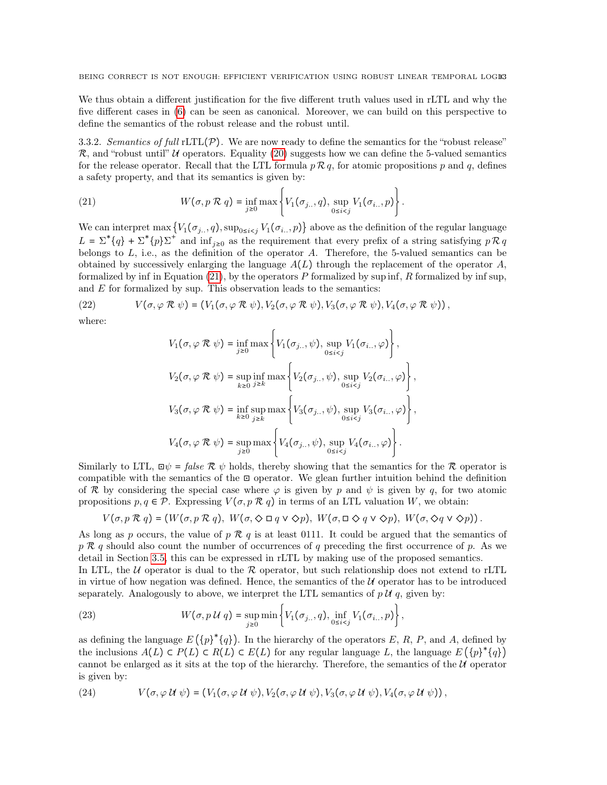We thus obtain a different justification for the five different truth values used in rLTL and why the five different cases in [\(6\)](#page-8-2) can be seen as canonical. Moreover, we can build on this perspective to define the semantics of the robust release and the robust until.

3.3.2. Semantics of full  $rLTL(\mathcal{P})$ . We are now ready to define the semantics for the "robust release"  $\mathcal{R}$ , and "robust until" U operators. Equality [\(20\)](#page-11-1) suggests how we can define the 5-valued semantics for the release operator. Recall that the LTL formula  $p \mathcal{R} q$ , for atomic propositions p and q, defines a safety property, and that its semantics is given by:

<span id="page-12-0"></span>(21) 
$$
W(\sigma, p \mathcal{R} q) = \inf_{j \geq 0} \max \left\{ V_1(\sigma_{j..}, q), \sup_{0 \leq i < j} V_1(\sigma_{i..}, p) \right\}.
$$

We can interpret max  $\{V_1(\sigma_{i..}, q), \sup_{0\leq i < j} V_1(\sigma_{i..}, p)\}$  above as the definition of the regular language  $L = \sum^* \{q\} + \sum^* \{p\} \sum^*$  and  $\inf_{j\geq 0}$  as the requirement that every prefix of a string satisfying  $p \overline{R} q$ belongs to  $L$ , i.e., as the definition of the operator  $A$ . Therefore, the 5-valued semantics can be obtained by successively enlarging the language  $A(L)$  through the replacement of the operator  $A$ , formalized by inf in Equation  $(21)$ , by the operators P formalized by sup inf, R formalized by inf sup, and  $E$  for formalized by sup. This observation leads to the semantics:

(22) 
$$
V(\sigma, \varphi \mathcal{R} \psi) = (V_1(\sigma, \varphi \mathcal{R} \psi), V_2(\sigma, \varphi \mathcal{R} \psi), V_3(\sigma, \varphi \mathcal{R} \psi), V_4(\sigma, \varphi \mathcal{R} \psi)),
$$

where:

$$
V_1(\sigma, \varphi \mathcal{R} \psi) = \inf_{j \ge 0} \max \left\{ V_1(\sigma_{j..}, \psi), \sup_{0 \le i < j} V_1(\sigma_{i..}, \varphi) \right\},
$$
  

$$
V_2(\sigma, \varphi \mathcal{R} \psi) = \sup_{k \ge 0} \inf_{j \ge k} \max \left\{ V_2(\sigma_{j..}, \psi), \sup_{0 \le i < j} V_2(\sigma_{i..}, \varphi) \right\},
$$
  

$$
V_3(\sigma, \varphi \mathcal{R} \psi) = \inf_{k \ge 0} \sup_{j \ge k} \max \left\{ V_3(\sigma_{j..}, \psi), \sup_{0 \le i < j} V_3(\sigma_{i..}, \varphi) \right\},
$$
  

$$
V_4(\sigma, \varphi \mathcal{R} \psi) = \sup_{j \ge 0} \max \left\{ V_4(\sigma_{j..}, \psi), \sup_{0 \le i < j} V_4(\sigma_{i..}, \varphi) \right\}.
$$

Similarly to LTL,  $\Box \psi = false \mathcal{R} \psi$  holds, thereby showing that the semantics for the  $\mathcal{R}$  operator is compatible with the semantics of the ⊡ operator. We glean further intuition behind the definition of R by considering the special case where  $\varphi$  is given by p and  $\psi$  is given by q, for two atomic propositions  $p, q \in \mathcal{P}$ . Expressing  $V(\sigma, p \mathcal{R} q)$  in terms of an LTL valuation W, we obtain:

$$
V(\sigma, p \mathcal{R} q) = (W(\sigma, p \mathcal{R} q), W(\sigma, \Diamond \Box q \vee \Diamond p), W(\sigma, \Box \Diamond q \vee \Diamond p), W(\sigma, \Diamond q \vee \Diamond p)).
$$

As long as p occurs, the value of p  $\mathcal{R}$  q is at least 0111. It could be argued that the semantics of  $p \mathcal{R} q$  should also count the number of occurrences of q preceding the first occurrence of p. As we detail in Section [3.5,](#page-13-0) this can be expressed in rLTL by making use of the proposed semantics.

In LTL, the U operator is dual to the R operator, but such relationship does not extend to rLTL in virtue of how negation was defined. Hence, the semantics of the  $U$  operator has to be introduced separately. Analogously to above, we interpret the LTL semantics of  $p \mathcal{U} q$ , given by:

(23) 
$$
W(\sigma, p \mathcal{U} q) = \sup_{j \geq 0} \min \left\{ V_1(\sigma_{j..}, q), \inf_{0 \leq i < j} V_1(\sigma_{i..}, p) \right\},
$$

as defining the language  $E(\{p\}^*\{q\})$ . In the hierarchy of the operators E, R, P, and A, defined by the inclusions  $A(L) \subset P(L) \subset R(L) \subset E(L)$  for any regular language L, the language  $E(\{p\}^*\{q\})$ cannot be enlarged as it sits at the top of the hierarchy. Therefore, the semantics of the  $U\ell$  operator is given by:

(24) 
$$
V(\sigma, \varphi \mathcal{U} \psi) = (V_1(\sigma, \varphi \mathcal{U} \psi), V_2(\sigma, \varphi \mathcal{U} \psi), V_3(\sigma, \varphi \mathcal{U} \psi), V_4(\sigma, \varphi \mathcal{U} \psi)),
$$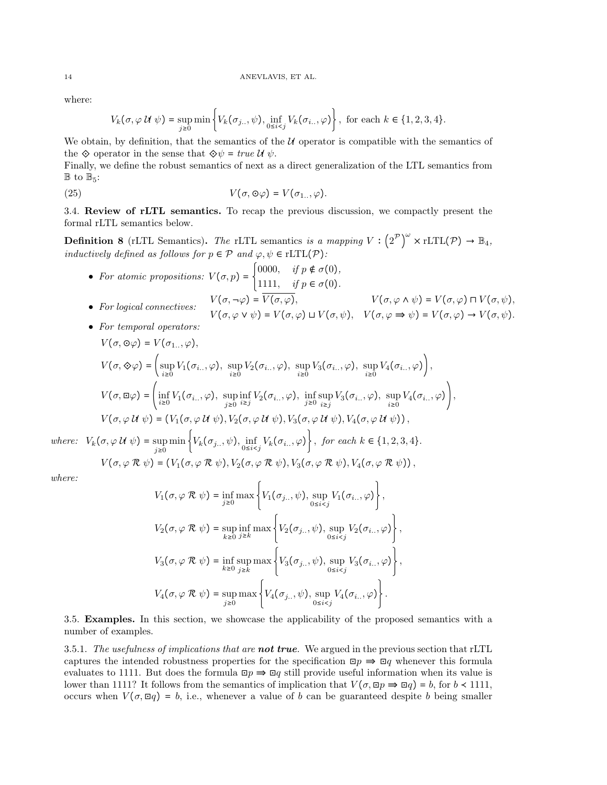where:

$$
V_k(\sigma, \varphi \mathcal{U} \psi) = \sup_{j \geq 0} \min \left\{ V_k(\sigma_{j..}, \psi), \inf_{0 \leq i < j} V_k(\sigma_{i..}, \varphi) \right\}, \text{ for each } k \in \{1, 2, 3, 4\}.
$$

We obtain, by definition, that the semantics of the  $U$  operator is compatible with the semantics of the  $\Diamond$  operator in the sense that  $\Diamond \psi = true \mathcal{U} \psi$ .

Finally, we define the robust semantics of next as a direct generalization of the LTL semantics from  $\mathbb{B}$  to  $\mathbb{B}_5$ :

(25) 
$$
V(\sigma, \Theta \varphi) = V(\sigma_{1..}, \varphi).
$$

3.4. Review of rLTL semantics. To recap the previous discussion, we compactly present the formal rLTL semantics below.

**Definition 8** (rLTL Semantics). The rLTL semantics is a mapping  $V: (2^{\mathcal{P}})^{\omega} \times \text{rLTL}(\mathcal{P}) \to \mathbb{B}_4$ , inductively defined as follows for  $p \in \mathcal{P}$  and  $\varphi, \psi \in \mathrm{rLTL}(\mathcal{P})$ :

- For atomic propositions:  $V(\sigma, p) =\begin{cases} 0000, & \text{if } p \notin \sigma(0), \\ 1111, & \text{if } p \in \sigma(0), \end{cases}$ 1111, if  $p \in \sigma(0)$ . • For logical connectives:  $V(\sigma, \neg \varphi) = \overline{V(\sigma, \varphi)},$   $V(\sigma, \varphi \wedge \psi) = V(\sigma, \varphi) \sqcap V(\sigma, \psi),$  $V(\sigma, \varphi \vee \psi) = V(\sigma, \varphi) \sqcup V(\sigma, \psi), \quad V(\sigma, \varphi \Rightarrow \psi) = V(\sigma, \varphi) \rightarrow V(\sigma, \psi).$
- For temporal operators:

$$
V(\sigma, \Theta \varphi) = V(\sigma_{1...}, \varphi),
$$
  
\n
$$
V(\sigma, \Theta \varphi) = \left(\sup_{i \ge 0} V_1(\sigma_{i...}, \varphi), \sup_{i \ge 0} V_2(\sigma_{i...}, \varphi), \sup_{i \ge 0} V_3(\sigma_{i...}, \varphi), \sup_{i \ge 0} V_4(\sigma_{i...}, \varphi)\right),
$$
  
\n
$$
V(\sigma, \Xi \varphi) = \left(\inf_{i \ge 0} V_1(\sigma_{i...}, \varphi), \sup_{j \ge 0} \inf_{i \ge j} V_2(\sigma_{i...}, \varphi), \inf_{j \ge 0} \sup_{i \ge j} V_3(\sigma_{i...}, \varphi), \sup_{i \ge 0} V_4(\sigma_{i...}, \varphi)\right),
$$
  
\n
$$
V(\sigma, \varphi \cup \psi) = (V_1(\sigma, \varphi \cup \psi), V_2(\sigma, \varphi \cup \psi), V_3(\sigma, \varphi \cup \psi), V_4(\sigma, \varphi \cup \psi)),
$$

where:  $V_k(\sigma, \varphi \mathcal{U} \psi) = \sup_{j \geq 0} \min \left\{ V_k(\sigma_{j..}, \psi), \inf_{0 \leq i < j} V_k(\sigma_{i..}, \varphi) \right\},$  for each  $k \in \{1, 2, 3, 4\}.$  $V(\sigma, \varphi \mathcal{R} \psi) = (V_1(\sigma, \varphi \mathcal{R} \psi), V_2(\sigma, \varphi \mathcal{R} \psi), V_3(\sigma, \varphi \mathcal{R} \psi), V_4(\sigma, \varphi \mathcal{R} \psi))$ 

$$
where:
$$

$$
V_1(\sigma, \varphi \mathcal{R} \psi) = \inf_{j \ge 0} \max \left\{ V_1(\sigma_{j..}, \psi), \sup_{0 \le i < j} V_1(\sigma_{i..}, \varphi) \right\},
$$
  

$$
V_2(\sigma, \varphi \mathcal{R} \psi) = \sup_{k \ge 0} \inf_{j \ge k} \max \left\{ V_2(\sigma_{j..}, \psi), \sup_{0 \le i < j} V_2(\sigma_{i..}, \varphi) \right\},
$$
  

$$
V_3(\sigma, \varphi \mathcal{R} \psi) = \inf_{k \ge 0} \sup_{j \ge k} \max \left\{ V_3(\sigma_{j..}, \psi), \sup_{0 \le i < j} V_3(\sigma_{i..}, \varphi) \right\},
$$
  

$$
V_4(\sigma, \varphi \mathcal{R} \psi) = \sup_{j \ge 0} \max \left\{ V_4(\sigma_{j..}, \psi), \sup_{0 \le i < j} V_4(\sigma_{i..}, \varphi) \right\}.
$$

<span id="page-13-0"></span>3.5. Examples. In this section, we showcase the applicability of the proposed semantics with a number of examples.

3.5.1. The usefulness of implications that are **not true**. We argued in the previous section that rLTL captures the intended robustness properties for the specification  $\Box p \Rightarrow \Box q$  whenever this formula evaluates to 1111. But does the formula  $\Box p \Rightarrow \Box q$  still provide useful information when its value is lower than 1111? It follows from the semantics of implication that  $V(\sigma, \Box p \Rightarrow \Box q) = b$ , for  $b \prec 1111$ , occurs when  $V(\sigma, \boxdot q) = b$ , i.e., whenever a value of b can be guaranteed despite b being smaller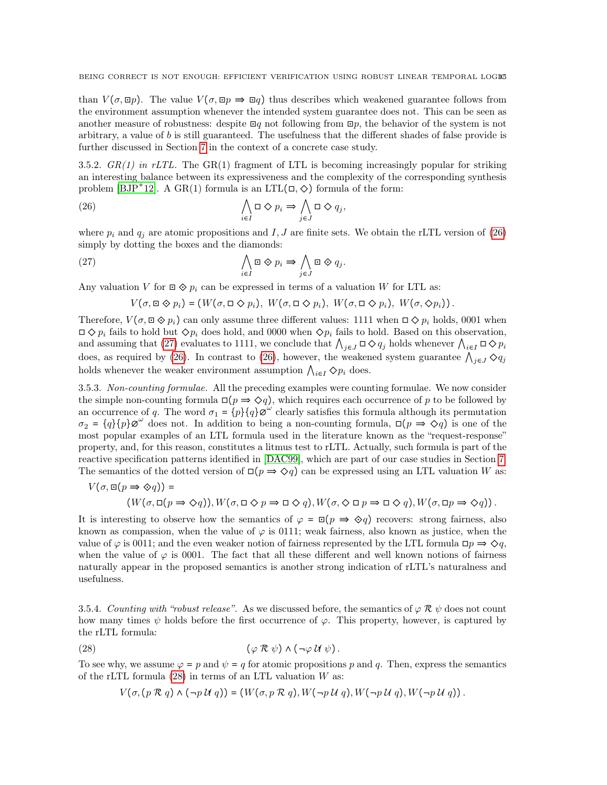than  $V(\sigma, \Xi p)$ . The value  $V(\sigma, \Xi p \Rightarrow \Xi q)$  thus describes which weakened guarantee follows from the environment assumption whenever the intended system guarantee does not. This can be seen as another measure of robustness: despite  $\Xi q$  not following from  $\Xi p$ , the behavior of the system is not arbitrary, a value of b is still guaranteed. The usefulness that the different shades of false provide is further discussed in Section [7](#page-25-0) in the context of a concrete case study.

3.5.2.  $GR(1)$  in rLTL. The GR(1) fragment of LTL is becoming increasingly popular for striking an interesting balance between its expressiveness and the complexity of the corresponding synthesis problem  $[BD^+12]$ . A  $GR(1)$  formula is an  $LTL(\Box, \diamondsuit)$  formula of the form:

(26) 
$$
\bigwedge_{i\in I} \Box \diamondsuit p_i \Rightarrow \bigwedge_{j\in J} \Box \diamondsuit q_j,
$$

where  $p_i$  and  $q_j$  are atomic propositions and I, J are finite sets. We obtain the rLTL version of [\(26\)](#page-14-0) simply by dotting the boxes and the diamonds:

(27) 
$$
\bigwedge_{i \in I} \Box \otimes p_i \Rightarrow \bigwedge_{j \in J} \Box \otimes q_j.
$$

Any valuation V for  $\Box \otimes p_i$  can be expressed in terms of a valuation W for LTL as:

<span id="page-14-1"></span><span id="page-14-0"></span>
$$
V(\sigma, \mathbf{u} \diamondsuit p_i) = (W(\sigma, \mathbf{u} \diamondsuit p_i), W(\sigma, \mathbf{u} \diamondsuit p_i), W(\sigma, \mathbf{u} \diamondsuit p_i), W(\sigma, \diamondsuit p_i)).
$$

Therefore,  $V(\sigma, \Xi \otimes p_i)$  can only assume three different values: 1111 when  $\Xi \otimes p_i$  holds, 0001 when  $\Box \diamond p_i$  fails to hold but  $\diamond p_i$  does hold, and 0000 when  $\diamond p_i$  fails to hold. Based on this observation, and assuming that [\(27\)](#page-14-1) evaluates to 1111, we conclude that  $\bigwedge_{j\in J}\Box\Diamond q_j$  holds whenever  $\bigwedge_{i\in I}\Box\Diamond p_i$ does, as required by [\(26\)](#page-14-0). In contrast to (26), however, the weakened system guarantee  $\bigwedge_{j\in J}\Diamond q_j$ holds whenever the weaker environment assumption  $\bigwedge_{i\in I} \Diamond p_i$  does.

3.5.3. Non-counting formulae. All the preceding examples were counting formulae. We now consider the simple non-counting formula  $\square(p \Rightarrow \diamond q)$ , which requires each occurrence of p to be followed by an occurrence of q. The word  $\sigma_1 = \{p\} \{q\} \sigma^{\omega}$  clearly satisfies this formula although its permutation  $\sigma_2 = \{q\} \{p\} \varnothing^{\omega}$  does not. In addition to being a non-counting formula,  $\square (p \Rightarrow \Diamond q)$  is one of the most popular examples of an LTL formula used in the literature known as the "request-response" property, and, for this reason, constitutes a litmus test to rLTL. Actually, such formula is part of the reactive specification patterns identified in [\[DAC99\]](#page-31-0), which are part of our case studies in Section [7.](#page-25-0) The semantics of the dotted version of  $\square(p \Rightarrow \diamond q)$  can be expressed using an LTL valuation W as:

$$
V(\sigma, \boxdot(p \Rightarrow \diamondsuit q)) =
$$
  
\n
$$
(W(\sigma, \boxdot(p \Rightarrow \diamondsuit q)), W(\sigma, \boxdot \diamondsuit p \Rightarrow \boxdot \diamondsuit q), W(\sigma, \diamondsuit \boxdot p \Rightarrow \boxdot \diamondsuit q), W(\sigma, \boxdot p \Rightarrow \diamondsuit q)).
$$

It is interesting to observe how the semantics of  $\varphi = \Xi(p \implies \Diamond q)$  recovers: strong fairness, also known as compassion, when the value of  $\varphi$  is 0111; weak fairness, also known as justice, when the value of  $\varphi$  is 0011; and the even weaker notion of fairness represented by the LTL formula  $\Box p \Rightarrow \Diamond q$ , when the value of  $\varphi$  is 0001. The fact that all these different and well known notions of fairness naturally appear in the proposed semantics is another strong indication of rLTL's naturalness and usefulness.

3.5.4. Counting with "robust release". As we discussed before, the semantics of  $\varphi \mathcal{R} \psi$  does not count how many times  $\psi$  holds before the first occurrence of  $\varphi$ . This property, however, is captured by the rLTL formula:

(28) 
$$
(\varphi \mathcal{R} \psi) \wedge (\neg \varphi \mathcal{U} \psi).
$$

To see why, we assume  $\varphi = p$  and  $\psi = q$  for atomic propositions p and q. Then, express the semantics of the rLTL formula  $(28)$  in terms of an LTL valuation W as:

<span id="page-14-2"></span>
$$
V(\sigma, (p \mathcal{R} q) \wedge (\neg p \mathcal{U} q)) = (W(\sigma, p \mathcal{R} q), W(\neg p \mathcal{U} q), W(\neg p \mathcal{U} q), W(\neg p \mathcal{U} q)).
$$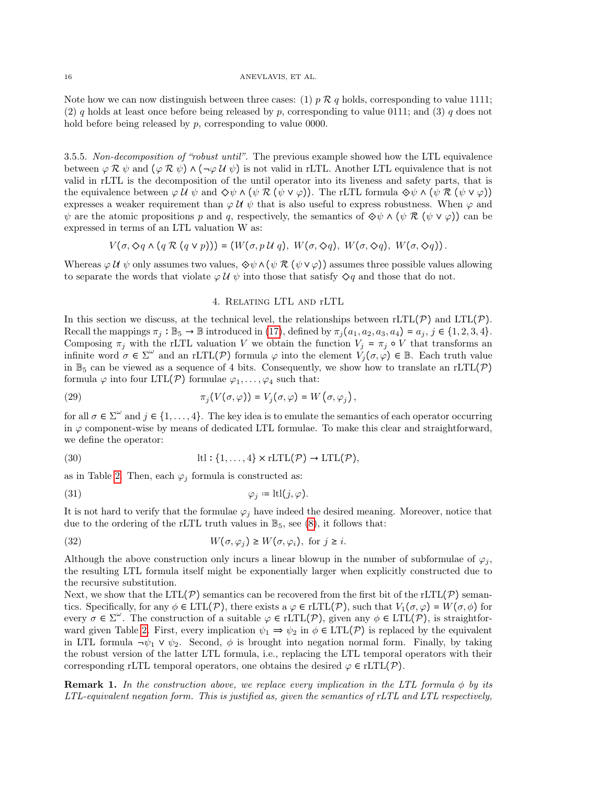Note how we can now distinguish between three cases: (1)  $p \mathcal{R} q$  holds, corresponding to value 1111; (2) q holds at least once before being released by p, corresponding to value 0111; and (3) q does not hold before being released by p, corresponding to value 0000.

3.5.5. Non-decomposition of "robust until". The previous example showed how the LTL equivalence between  $\varphi \mathcal{R} \psi$  and  $(\varphi \mathcal{R} \psi) \wedge (\neg \varphi \mathcal{U} \psi)$  is not valid in rLTL. Another LTL equivalence that is not valid in rLTL is the decomposition of the until operator into its liveness and safety parts, that is the equivalence between  $\varphi \mathcal{U} \psi$  and  $\Diamond \psi \wedge (\psi \mathcal{R} (\psi \vee \varphi))$ . The rLTL formula  $\Diamond \psi \wedge (\psi \mathcal{R} (\psi \vee \varphi))$ expresses a weaker requirement than  $\varphi \mathcal{U} \psi$  that is also useful to express robustness. When  $\varphi$  and  $\psi$  are the atomic propositions p and q, respectively, the semantics of  $\Diamond \psi \wedge (\psi \mathcal{R}(\psi \vee \varphi))$  can be expressed in terms of an LTL valuation W as:

$$
V(\sigma, \Diamond q \land (q \mathcal{R} (q \lor p))) = (W(\sigma, p \mathcal{U} q), W(\sigma, \Diamond q), W(\sigma, \Diamond q), W(\sigma, \Diamond q)).
$$

Whereas  $\varphi \mathcal{U} \psi$  only assumes two values,  $\Diamond \psi \wedge (\psi \mathcal{R} (\psi \vee \varphi))$  assumes three possible values allowing to separate the words that violate  $\varphi \mathcal{U} \psi$  into those that satisfy  $\diamondsuit q$  and those that do not.

# 4. Relating LTL and rLTL

<span id="page-15-0"></span>In this section we discuss, at the technical level, the relationships between  $rLTL(\mathcal{P})$  and  $LTL(\mathcal{P})$ . Recall the mappings  $\pi_j : \mathbb{B}_5 \to \mathbb{B}$  introduced in [\(17\)](#page-10-2), defined by  $\pi_j(a_1, a_2, a_3, a_4) = a_j, j \in \{1, 2, 3, 4\}.$ Composing  $\pi_j$  with the rLTL valuation V we obtain the function  $V_j = \pi_j \circ V$  that transforms an infinite word  $\sigma \in \Sigma^{\omega}$  and an rLTL(P) formula  $\varphi$  into the element  $V_j(\sigma, \varphi) \in \mathbb{B}$ . Each truth value in  $\mathbb{B}_5$  can be viewed as a sequence of 4 bits. Consequently, we show how to translate an rLTL(P) formula  $\varphi$  into four LTL(P) formulae  $\varphi_1, \ldots, \varphi_4$  such that:

<span id="page-15-2"></span>(29) 
$$
\pi_j(V(\sigma,\varphi))=V_j(\sigma,\varphi)=W(\sigma,\varphi_j),
$$

for all  $\sigma \in \Sigma^{\omega}$  and  $j \in \{1, \ldots, 4\}$ . The key idea is to emulate the semantics of each operator occurring in  $\varphi$  component-wise by means of dedicated LTL formulae. To make this clear and straightforward, we define the operator:

<span id="page-15-3"></span>(30) 
$$
ltl: \{1, ..., 4\} \times rLTL(\mathcal{P}) \rightarrow LTL(\mathcal{P}),
$$

as in Table [2.](#page-16-0) Then, each  $\varphi_j$  formula is constructed as:

<span id="page-15-1"></span>(31) 
$$
\varphi_j := \text{ltl}(j, \varphi).
$$

It is not hard to verify that the formulae  $\varphi_j$  have indeed the desired meaning. Moreover, notice that due to the ordering of the rLTL truth values in  $\mathbb{B}_5$ , see [\(8\)](#page-8-0), it follows that:

<span id="page-15-4"></span>(32) 
$$
W(\sigma, \varphi_j) \ge W(\sigma, \varphi_i), \text{ for } j \ge i.
$$

Although the above construction only incurs a linear blowup in the number of subformulae of  $\varphi_j$ , the resulting LTL formula itself might be exponentially larger when explicitly constructed due to the recursive substitution.

Next, we show that the LTL( $\mathcal{P}$ ) semantics can be recovered from the first bit of the rLTL( $\mathcal{P}$ ) semantics. Specifically, for any  $\phi \in \text{LTL}(\mathcal{P})$ , there exists  $a \varphi \in \text{rLTL}(\mathcal{P})$ , such that  $V_1(\sigma, \varphi) = W(\sigma, \phi)$  for every  $\sigma \in \Sigma^{\omega}$ . The construction of a suitable  $\varphi \in \mathrm{LTL}(\mathcal{P})$ , given any  $\phi \in \mathrm{LTL}(\mathcal{P})$ , is straightfor-ward given Table [2.](#page-16-0) First, every implication  $\psi_1 \Rightarrow \psi_2$  in  $\phi \in \text{LTL}(\mathcal{P})$  is replaced by the equivalent in LTL formula  $\neg \psi_1 \vee \psi_2$ . Second,  $\phi$  is brought into negation normal form. Finally, by taking the robust version of the latter LTL formula, i.e., replacing the LTL temporal operators with their corresponding rLTL temporal operators, one obtains the desired  $\varphi \in rLTL(\mathcal{P})$ .

**Remark 1.** In the construction above, we replace every implication in the LTL formula  $\phi$  by its LTL-equivalent negation form. This is justified as, given the semantics of rLTL and LTL respectively,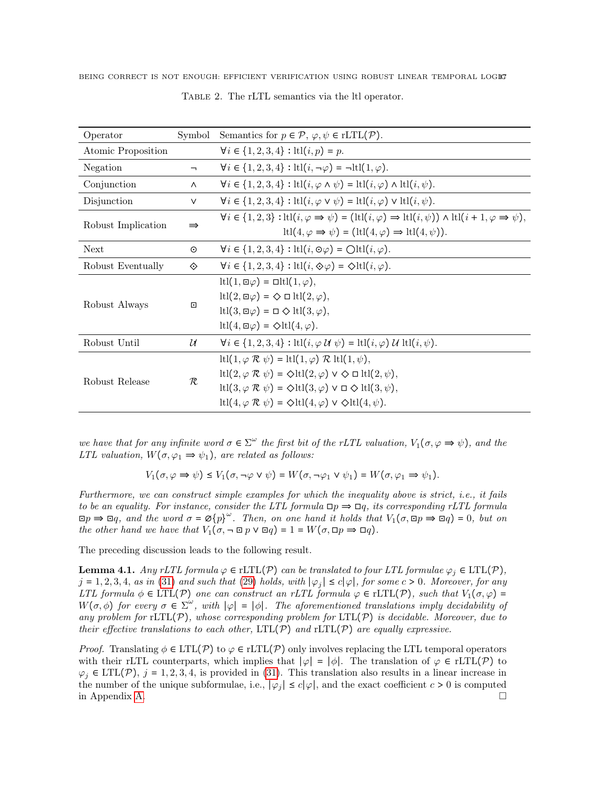| Operator           | Symbol        | Semantics for $p \in \mathcal{P}, \varphi, \psi \in \mathrm{rLTL}(\mathcal{P})$ .                                                                                                                                                                                                                                                                                                                                           |
|--------------------|---------------|-----------------------------------------------------------------------------------------------------------------------------------------------------------------------------------------------------------------------------------------------------------------------------------------------------------------------------------------------------------------------------------------------------------------------------|
| Atomic Proposition |               | $\forall i \in \{1, 2, 3, 4\} : \text{ltl}(i, p) = p.$                                                                                                                                                                                                                                                                                                                                                                      |
| Negation           | ⇁             | $\forall i \in \{1, 2, 3, 4\} : \text{ltl}(i, \neg \varphi) = \neg \text{ltl}(1, \varphi).$                                                                                                                                                                                                                                                                                                                                 |
| Conjunction        | $\wedge$      | $\forall i \in \{1, 2, 3, 4\} : \text{ltl}(i, \varphi \land \psi) = \text{ltl}(i, \varphi) \land \text{ltl}(i, \psi).$                                                                                                                                                                                                                                                                                                      |
| Disjunction        | $\vee$        | $\forall i \in \{1,2,3,4\} : \text{ltl}(i, \varphi \lor \psi) = \text{ltl}(i, \varphi) \lor \text{ltl}(i, \psi).$                                                                                                                                                                                                                                                                                                           |
| Robust Implication | $\Rightarrow$ | $\forall i \in \{1,2,3\} : \text{ltl}(i, \varphi \Rightarrow \psi) = (\text{ltl}(i, \varphi) \Rightarrow \text{ltl}(i, \psi)) \land \text{ltl}(i + 1, \varphi \Rightarrow \psi),$<br>$ltl(4, \varphi \Rightarrow \psi) = (ltl(4, \varphi) \Rightarrow \text{ltl}(4, \psi)).$                                                                                                                                                |
| <b>Next</b>        | $\odot$       | $\forall i \in \{1, 2, 3, 4\} : \text{ltl}(i, \mathcal{O}\varphi) = \text{Oltl}(i, \varphi).$                                                                                                                                                                                                                                                                                                                               |
| Robust Eventually  | ◈             | $\forall i \in \{1, 2, 3, 4\} : \text{ltl}(i, \diamondsuit \varphi) = \diamondsuit \text{ltl}(i, \varphi).$                                                                                                                                                                                                                                                                                                                 |
| Robust Always      | ⊡             | $ltl(1, \Box \varphi) = \Box \text{ltl}(1, \varphi),$<br>$ltl(2, \Box \varphi) = \Diamond \Box \ltl(1, \varphi),$<br>$ltl(3, \Box \varphi) = \Box \diamondsuit \ltl(l(3, \varphi),$<br>$ltl(4, \Box \varphi) = \Diamond \ltll(4, \varphi).$                                                                                                                                                                                 |
| Robust Until       | $\mathcal{U}$ | $\forall i \in \{1,2,3,4\} : \text{ltl}(i, \varphi \ \mathcal{U} \ \psi) = \text{ltl}(i, \varphi) \ \mathcal{U} \text{ltl}(i, \psi).$                                                                                                                                                                                                                                                                                       |
| Robust Release     | R.            | ltl $(1, \varphi \mathcal{R} \psi) =$ ltl $(1, \varphi) \mathcal{R}$ ltl $(1, \psi)$ ,<br>$ltl(2, \varphi \mathcal{R} \psi) = \Diamond \text{ltl}(2, \varphi) \vee \Diamond \Box \text{ltl}(2, \psi),$<br>$ltl(3, \varphi \mathcal{R} \psi) = \Diamond \text{ltl}(3, \varphi) \vee \Box \Diamond \text{ltl}(3, \psi),$<br>ltl $(4, \varphi \mathcal{R} \psi) = \Diamond$ ltl $(4, \varphi) \vee \Diamond$ ltl $(4, \psi)$ . |

<span id="page-16-0"></span>Table 2. The rLTL semantics via the ltl operator.

we have that for any infinite word  $\sigma \in \Sigma^{\omega}$  the first bit of the rLTL valuation,  $V_1(\sigma, \varphi \Rightarrow \psi)$ , and the LTL valuation,  $W(\sigma, \varphi_1 \Rightarrow \psi_1)$ , are related as follows:

$$
V_1(\sigma, \varphi \Rightarrow \psi) \le V_1(\sigma, \neg \varphi \vee \psi) = W(\sigma, \neg \varphi_1 \vee \psi_1) = W(\sigma, \varphi_1 \Rightarrow \psi_1).
$$

Furthermore, we can construct simple examples for which the inequality above is strict, i.e., it fails to be an equality. For instance, consider the LTL formula  $\Box p \Rightarrow \Box q$ , its corresponding rLTL formula  $\Box p \Rightarrow \Box q$ , and the word  $\sigma = \mathcal{O}{p}^{\omega}$ . Then, on one hand it holds that  $V_1(\sigma, \Box p \Rightarrow \Box q) = 0$ , but on the other hand we have that  $V_1(\sigma, \neg \boxdot p \vee \boxdot q) = 1 = W(\sigma, \boxdot p \Rightarrow \boxdot q)$ .

The preceding discussion leads to the following result.

<span id="page-16-1"></span>**Lemma 4.1.** Any rLTL formula  $\varphi \in \text{rLTL}(\mathcal{P})$  can be translated to four LTL formulae  $\varphi_i \in \text{LTL}(\mathcal{P})$ ,  $j = 1, 2, 3, 4$ , as in [\(31\)](#page-15-1) and such that [\(29\)](#page-15-2) holds, with  $|\varphi_j| \le c|\varphi|$ , for some c > 0. Moreover, for any LTL formula  $\phi \in \text{LTL}(\mathcal{P})$  one can construct an rLTL formula  $\varphi \in \text{rLTL}(\mathcal{P})$ , such that  $V_1(\sigma, \varphi)$  =  $W(\sigma, \phi)$  for every  $\sigma \in \Sigma^{\omega}$ , with  $|\varphi| = |\phi|$ . The aforementioned translations imply decidebility of any problem for  $rLTL(\mathcal{P})$ , whose corresponding problem for  $LTL(\mathcal{P})$  is decidable. Moreover, due to their effective translations to each other,  $LTL(\mathcal{P})$  and  $rLTL(\mathcal{P})$  are equally expressive.

*Proof.* Translating  $\phi \in \text{LTL}(\mathcal{P})$  to  $\varphi \in \text{rLTL}(\mathcal{P})$  only involves replacing the LTL temporal operators with their rLTL counterparts, which implies that  $|\varphi| = |\phi|$ . The translation of  $\varphi \in \text{rLTL}(\mathcal{P})$  to  $\varphi_i \in \text{LTL}(\mathcal{P}), j = 1, 2, 3, 4$ , is provided in [\(31\)](#page-15-1). This translation also results in a linear increase in the number of the unique subformulae, i.e.,  $|\varphi_j| \le c |\varphi|$ , and the exact coefficient  $c > 0$  is computed in Appendix [A.](#page-32-11)  $\Box$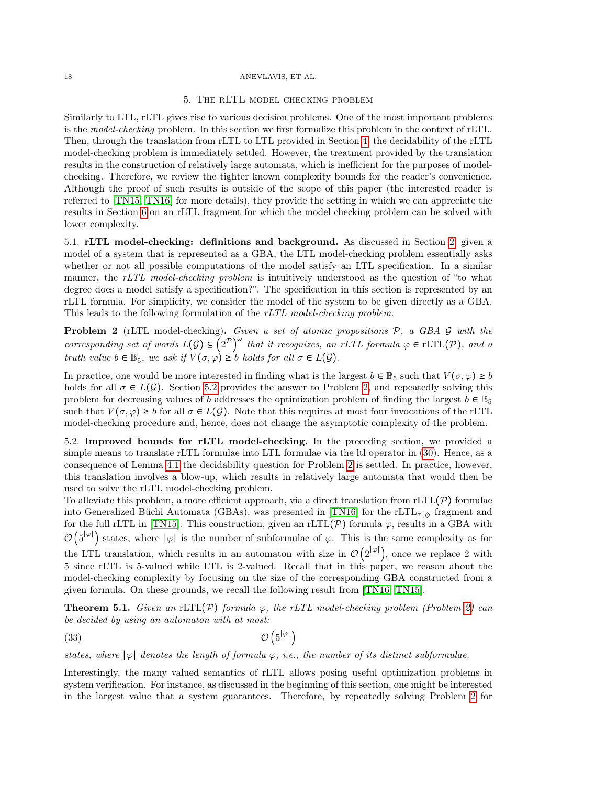#### <span id="page-17-0"></span>18 ANEVLAVIS, ET AL.

#### 5. The rLTL model checking problem

Similarly to LTL, rLTL gives rise to various decision problems. One of the most important problems is the model-checking problem. In this section we first formalize this problem in the context of rLTL. Then, through the translation from rLTL to LTL provided in Section [4,](#page-15-0) the decidability of the rLTL model-checking problem is immediately settled. However, the treatment provided by the translation results in the construction of relatively large automata, which is inefficient for the purposes of modelchecking. Therefore, we review the tighter known complexity bounds for the reader's convenience. Although the proof of such results is outside of the scope of this paper (the interested reader is referred to [\[TN15,](#page-32-4) [TN16\]](#page-32-0) for more details), they provide the setting in which we can appreciate the results in Section [6](#page-18-0) on an rLTL fragment for which the model checking problem can be solved with lower complexity.

5.1. rLTL model-checking: definitions and background. As discussed in Section [2,](#page-4-0) given a model of a system that is represented as a GBA, the LTL model-checking problem essentially asks whether or not all possible computations of the model satisfy an LTL specification. In a similar manner, the rLTL model-checking problem is intuitively understood as the question of "to what degree does a model satisfy a specification?". The specification in this section is represented by an rLTL formula. For simplicity, we consider the model of the system to be given directly as a GBA. This leads to the following formulation of the rLTL model-checking problem.

<span id="page-17-2"></span>Problem 2 (rLTL model-checking). Given a set of atomic propositions  $P$ , a GBA  $G$  with the corresponding set of words  $L(G) \subseteq (2^{\mathcal{P}})^{\omega}$  that it recognizes, an rLTL formula  $\varphi \in \text{rLTL}(\mathcal{P})$ , and a truth value  $b \in \mathbb{B}_5$ , we ask if  $V(\sigma, \varphi) \geq b$  holds for all  $\sigma \in L(G)$ .

In practice, one would be more interested in finding what is the largest  $b \in \mathbb{B}_5$  such that  $V(\sigma, \varphi) \ge b$ holds for all  $\sigma \in L(G)$ . Section [5.2](#page-17-1) provides the answer to Problem [2,](#page-17-2) and repeatedly solving this problem for decreasing values of b addresses the optimization problem of finding the largest  $b \in \mathbb{B}_5$ such that  $V(\sigma, \varphi) \ge b$  for all  $\sigma \in L(G)$ . Note that this requires at most four invocations of the rLTL model-checking procedure and, hence, does not change the asymptotic complexity of the problem.

<span id="page-17-1"></span>5.2. Improved bounds for rLTL model-checking. In the preceding section, we provided a simple means to translate rLTL formulae into LTL formulae via the ltl operator in [\(30\)](#page-15-3). Hence, as a consequence of Lemma [4.1](#page-16-1) the decidability question for Problem [2](#page-17-2) is settled. In practice, however, this translation involves a blow-up, which results in relatively large automata that would then be used to solve the rLTL model-checking problem.

To alleviate this problem, a more efficient approach, via a direct translation from  $rLTL(\mathcal{P})$  formulae into Generalized Büchi Automata (GBAs), was presented in [\[TN16\]](#page-32-0) for the rLTL $_{\text{E},\diamond}$  fragment and for the full rLTL in [\[TN15\]](#page-32-4). This construction, given an rLTL( $\mathcal{P}$ ) formula  $\varphi$ , results in a GBA with  $\mathcal{O}(5^{|\varphi|})$  states, where  $|\varphi|$  is the number of subformulae of  $\varphi$ . This is the same complexity as for the LTL translation, which results in an automaton with size in  $\mathcal{O}(2^{|\varphi|})$ , once we replace 2 with 5 since rLTL is 5-valued while LTL is 2-valued. Recall that in this paper, we reason about the model-checking complexity by focusing on the size of the corresponding GBA constructed from a given formula. On these grounds, we recall the following result from [\[TN16,](#page-32-0) [TN15\]](#page-32-4).

<span id="page-17-3"></span>**Theorem 5.1.** Given an rLTL(P) formula  $\varphi$ , the rLTL model-checking problem (Problem [2\)](#page-17-2) can be decided by using an automaton with at most:

<span id="page-17-4"></span>
$$
\mathcal{O}\left(5^{|\varphi|}\right)
$$

states, where  $|\varphi|$  denotes the length of formula  $\varphi$ , i.e., the number of its distinct subformulae.

Interestingly, the many valued semantics of rLTL allows posing useful optimization problems in system verification. For instance, as discussed in the beginning of this section, one might be interested in the largest value that a system guarantees. Therefore, by repeatedly solving Problem [2](#page-17-2) for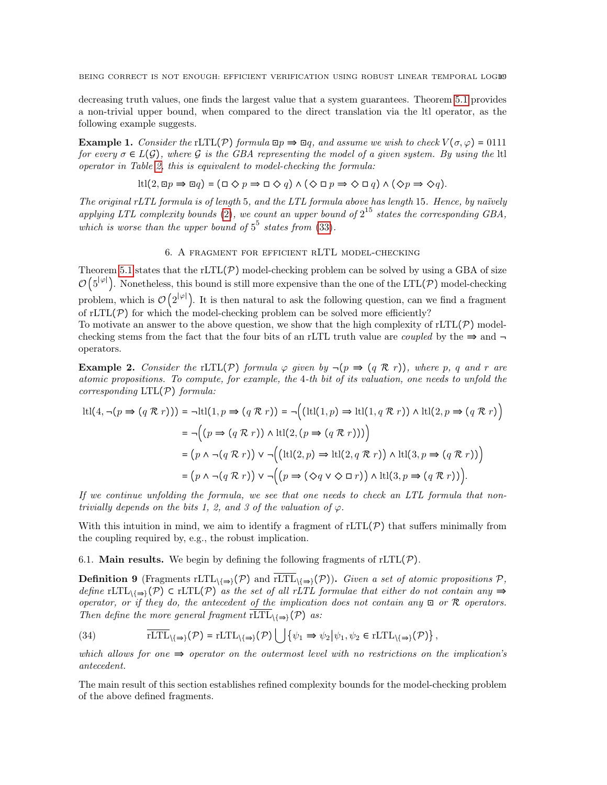decreasing truth values, one finds the largest value that a system guarantees. Theorem [5.1](#page-17-3) provides a non-trivial upper bound, when compared to the direct translation via the ltl operator, as the following example suggests.

<span id="page-18-3"></span>Example 1. Consider the rLTL(P) formula  $\Box p \Rightarrow \Box q$ , and assume we wish to check  $V(\sigma, \varphi) = 0111$ for every  $\sigma \in L(G)$ , where G is the GBA representing the model of a given system. By using the ltl operator in Table [2,](#page-16-0) this is equivalent to model-checking the formula:

$$
\text{ltl}(2, \Box p \Rightarrow \Box q) = (\Box \Diamond p \Rightarrow \Box \Diamond q) \land (\Diamond \Box p \Rightarrow \Diamond \Box q) \land (\Diamond p \Rightarrow \Diamond q).
$$

The original rLTL formula is of length 5, and the LTL formula above has length 15. Hence, by naïvely applying LTL complexity bounds [\(2\)](#page-6-3), we count an upper bound of  $2^{15}$  states the corresponding GBA, which is worse than the upper bound of  $5^5$  states from [\(33\)](#page-17-4).

# 6. A fragment for efficient rLTL model-checking

<span id="page-18-0"></span>Theorem [5.1](#page-17-3) states that the  $rLTL(\mathcal{P})$  model-checking problem can be solved by using a GBA of size  $\mathcal{O}(5^{|\varphi|})$ . Nonetheless, this bound is still more expensive than the one of the LTL(P) model-checking problem, which is  $\mathcal{O}(2^{|\varphi|})$ . It is then natural to ask the following question, can we find a fragment of rLTL( $\mathcal{P}$ ) for which the model-checking problem can be solved more efficiently?

To motivate an answer to the above question, we show that the high complexity of  $rLTL(\mathcal{P})$  modelchecking stems from the fact that the four bits of an rLTL truth value are *coupled* by the  $\Rightarrow$  and  $\neg$ operators.

<span id="page-18-4"></span>**Example 2.** Consider the rLTL(P) formula  $\varphi$  given by  $\neg (p \Rightarrow (q \mathcal{R} r))$ , where p, q and r are atomic propositions. To compute, for example, the 4-th bit of its valuation, one needs to unfold the corresponding  $LTL(\mathcal{P})$  formula:

$$
ltl(4, \neg(p \Rightarrow (q \mathcal{R} r))) = \negltl(1, p \Rightarrow (q \mathcal{R} r)) = \neg((ltll(1, p) \Rightarrow \text{ltl}(1, q \mathcal{R} r)) \land \text{ltl}(2, p \Rightarrow (q \mathcal{R} r))
$$
  
\n
$$
= \neg((p \Rightarrow (q \mathcal{R} r)) \land \text{ltl}(2, (p \Rightarrow (q \mathcal{R} r))))
$$
  
\n
$$
= (p \land \neg(q \mathcal{R} r)) \lor \neg((ltl(2, p) \Rightarrow \text{ltl}(2, q \mathcal{R} r)) \land \text{ltl}(3, p \Rightarrow (q \mathcal{R} r)))
$$
  
\n
$$
= (p \land \neg(q \mathcal{R} r)) \lor \neg((p \Rightarrow (\Diamond q \lor \Diamond \Box r)) \land \text{ltl}(3, p \Rightarrow (q \mathcal{R} r)))
$$

If we continue unfolding the formula, we see that one needs to check an LTL formula that nontrivially depends on the bits 1, 2, and 3 of the valuation of  $\varphi$ .

With this intuition in mind, we aim to identify a fragment of  $rLTL(\mathcal{P})$  that suffers minimally from the coupling required by, e.g., the robust implication.

6.1. **Main results.** We begin by defining the following fragments of  $rLTL(\mathcal{P})$ .

<span id="page-18-2"></span>**Definition 9** (Fragments rLTL<sub>\{ $\Rightarrow$ **}(P)** and  $\overline{rLTL}$ <sub>\{</sub> $\Rightarrow$ }(P)). Given a set of atomic propositions P,</sub> define rLTL $_{\{\Rightarrow\}}(\mathcal{P})$   $\subset$  rLTL $(\mathcal{P})$  as the set of all rLTL formulae that either do not contain any  $\Rightarrow$ operator, or if they do, the antecedent of the implication does not contain any  $\Box$  or  $\mathcal R$  operators. Then define the more general fragment  $\overline{rLTL}_{\{\Rightarrow\}}(\mathcal{P})$  as:

<span id="page-18-1"></span>(34) 
$$
\overline{\text{rLTL}}_{\{\Rightarrow\}}(\mathcal{P}) = \text{rLTL}_{\{\Rightarrow\}}(\mathcal{P}) \bigcup \{\psi_1 \Rightarrow \psi_2 | \psi_1, \psi_2 \in \text{rLTL}_{\{\Rightarrow\}}(\mathcal{P})\},
$$

which allows for one  $\Rightarrow$  operator on the outermost level with no restrictions on the implication's antecedent.

The main result of this section establishes refined complexity bounds for the model-checking problem of the above defined fragments.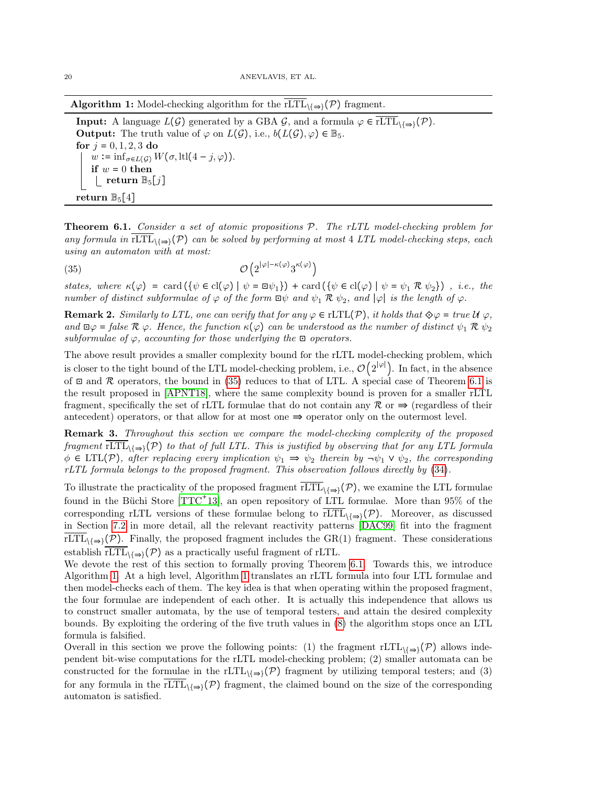**Algorithm 1:** Model-checking algorithm for the rLTL $_{\{\Rightarrow\}}(\mathcal{P})$  fragment.

<span id="page-19-2"></span>**Input:** A language  $L(G)$  generated by a GBA G, and a formula  $\varphi \in rLTL_{\{\Rightarrow\}}(\mathcal{P})$ . **Output:** The truth value of  $\varphi$  on  $L(\mathcal{G})$ , i.e.,  $b(L(\mathcal{G}), \varphi) \in \mathbb{B}_5$ . for  $j = 0, 1, 2, 3$  do  $w := \inf_{\sigma \in L(\mathcal{G})} W(\sigma, \text{ltl}(4 - j, \varphi)).$ if  $w = 0$  then  $\textbf{return} \ \mathbb{B}_5[j]$ return  $\mathbb{B}_5[4]$ 

<span id="page-19-1"></span>**Theorem 6.1.** Consider a set of atomic propositions P. The rLTL model-checking problem for any formula in  $rLT\rightarrow\{P\}$  can be solved by performing at most 4 LTL model-checking steps, each using an automaton with at most:

<span id="page-19-0"></span> $(35)$   $\mathcal{O}(2)$  $|\varphi|$ - $\kappa(\varphi)$  $3^{\kappa(\varphi)}$ 

states, where  $\kappa(\varphi) = \text{card}(\{\psi \in \text{cl}(\varphi) \mid \psi = \text{d}\psi_1\}) + \text{card}(\{\psi \in \text{cl}(\varphi) \mid \psi = \psi_1 \mathcal{R} \psi_2\})$ , i.e., the number of distinct subformulae of  $\varphi$  of the form  $\Box \psi$  and  $\psi_1 \mathcal{R} \psi_2$ , and  $|\varphi|$  is the length of  $\varphi$ .

**Remark 2.** Similarly to LTL, one can verify that for any  $\varphi \in \text{rLTL}(\mathcal{P})$ , it holds that  $\Diamond \varphi = \text{true } \mathcal{U} \varphi$ , and  $\Box \varphi = \text{false } \mathcal{R} \varphi$ . Hence, the function  $\kappa(\varphi)$  can be understood as the number of distinct  $\psi_1 \mathcal{R} \psi_2$ subformulae of  $\varphi$ , accounting for those underlying the  $\Box$  operators.

The above result provides a smaller complexity bound for the rLTL model-checking problem, which is closer to the tight bound of the LTL model-checking problem, i.e.,  $\mathcal{O}(2^{|\varphi|})$ . In fact, in the absence of  $\Box$  and  $\mathcal R$  operators, the bound in [\(35\)](#page-19-0) reduces to that of LTL. A special case of Theorem [6.1](#page-19-1) is the result proposed in [\[APNT18\]](#page-30-0), where the same complexity bound is proven for a smaller rLTL fragment, specifically the set of rLTL formulae that do not contain any  $\mathcal{R}$  or  $\Rightarrow$  (regardless of their antecedent) operators, or that allow for at most one  $\Rightarrow$  operator only on the outermost level.

**Remark 3.** Throughout this section we compare the model-checking complexity of the proposed fragment  $rLTL_{\{\Rightarrow\}}(P)$  to that of full LTL. This is justified by observing that for any LTL formula  $\phi \in \text{LTL}(\mathcal{P})$ , after replacing every implication  $\psi_1 \Rightarrow \psi_2$  therein by  $\neg \psi_1 \vee \psi_2$ , the corresponding rLTL formula belongs to the proposed fragment. This observation follows directly by [\(34\)](#page-18-1).

To illustrate the practicality of the proposed fragment  $\overline{rLTL}_{\{\Rightarrow\}}(\mathcal{P})$ , we examine the LTL formulae found in the Büchi Store  $[TTC^+13]$  $[TTC^+13]$ , an open repository of LTL formulae. More than 95% of the corresponding rLTL versions of these formulae belong to  $\overline{rLTL}_{\{=\}}(\mathcal{P})$ . Moreover, as discussed in Section [7.2](#page-27-0) in more detail, all the relevant reactivity patterns [\[DAC99\]](#page-31-0) fit into the fragment  $\overline{rLTL}_{\{\Rightarrow\}}(\mathcal{P})$ . Finally, the proposed fragment includes the GR(1) fragment. These considerations establish  $rLTL_{\{\Rightarrow\}}(\mathcal{P})$  as a practically useful fragment of rLTL.

We devote the rest of this section to formally proving Theorem [6.1.](#page-19-1) Towards this, we introduce Algorithm [1.](#page-19-2) At a high level, Algorithm [1](#page-19-2) translates an rLTL formula into four LTL formulae and then model-checks each of them. The key idea is that when operating within the proposed fragment, the four formulae are independent of each other. It is actually this independence that allows us to construct smaller automata, by the use of temporal testers, and attain the desired complexity bounds. By exploiting the ordering of the five truth values in [\(8\)](#page-8-0) the algorithm stops once an LTL formula is falsified.

Overall in this section we prove the following points: (1) the fragment rLTL $_{\{=\}}(\mathcal{P})$  allows independent bit-wise computations for the rLTL model-checking problem; (2) smaller automata can be constructed for the formulae in the rLTL $\{ \Rightarrow \}$  fragment by utilizing temporal testers; and (3) for any formula in the rLTL $_{\{\Rightarrow\}}(\mathcal{P})$  fragment, the claimed bound on the size of the corresponding automaton is satisfied.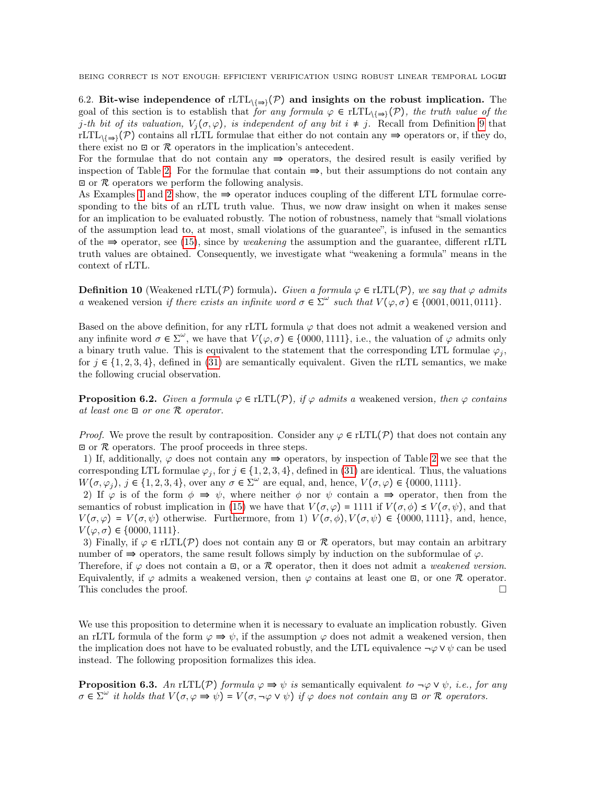6.2. Bit-wise independence of rLTL $_{\{\Rightarrow\}}(\mathcal{P})$  and insights on the robust implication. The goal of this section is to establish that for any formula  $\varphi \in \text{rLTL}_{\setminus \{\Rightarrow\}}(\mathcal{P})$ , the truth value of the j-th bit of its valuation,  $V_i(\sigma, \varphi)$ , is independent of any bit  $i \neq j$ . Recall from Definition [9](#page-18-2) that  $rLTL_{\{\Rightarrow\}}(\mathcal{P})$  contains all rLTL formulae that either do not contain any  $\Rightarrow$  operators or, if they do, there exist no  $\Box$  or  $\mathcal R$  operators in the implication's antecedent.

For the formulae that do not contain any  $\Rightarrow$  operators, the desired result is easily verified by inspection of Table [2.](#page-16-0) For the formulae that contain  $\Rightarrow$ , but their assumptions do not contain any  $\Box$  or  $\mathcal R$  operators we perform the following analysis.

As Examples [1](#page-18-3) and [2](#page-18-4) show, the  $\Rightarrow$  operator induces coupling of the different LTL formulae corresponding to the bits of an rLTL truth value. Thus, we now draw insight on when it makes sense for an implication to be evaluated robustly. The notion of robustness, namely that "small violations of the assumption lead to, at most, small violations of the guarantee", is infused in the semantics of the  $\Rightarrow$  operator, see [\(15\)](#page-10-3), since by *weakening* the assumption and the guarantee, different rLTL truth values are obtained. Consequently, we investigate what "weakening a formula" means in the context of rLTL.

**Definition 10** (Weakened rLTL(P) formula). Given a formula  $\varphi \in \text{rLTL}(\mathcal{P})$ , we say that  $\varphi$  admits a weakened version if there exists an infinite word  $\sigma \in \Sigma^{\omega}$  such that  $V(\varphi, \sigma) \in \{0001, 0011, 0111\}$ .

Based on the above definition, for any rLTL formula  $\varphi$  that does not admit a weakened version and any infinite word  $\sigma \in \Sigma^{\omega}$ , we have that  $V(\varphi, \sigma) \in \{0000, 1111\}$ , i.e., the valuation of  $\varphi$  admits only a binary truth value. This is equivalent to the statement that the corresponding LTL formulae  $\varphi_j$ , for  $j \in \{1, 2, 3, 4\}$ , defined in [\(31\)](#page-15-1) are semantically equivalent. Given the rLTL semantics, we make the following crucial observation.

<span id="page-20-0"></span>**Proposition 6.2.** Given a formula  $\varphi \in \text{rLTL}(\mathcal{P})$ , if  $\varphi$  admits a weakened version, then  $\varphi$  contains at least one  $\mathbb{E}$  or one  $\mathcal{R}$  operator.

*Proof.* We prove the result by contraposition. Consider any  $\varphi \in \text{rITL}(\mathcal{P})$  that does not contain any  $\Box$  or  $\mathcal R$  operators. The proof proceeds in three steps.

1) If, additionally,  $\varphi$  does not contain any  $\Rightarrow$  operators, by inspection of Table [2](#page-16-0) we see that the corresponding LTL formulae  $\varphi_j$ , for  $j \in \{1, 2, 3, 4\}$ , defined in [\(31\)](#page-15-1) are identical. Thus, the valuations  $W(\sigma, \varphi_j)$ ,  $j \in \{1, 2, 3, 4\}$ , over any  $\sigma \in \Sigma^{\omega}$  are equal, and, hence,  $V(\sigma, \varphi) \in \{0000, 1111\}$ .

2) If  $\varphi$  is of the form  $\phi \Rightarrow \psi$ , where neither  $\phi$  nor  $\psi$  contain a  $\Rightarrow$  operator, then from the semantics of robust implication in [\(15\)](#page-10-3) we have that  $V(\sigma, \varphi) = 1111$  if  $V(\sigma, \phi) \preceq V(\sigma, \psi)$ , and that  $V(\sigma, \varphi) = V(\sigma, \psi)$  otherwise. Furthermore, from 1)  $V(\sigma, \phi)$ ,  $V(\sigma, \psi) \in \{0000, 1111\}$ , and, hence,  $V(\varphi, \sigma) \in \{0000, 1111\}.$ 

3) Finally, if  $\varphi \in \text{rLTL}(\mathcal{P})$  does not contain any  $\Xi$  or  $\mathcal R$  operators, but may contain an arbitrary number of  $\Rightarrow$  operators, the same result follows simply by induction on the subformulae of  $\varphi$ .

Therefore, if  $\varphi$  does not contain a  $\Xi$ , or a R operator, then it does not admit a *weakened version*. Equivalently, if  $\varphi$  admits a weakened version, then  $\varphi$  contains at least one  $\Xi$ , or one  $\mathcal R$  operator. This concludes the proof.  $\Box$ 

We use this proposition to determine when it is necessary to evaluate an implication robustly. Given an rLTL formula of the form  $\varphi \Rightarrow \psi$ , if the assumption  $\varphi$  does not admit a weakened version, then the implication does not have to be evaluated robustly, and the LTL equivalence  $\neg \varphi \vee \psi$  can be used instead. The following proposition formalizes this idea.

<span id="page-20-1"></span>**Proposition 6.3.** An rLTL(P) formula  $\varphi \Rightarrow \psi$  is semantically equivalent to  $\neg \varphi \vee \psi$ , i.e., for any  $\sigma \in \Sigma^{\omega}$  it holds that  $V(\sigma, \varphi \Rightarrow \psi) = V(\sigma, \neg \varphi \vee \psi)$  if  $\varphi$  does not contain any  $\Box$  or R operators.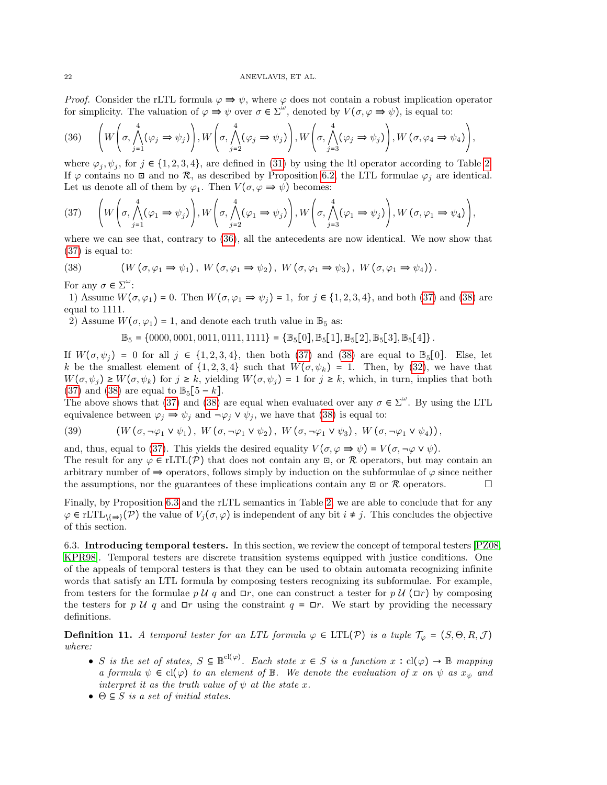*Proof.* Consider the rLTL formula  $\varphi \Rightarrow \psi$ , where  $\varphi$  does not contain a robust implication operator for simplicity. The valuation of  $\varphi \Rightarrow \psi$  over  $\sigma \in \Sigma^{\omega}$ , denoted by  $V(\sigma, \varphi \Rightarrow \psi)$ , is equal to:

<span id="page-21-0"></span>(36) 
$$
\left(W\left(\sigma, \bigwedge_{j=1}^{4}(\varphi_{j} \Rightarrow \psi_{j})\right), W\left(\sigma, \bigwedge_{j=2}^{4}(\varphi_{j} \Rightarrow \psi_{j})\right), W\left(\sigma, \bigwedge_{j=3}^{4}(\varphi_{j} \Rightarrow \psi_{j})\right), W\left(\sigma, \varphi_{4} \Rightarrow \psi_{4}\right)\right),
$$

where  $\varphi_j, \psi_j$ , for  $j \in \{1, 2, 3, 4\}$ , are defined in [\(31\)](#page-15-1) by using the ltl operator according to Table [2.](#page-16-0) If  $\varphi$  contains no  $\Box$  and no  $\mathcal{R}$ , as described by Proposition [6.2,](#page-20-0) the LTL formulae  $\varphi_i$  are identical. Let us denote all of them by  $\varphi_1$ . Then  $V(\sigma, \varphi \Rightarrow \psi)$  becomes:

<span id="page-21-1"></span>
$$
(37) \qquad \left(W\left(\sigma, \bigwedge_{j=1}^{4}(\varphi_{1}\Rightarrow\psi_{j})\right), W\left(\sigma, \bigwedge_{j=2}^{4}(\varphi_{1}\Rightarrow\psi_{j})\right), W\left(\sigma, \bigwedge_{j=3}^{4}(\varphi_{1}\Rightarrow\psi_{j})\right), W\left(\sigma, \varphi_{1}\Rightarrow\psi_{4}\right)\right),
$$

where we can see that, contrary to [\(36\)](#page-21-0), all the antecedents are now identical. We now show that [\(37\)](#page-21-1) is equal to:

<span id="page-21-2"></span>(38) 
$$
(W(\sigma, \varphi_1 \Rightarrow \psi_1), W(\sigma, \varphi_1 \Rightarrow \psi_2), W(\sigma, \varphi_1 \Rightarrow \psi_3), W(\sigma, \varphi_1 \Rightarrow \psi_4)).
$$

For any  $\sigma \in \Sigma^{\omega}$ :

1) Assume  $W(\sigma, \varphi_1) = 0$ . Then  $W(\sigma, \varphi_1 \Rightarrow \psi_j) = 1$ , for  $j \in \{1, 2, 3, 4\}$ , and both [\(37\)](#page-21-1) and [\(38\)](#page-21-2) are equal to 1111.

2) Assume  $W(\sigma, \varphi_1) = 1$ , and denote each truth value in  $\mathbb{B}_5$  as:

$$
\mathbb{B}_5 = \{0000, 0001, 0011, 0111, 1111\} = \{\mathbb{B}_5[0], \mathbb{B}_5[1], \mathbb{B}_5[2], \mathbb{B}_5[3], \mathbb{B}_5[4]\}.
$$

If  $W(\sigma, \psi_i) = 0$  for all  $i \in \{1, 2, 3, 4\}$ , then both [\(37\)](#page-21-1) and [\(38\)](#page-21-2) are equal to  $\mathbb{B}_5[0]$ . Else, let k be the smallest element of  $\{1, 2, 3, 4\}$  such that  $W(\sigma, \psi_k) = 1$ . Then, by [\(32\)](#page-15-4), we have that  $W(\sigma, \psi_i) \geq W(\sigma, \psi_k)$  for  $j \geq k$ , yielding  $W(\sigma, \psi_i) = 1$  for  $j \geq k$ , which, in turn, implies that both [\(37\)](#page-21-1) and [\(38\)](#page-21-2) are equal to  $\mathbb{B}_5[5-k]$ .

The above shows that [\(37\)](#page-21-1) and [\(38\)](#page-21-2) are equal when evaluated over any  $\sigma \in \Sigma^{\omega}$ . By using the LTL equivalence between  $\varphi_j \Rightarrow \psi_j$  and  $\neg \varphi_j \vee \psi_j$ , we have that [\(38\)](#page-21-2) is equal to:

(39) 
$$
(W(\sigma, \neg \varphi_1 \vee \psi_1), W(\sigma, \neg \varphi_1 \vee \psi_2), W(\sigma, \neg \varphi_1 \vee \psi_3), W(\sigma, \neg \varphi_1 \vee \psi_4)),
$$

and, thus, equal to [\(37\)](#page-21-1). This yields the desired equality  $V(\sigma, \varphi \Rightarrow \psi) = V(\sigma, \neg \varphi \vee \psi)$ . The result for any  $\varphi \in \text{rLTL}(\mathcal{P})$  that does not contain any  $\Xi$ , or R operators, but may contain an arbitrary number of  $\Rightarrow$  operators, follows simply by induction on the subformulae of  $\varphi$  since neither the assumptions, nor the guarantees of these implications contain any  $\Box$  or  $\mathcal R$  operators.

Finally, by Proposition [6.3](#page-20-1) and the rLTL semantics in Table [2,](#page-16-0) we are able to conclude that for any  $\varphi \in \mathrm{rLTL}_{\mathcal{N}}(\mathcal{P})$  the value of  $V_i(\sigma, \varphi)$  is independent of any bit  $i \neq j$ . This concludes the objective of this section.

6.3. Introducing temporal testers. In this section, we review the concept of temporal testers [\[PZ08,](#page-32-6) [KPR98\]](#page-31-12). Temporal testers are discrete transition systems equipped with justice conditions. One of the appeals of temporal testers is that they can be used to obtain automata recognizing infinite words that satisfy an LTL formula by composing testers recognizing its subformulae. For example, from testers for the formulae p U q and  $\Box r$ , one can construct a tester for p U ( $\Box r$ ) by composing the testers for p U q and  $\Box r$  using the constraint  $q = \Box r$ . We start by providing the necessary definitions.

<span id="page-21-3"></span>**Definition 11.** A temporal tester for an LTL formula  $\varphi \in \text{LTL}(\mathcal{P})$  is a tuple  $\mathcal{T}_{\varphi} = (S, \Theta, R, \mathcal{J})$ where:

- S is the set of states,  $S \subseteq \mathbb{B}^{cl(\varphi)}$ . Each state  $x \in S$  is a function  $x : cl(\varphi) \to \mathbb{B}$  mapping a formula  $\psi \in \text{cl}(\varphi)$  to an element of B. We denote the evaluation of x on  $\psi$  as  $x_{\psi}$  and interpret it as the truth value of  $\psi$  at the state x.
- $\Theta \subseteq S$  is a set of initial states.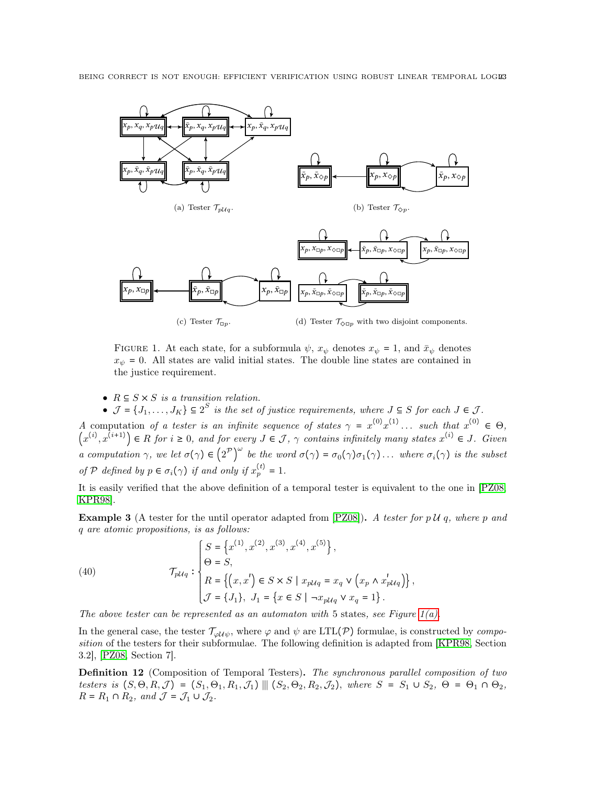<span id="page-22-1"></span><span id="page-22-0"></span>

<span id="page-22-3"></span><span id="page-22-2"></span>FIGURE 1. At each state, for a subformula  $\psi$ ,  $x_{\psi}$  denotes  $x_{\psi} = 1$ , and  $\bar{x}_{\psi}$  denotes  $x_{\psi} = 0$ . All states are valid initial states. The double line states are contained in the justice requirement.

•  $R \subseteq S \times S$  is a transition relation.

•  $\mathcal{J} = \{J_1, \ldots, J_K\} \subseteq 2^S$  is the set of justice requirements, where  $J \subseteq S$  for each  $J \in \mathcal{J}$ . A computation of a tester is an infinite sequence of states  $\gamma = x^{(0)}x^{(1)} \dots$  such that  $x^{(0)} \in \Theta$ ,  $(x^{(i)},x^{(i+1)}) \in R$  for  $i \geq 0$ , and for every  $J \in \mathcal{J}$ ,  $\gamma$  contains infinitely many states  $x^{(i)} \in J$ . Given a computation  $\gamma$ , we let  $\sigma(\gamma) \in (2^{\mathcal{P}})^{\omega}$  be the word  $\sigma(\gamma) = \sigma_0(\gamma) \sigma_1(\gamma) \ldots$  where  $\sigma_i(\gamma)$  is the subset of P defined by  $p \in \sigma_i(\gamma)$  if and only if  $x_p^{(t)} = 1$ .

It is easily verified that the above definition of a temporal tester is equivalent to the one in [\[PZ08,](#page-32-6) [KPR98\]](#page-31-12).

**Example 3** (A tester for the until operator adapted from [\[PZ08\]](#page-32-6)). A tester for p  $\mathcal{U}$  q, where p and q are atomic propositions, is as follows:

(40) 
$$
\mathcal{T}_{p\mathcal{U}q} : \begin{cases} S = \left\{ x^{(1)}, x^{(2)}, x^{(3)}, x^{(4)}, x^{(5)} \right\}, \\ \Theta = S, \\ R = \left\{ (x, x') \in S \times S \mid x_{p\mathcal{U}q} = x_q \vee (x_p \wedge x'_{p\mathcal{U}q}) \right\}, \\ \mathcal{J} = \{J_1\}, \ J_1 = \left\{ x \in S \mid -x_{p\mathcal{U}q} \vee x_q = 1 \right\}. \end{cases}
$$

The above tester can be represented as an automaton with 5 states, see Figure  $1(a)$ .

In the general case, the tester  $\mathcal{T}_{\varphi \mathcal{U}\psi}$ , where  $\varphi$  and  $\psi$  are LTL(P) formulae, is constructed by *compo*-sition of the testers for their subformulae. The following definition is adapted from [\[KPR98,](#page-31-12) Section 3.2], [\[PZ08,](#page-32-6) Section 7].

<span id="page-22-4"></span>Definition 12 (Composition of Temporal Testers). The synchronous parallel composition of two testers is  $(S, \Theta, R, \mathcal{J}) = (S_1, \Theta_1, R_1, \mathcal{J}_1) \parallel (S_2, \Theta_2, R_2, \mathcal{J}_2)$ , where  $S = S_1 \cup S_2$ ,  $\Theta = \Theta_1 \cap \Theta_2$ ,  $R = R_1 \cap R_2$ , and  $\mathcal{J} = \mathcal{J}_1 \cup \mathcal{J}_2$ .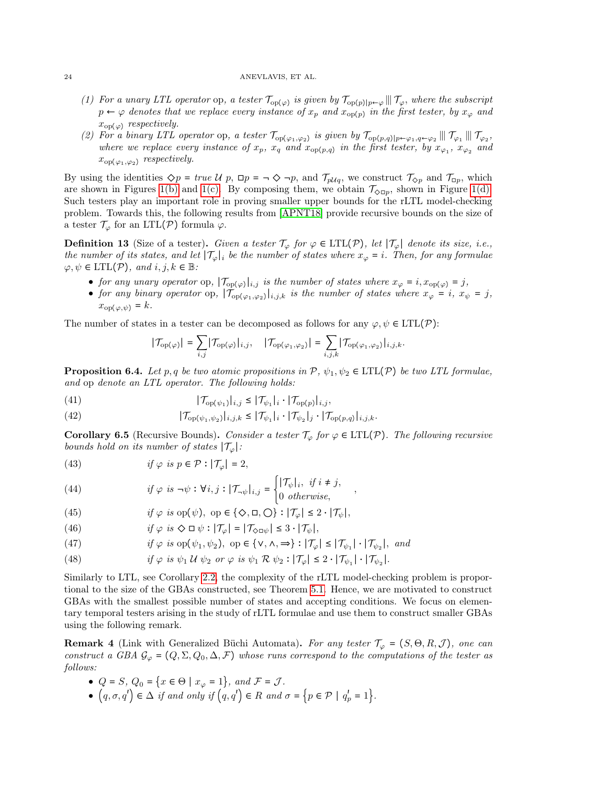# 24 ANEVLAVIS, ET AL.

- (1) For a unary LTL operator op, a tester  $\mathcal{T}_{\text{op}(\varphi)}$  is given by  $\mathcal{T}_{\text{op}(p)|p\leftarrow\varphi}$  || $\mathcal{T}_{\varphi}$ , where the subscript  $p \leftarrow \varphi$  denotes that we replace every instance of  $x_p$  and  $x_{\text{op}(p)}$  in the first tester  $x_{op(\varphi)}$  respectively.
- (2) For a binary LTL operator op, a tester  $\mathcal{T}_{\text{op}(\varphi_1,\varphi_2)}$  is given by  $\mathcal{T}_{\text{op}(p,q)|p\leftarrow\varphi_1,q\leftarrow\varphi_2} \parallel \mathcal{T}_{\varphi_1} \parallel \mathcal{T}_{\varphi_2}$ , where we replace every instance of  $x_p$ ,  $x_q$  and  $x_{op(p,q)}$  in the first tester, by  $x_{\varphi_1}$ ,  $x_{\varphi_2}$  and  $x_{\text{op}(\varphi_1,\varphi_2)}$  respectively.

By using the identities  $\Diamond p = true \mathcal{U} p$ ,  $\Box p = \neg \Diamond \neg p$ , and  $\mathcal{T}_{p\mathcal{U}q}$ , we construct  $\mathcal{T}_{\Diamond p}$  and  $\mathcal{T}_{\Box p}$ , which are shown in Figures [1\(b\)](#page-22-1) and [1\(c\).](#page-22-2) By composing them, we obtain  $\mathcal{T}_{\Diamond \Box p}$ , shown in Figure [1\(d\).](#page-22-3) Such testers play an important role in proving smaller upper bounds for the rLTL model-checking problem. Towards this, the following results from [\[APNT18\]](#page-30-0) provide recursive bounds on the size of a tester  $\mathcal{T}_{\varphi}$  for an LTL(P) formula  $\varphi$ .

**Definition 13** (Size of a tester). Given a tester  $\mathcal{T}_{\varphi}$  for  $\varphi \in \text{LTL}(\mathcal{P})$ , let  $|\mathcal{T}_{\varphi}|$  denote its size, i.e., the number of its states, and let  $|\mathcal{T}_{\varphi}|_i$  be the number of states where  $x_{\varphi} = i$ . Then, for any formulae  $\varphi, \psi \in \text{LTL}(\mathcal{P}), \text{ and } i, j, k \in \mathbb{B}$ :

- for any unary operator op,  $|\mathcal{T}_{op(\varphi)}|_{i,j}$  is the number of states where  $x_{\varphi} = i, x_{op(\varphi)} = j$ ,
- for any binary operator op,  $|\overline{\mathcal{T}_{\mathrm{op}(\varphi_1,\varphi_2)}|_{i,j,k}}$  is the number of states where  $x_{\varphi} = i$ ,  $x_{\psi} = j$ ,  $x_{op(\varphi,\psi)} = k.$

The number of states in a tester can be decomposed as follows for any  $\varphi, \psi \in \text{LTL}(\mathcal{P})$ :

$$
|\mathcal{T}_{\mathrm{op}(\varphi)}| = \sum_{i,j} |\mathcal{T}_{\mathrm{op}(\varphi)}|_{i,j}, \quad |\mathcal{T}_{\mathrm{op}(\varphi_1,\varphi_2)}| = \sum_{i,j,k} |\mathcal{T}_{\mathrm{op}(\varphi_1,\varphi_2)}|_{i,j,k}.
$$

<span id="page-23-4"></span>**Proposition 6.4.** Let p, q be two atomic propositions in  $\mathcal{P}, \psi_1, \psi_2 \in \text{LTL}(\mathcal{P})$  be two LTL formulae, and op denote an LTL operator. The following holds:

(41) 
$$
|\mathcal{T}_{\text{op}(\psi_1)}|_{i,j} \leq |\mathcal{T}_{\psi_1}|_i \cdot |\mathcal{T}_{\text{op}(p)}|_{i,j},
$$

(42) 
$$
|\mathcal{T}_{op(\psi_1,\psi_2)}|_{i,j,k} \leq |\mathcal{T}_{\psi_1}|_i \cdot |\mathcal{T}_{\psi_2}|_j \cdot |\mathcal{T}_{op(p,q)}|_{i,j,k}.
$$

<span id="page-23-5"></span>**Corollary 6.5** (Recursive Bounds). Consider a tester  $\mathcal{T}_{\varphi}$  for  $\varphi \in \text{LTL}(\mathcal{P})$ . The following recursive bounds hold on its number of states  $|\mathcal{T}_{\varphi}|$ :

<span id="page-23-0"></span>(43) 
$$
if \varphi \text{ is } p \in \mathcal{P} : |\mathcal{T}_{\varphi}| = 2,
$$

<span id="page-23-1"></span>(44) 
$$
if \varphi is \neg \psi : \forall i, j : |\mathcal{T}_{\neg \psi}|_{i,j} = \begin{cases} |\mathcal{T}_{\psi}|_i, & \text{if } i \neq j, \\ 0 & \text{otherwise,} \end{cases}
$$

<span id="page-23-7"></span>(45) 
$$
if \varphi \text{ is op}(\psi), \text{ op } \in \{\diamondsuit, \Box, \bigcirc\} : |\mathcal{T}_{\varphi}| \leq 2 \cdot |\mathcal{T}_{\psi}|,
$$

<span id="page-23-6"></span>(46) 
$$
if \varphi \; is \; \diamondsuit \Box \; \psi : |\mathcal{T}_{\varphi}| = |\mathcal{T}_{\diamondsuit \Box \psi}| \leq 3 \cdot |\mathcal{T}_{\psi}|,
$$

<span id="page-23-8"></span>(47) 
$$
if \varphi \text{ is op}(\psi_1, \psi_2), \text{ op } \in \{ \vee, \wedge, \Rightarrow \} : |\mathcal{T}_{\varphi}| \leq |\mathcal{T}_{\psi_1}| \cdot |\mathcal{T}_{\psi_2}|, \text{ and}
$$

<span id="page-23-2"></span>(48)  $if \varphi is \psi_1 \mathcal{U} \psi_2 \text{ or } \varphi is \psi_1 \mathcal{R} \psi_2 : |\mathcal{T}_{\varphi}| \leq 2 \cdot |\mathcal{T}_{\psi_1}| \cdot |\mathcal{T}_{\psi_2}|.$ 

Similarly to LTL, see Corollary [2.2,](#page-6-4) the complexity of the rLTL model-checking problem is proportional to the size of the GBAs constructed, see Theorem [5.1.](#page-17-3) Hence, we are motivated to construct GBAs with the smallest possible number of states and accepting conditions. We focus on elementary temporal testers arising in the study of rLTL formulae and use them to construct smaller GBAs using the following remark.

<span id="page-23-3"></span>**Remark 4** (Link with Generalized Büchi Automata). For any tester  $\mathcal{T}_{\varphi} = (S, \Theta, R, \mathcal{J})$ , one can construct a GBA  $\mathcal{G}_{\varphi} = (Q, \Sigma, Q_0, \Delta, \mathcal{F})$  whose runs correspond to the computations of the tester as follows:

•  $Q = S$ ,  $Q_0 = \{x \in \Theta \mid x_{\varphi} = 1\}$ , and  $\mathcal{F} = \mathcal{J}$ . •  $(q, \sigma, q') \in \Delta$  if and only if  $(q, q') \in R$  and  $\sigma = \{p \in \mathcal{P} \mid q'_p = 1\}.$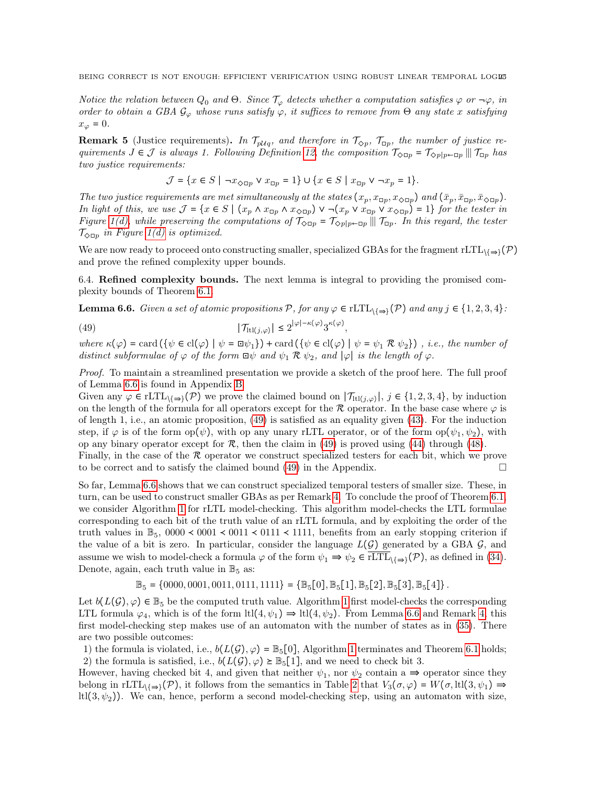Notice the relation between  $Q_0$  and  $\Theta$ . Since  $\mathcal{T}_{\varphi}$  detects whether a computation satisfies  $\varphi$  or  $\neg \varphi$ , in order to obtain a GBA  $\mathcal{G}_{\varphi}$  whose runs satisfy  $\varphi$ , it suffices to remove from  $\Theta$  any state x satisfying  $x_{\varphi} = 0.$ 

**Remark 5** (Justice requirements). In  $\mathcal{T}_{p\mathcal{U}_q}$ , and therefore in  $\mathcal{T}_{\Diamond p}$ ,  $\mathcal{T}_{\Box p}$ , the number of justice requirements  $J \in \mathcal{J}$  is always 1. Following Definition [12,](#page-22-4) the composition  $\mathcal{T}_{\text{QCD}} = \mathcal{T}_{\text{Qplp}-\text{CD}} || \mathcal{T}_{\text{CD}}$  has two justice requirements:

$$
\mathcal{J} = \{ x \in S \mid \neg x_{\Diamond \Box p} \lor x_{\Box p} = 1 \} \cup \{ x \in S \mid x_{\Box p} \lor \neg x_p = 1 \}.
$$

The two justice requirements are met simultaneously at the states  $(x_p, x_{\Box p}, x_{\Diamond \Box p})$  and  $(\bar{x}_p, \bar{x}_{\Box p}, \bar{x}_{\Diamond \Box p})$ . In light of this, we use  $\mathcal{J} = \{x \in S \mid (x_p \wedge x_{\Box p} \wedge x_{\Diamond \Box p}) \vee \neg (x_p \vee x_{\Box p} \vee x_{\Diamond \Box p}) = 1\}$  for the tester in Figure [1\(d\),](#page-22-3) while preserving the computations of  $\mathcal{T}_{\infty \Box p} = \mathcal{T}_{\infty p|p \leftarrow \Box p} || \mathcal{T}_{\Box p}$ . In this regard, the tester  $\mathcal{T}_{\infty}$  in Figure 1(d) is optimized  $\mathcal{T}_{\Diamond \Box p}$  in Figure [1\(d\)](#page-22-3) is optimized.

We are now ready to proceed onto constructing smaller, specialized GBAs for the fragment rLTL $_{\{=\}}(\mathcal{P})$ and prove the refined complexity upper bounds.

6.4. Refined complexity bounds. The next lemma is integral to providing the promised complexity bounds of Theorem [6.1.](#page-19-1)

<span id="page-24-0"></span>**Lemma 6.6.** Given a set of atomic propositions  $P$ , for any  $\varphi \in \text{rLTL}_{\{\Rightarrow\}}(P)$  and any  $j \in \{1, 2, 3, 4\}$ :

<span id="page-24-1"></span>(49) 
$$
|\mathcal{T}_{\mathrm{tl}(j,\varphi)}| \leq 2^{|\varphi|-\kappa(\varphi)} 3^{\kappa(\varphi)},
$$

where  $\kappa(\varphi) = \text{card}(\{\psi \in \text{cl}(\varphi) \mid \psi = \text{d}\psi_1\}) + \text{card}(\{\psi \in \text{cl}(\varphi) \mid \psi = \psi_1 \mathcal{R} \psi_2\})$ , i.e., the number of distinct subformulae of  $\varphi$  of the form  $\Box \psi$  and  $\psi_1 \mathcal{R} \psi_2$ , and  $|\varphi|$  is the length of  $\varphi$ .

Proof. To maintain a streamlined presentation we provide a sketch of the proof here. The full proof of Lemma [6.6](#page-24-0) is found in Appendix [B.](#page-33-0)

Given any  $\varphi \in \text{rLTL}_{\setminus \{\Rightarrow\}}(\mathcal{P})$  we prove the claimed bound on  $|\mathcal{T}_{\text{ht}(j,\varphi)}|, j \in \{1,2,3,4\},\$  by induction on the length of the formula for all operators except for the R operator. In the base case where  $\varphi$  is of length 1, i.e., an atomic proposition, [\(49\)](#page-24-1) is satisfied as an equality given [\(43\)](#page-23-0). For the induction step, if  $\varphi$  is of the form op( $\psi$ ), with op any unary rLTL operator, or of the form op( $\psi_1, \psi_2$ ), with op any binary operator except for  $\mathcal{R}$ , then the claim in [\(49\)](#page-24-1) is proved using [\(44\)](#page-23-1) through [\(48\)](#page-23-2).

Finally, in the case of the R operator we construct specialized testers for each bit, which we prove to be correct and to satisfy the claimed bound  $(49)$  in the Appendix.

So far, Lemma [6.6](#page-24-0) shows that we can construct specialized temporal testers of smaller size. These, in turn, can be used to construct smaller GBAs as per Remark [4.](#page-23-3) To conclude the proof of Theorem [6.1,](#page-19-1) we consider Algorithm [1](#page-19-2) for rLTL model-checking. This algorithm model-checks the LTL formulae corresponding to each bit of the truth value of an rLTL formula, and by exploiting the order of the truth values in  $\mathbb{B}_5$ , 0000 < 0001 < 0011 < 0111 < 1111, benefits from an early stopping criterion if the value of a bit is zero. In particular, consider the language  $L(G)$  generated by a GBA  $G$ , and assume we wish to model-check a formula  $\varphi$  of the form  $\psi_1 \Rightarrow \psi_2 \in \text{rLTL}_{\setminus {\Rightarrow}}(\mathcal{P})$ , as defined in [\(34\)](#page-18-1). Denote, again, each truth value in  $\mathbb{B}_5$  as:

 $\mathbb{B}_5 = \{0000, 0001, 0011, 0111, 1111\} = \{\mathbb{B}_5[0], \mathbb{B}_5[1], \mathbb{B}_5[2], \mathbb{B}_5[3], \mathbb{B}_5[4]\}.$ 

Let  $b(L(\mathcal{G}), \varphi) \in \mathbb{B}_5$  be the computed truth value. Algorithm [1](#page-19-2) first model-checks the corresponding LTL formula  $\varphi_4$ , which is of the form ltl $(4, \psi_1) \Rightarrow$  ltl $(4, \psi_2)$ . From Lemma [6.6](#page-24-0) and Remark [4,](#page-23-3) this first model-checking step makes use of an automaton with the number of states as in [\(35\)](#page-19-0). There are two possible outcomes:

1) the formula is violated, i.e.,  $b(L(\mathcal{G}), \varphi) = \mathbb{B}_5[0]$ , Algorithm [1](#page-19-2) terminates and Theorem [6.1](#page-19-1) holds; 2) the formula is satisfied, i.e.,  $b(L(\mathcal{G}), \varphi) \geq \mathbb{B}_{5}[1]$ , and we need to check bit 3.

However, having checked bit 4, and given that neither  $\psi_1$ , nor  $\psi_2$  contain a  $\Rightarrow$  operator since they belong in rLTL<sub>\{⇒}</sub>( $\mathcal{P}$ ), it follows from the semantics in Table [2](#page-16-0) that  $V_3(\sigma, \varphi) = W(\sigma, \text{ltl}(3, \psi_1) \Rightarrow$ ltl $(3, \psi_2)$ . We can, hence, perform a second model-checking step, using an automaton with size,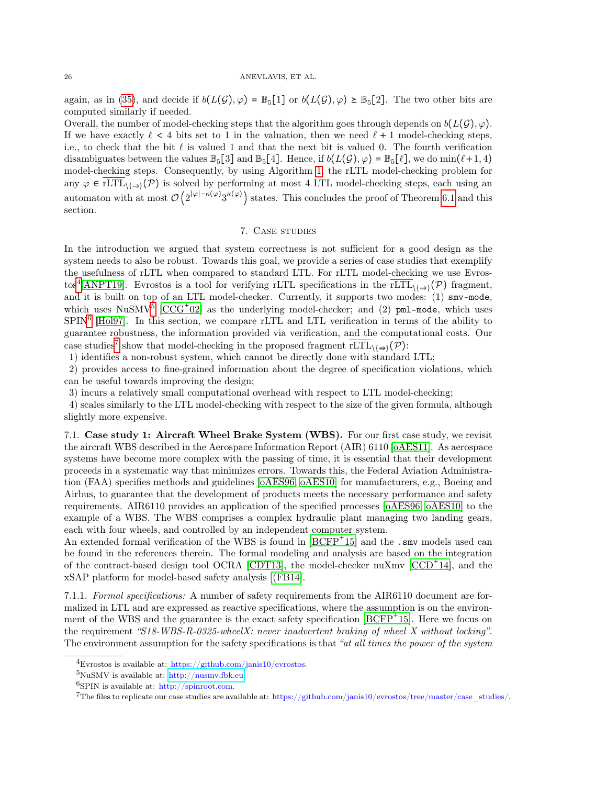again, as in [\(35\)](#page-19-0), and decide if  $b(L(\mathcal{G}), \varphi) = \mathbb{B}_5[1]$  or  $b(L(\mathcal{G}), \varphi) \geq \mathbb{B}_5[2]$ . The two other bits are computed similarly if needed.

Overall, the number of model-checking steps that the algorithm goes through depends on  $b(L(\mathcal{G}), \varphi)$ . If we have exactly  $\ell < 4$  bits set to 1 in the valuation, then we need  $\ell + 1$  model-checking steps, i.e., to check that the bit  $\ell$  is valued 1 and that the next bit is valued 0. The fourth verification disambiguates between the values  $\mathbb{B}_5[3]$  and  $\mathbb{B}_5[4]$ . Hence, if  $b(L(\mathcal{G}), \varphi) = \mathbb{B}_5[\ell]$ , we do min $(\ell+1, 4)$ model-checking steps. Consequently, by using Algorithm [1,](#page-19-2) the rLTL model-checking problem for any  $\varphi \in rLTL_{\{\Rightarrow\}}(\mathcal{P})$  is solved by performing at most 4 LTL model-checking steps, each using an automaton with at most  $\mathcal{O}(2^{|\varphi| - \kappa(\varphi)} 3^{\kappa(\varphi)})$  states. This concludes the proof of Theorem [6.1](#page-19-1) and this section.

# 7. Case studies

<span id="page-25-0"></span>In the introduction we argued that system correctness is not sufficient for a good design as the system needs to also be robust. Towards this goal, we provide a series of case studies that exemplify the usefulness of rLTL when compared to standard LTL. For rLTL model-checking we use Evros-tos<sup>[4](#page-25-1)</sup>[\[ANPT19\]](#page-30-10). Evrostos is a tool for verifying rLTL specifications in the  $\overline{rLTL}_{\{\Rightarrow\}}(\mathcal{P})$  fragment, and it is built on top of an LTL model-checker. Currently, it supports two modes: (1) smv-mode, which uses NuSMV<sup>[5](#page-25-2)</sup>  $[CCG^+02]$  $[CCG^+02]$  as the underlying model-checker; and (2) pml-mode, which uses  $SPIN<sup>6</sup>$  $SPIN<sup>6</sup>$  $SPIN<sup>6</sup>$  [\[Hol97\]](#page-31-19). In this section, we compare rLTL and LTL verification in terms of the ability to guarantee robustness, the information provided via verification, and the computational costs. Our case studies<sup>[7](#page-25-4)</sup> show that model-checking in the proposed fragment  $\overline{rLTL}_{\{\Rightarrow\}}(\mathcal{P})$ :

1) identifies a non-robust system, which cannot be directly done with standard LTL;

2) provides access to fine-grained information about the degree of specification violations, which can be useful towards improving the design;

3) incurs a relatively small computational overhead with respect to LTL model-checking;

4) scales similarly to the LTL model-checking with respect to the size of the given formula, although slightly more expensive.

7.1. Case study 1: Aircraft Wheel Brake System (WBS). For our first case study, we revisit the aircraft WBS described in the Aerospace Information Report (AIR) 6110 [\[oAES11\]](#page-32-13). As aerospace systems have become more complex with the passing of time, it is essential that their development proceeds in a systematic way that minimizes errors. Towards this, the Federal Aviation Administration (FAA) specifies methods and guidelines [\[oAES96,](#page-31-20) [oAES10\]](#page-31-21) for manufacturers, e.g., Boeing and Airbus, to guarantee that the development of products meets the necessary performance and safety requirements. AIR6110 provides an application of the specified processes [\[oAES96,](#page-31-20) [oAES10\]](#page-31-21) to the example of a WBS. The WBS comprises a complex hydraulic plant managing two landing gears, each with four wheels, and controlled by an independent computer system.

An extended formal verification of the WBS is found in [\[BCFP](#page-30-12)<sup>+</sup>15] and the .smv models used can be found in the references therein. The formal modeling and analysis are based on the integration of the contract-based design tool OCRA [\[CDT13\]](#page-31-22), the model-checker nuXmv [\[CCD](#page-30-13)<sup>+</sup> 14], and the xSAP platform for model-based safety analysis [\[\(FB14\]](#page-31-23).

7.1.1. Formal specifications: A number of safety requirements from the AIR6110 document are formalized in LTL and are expressed as reactive specifications, where the assumption is on the environment of the WBS and the guarantee is the exact safety specification  $[BCFP<sup>+</sup>15]$  $[BCFP<sup>+</sup>15]$ . Here we focus on the requirement "S18-WBS-R-0325-wheelX: never inadvertent braking of wheel X without locking". The environment assumption for the safety specifications is that "at all times the power of the system

<span id="page-25-1"></span> ${}^{4}$ Evrostos is available at: https://github.com/janis10/evrostos.

<span id="page-25-2"></span> $5$ NuSMV is available at: [http://nusmv.fbk.eu.](http://nusmv.fbk.eu)

<span id="page-25-3"></span> $6$ SPIN is available at: http://spinroot.com.

<span id="page-25-4"></span><sup>&</sup>lt;sup>7</sup>The files to replicate our case studies are available at: https://github.com/janis10/evrostos/tree/master/case\_studies/.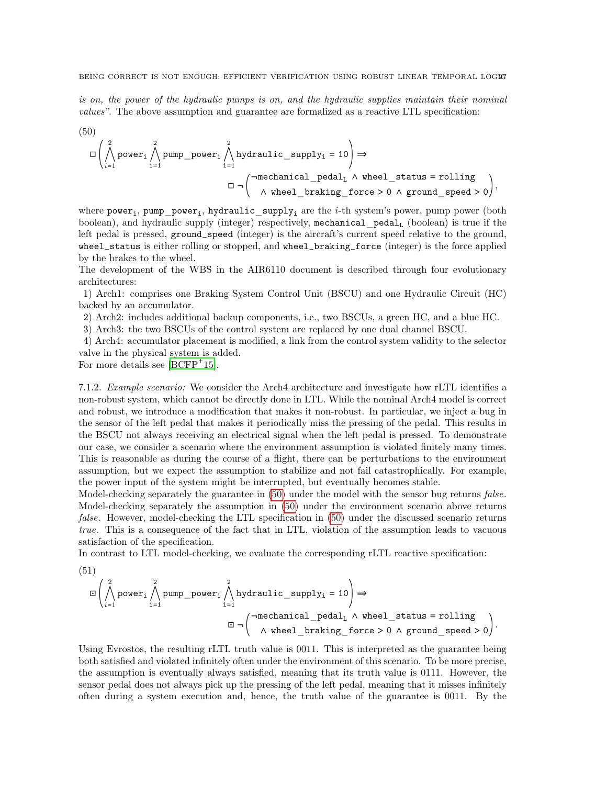is on, the power of the hydraulic pumps is on, and the hydraulic supplies maintain their nominal values". The above assumption and guarantee are formalized as a reactive LTL specification:

<span id="page-26-0"></span>(50)  
\n
$$
\Box \left( \bigwedge_{i=1}^{2} \text{power}_{i} \bigwedge_{i=1}^{2} \text{pump\_power}_{i} \bigwedge_{i=1}^{2} \text{hydraulic\_supply}_{i} = 10 \right) \Rightarrow
$$
\n
$$
\Box \neg \left( \neg \text{mechanical\_pedal}_{L} \land \text{wheel\_status} = \text{rolling} \right),
$$
\n
$$
\Box \neg \left( \neg \text{mechanical\_pedal}_{L} \land \text{wheel\_status} = \text{rolling} \right),
$$

where  $power_i$ ,  $pump$   $power_i$ ,  $hydraulic$  supply<sub>i</sub> are the *i*-th system's power, pump power (both boolean), and hydraulic supply (integer) respectively, mechanical  $\text{pedal}_L$  (boolean) is true if the left pedal is pressed, ground\_speed (integer) is the aircraft's current speed relative to the ground, wheel\_status is either rolling or stopped, and wheel\_braking\_force (integer) is the force applied by the brakes to the wheel.

The development of the WBS in the AIR6110 document is described through four evolutionary architectures:

1) Arch1: comprises one Braking System Control Unit (BSCU) and one Hydraulic Circuit (HC) backed by an accumulator.

2) Arch2: includes additional backup components, i.e., two BSCUs, a green HC, and a blue HC.

3) Arch3: the two BSCUs of the control system are replaced by one dual channel BSCU.

4) Arch4: accumulator placement is modified, a link from the control system validity to the selector valve in the physical system is added.

For more details see  $[BCFP^+15]$  $[BCFP^+15]$ .

7.1.2. Example scenario: We consider the Arch4 architecture and investigate how rLTL identifies a non-robust system, which cannot be directly done in LTL. While the nominal Arch4 model is correct and robust, we introduce a modification that makes it non-robust. In particular, we inject a bug in the sensor of the left pedal that makes it periodically miss the pressing of the pedal. This results in the BSCU not always receiving an electrical signal when the left pedal is pressed. To demonstrate our case, we consider a scenario where the environment assumption is violated finitely many times. This is reasonable as during the course of a flight, there can be perturbations to the environment assumption, but we expect the assumption to stabilize and not fail catastrophically. For example, the power input of the system might be interrupted, but eventually becomes stable.

Model-checking separately the guarantee in [\(50\)](#page-26-0) under the model with the sensor bug returns false. Model-checking separately the assumption in [\(50\)](#page-26-0) under the environment scenario above returns false. However, model-checking the LTL specification in [\(50\)](#page-26-0) under the discussed scenario returns true. This is a consequence of the fact that in LTL, violation of the assumption leads to vacuous satisfaction of the specification.

In contrast to LTL model-checking, we evaluate the corresponding rLTL reactive specification:

$$
(51)
$$

$$
\Box \left( \bigwedge_{i=1}^{2} power_{i} \bigwedge_{i=1}^{2} pump\_power_{i} \bigwedge_{i=1}^{2} hydraulic\_supply_{i} = 10 \right) \Rightarrow
$$
\n
$$
\Box \neg \left( \neg mechanical\_pedal_{L} \land wheel\_status = rolling \land wheel\_braking\_force > 0 \land ground\_speed > 0 \right).
$$

Using Evrostos, the resulting rLTL truth value is 0011. This is interpreted as the guarantee being both satisfied and violated infinitely often under the environment of this scenario. To be more precise, the assumption is eventually always satisfied, meaning that its truth value is 0111. However, the sensor pedal does not always pick up the pressing of the left pedal, meaning that it misses infinitely often during a system execution and, hence, the truth value of the guarantee is 0011. By the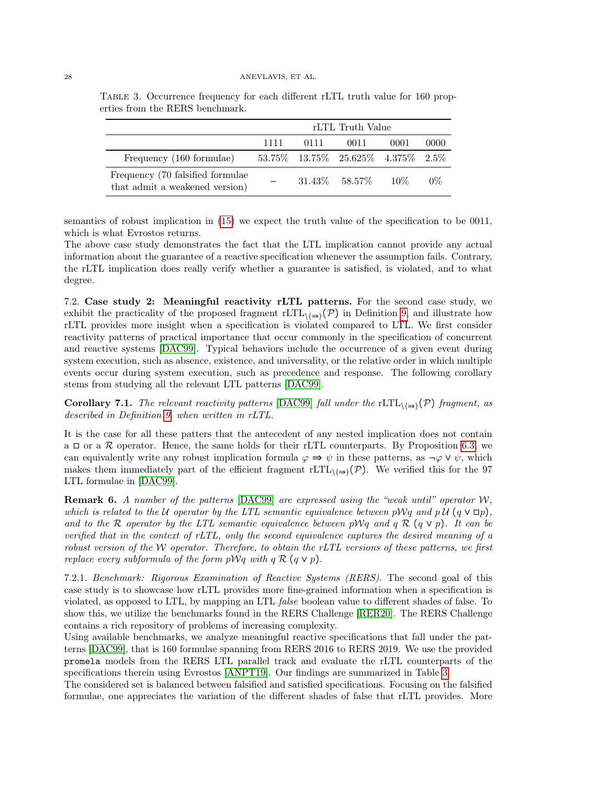|                                                                     | rLTL Truth Value |      |                                   |      |       |  |  |
|---------------------------------------------------------------------|------------------|------|-----------------------------------|------|-------|--|--|
|                                                                     | 1111             | 0111 | 0011                              | 0001 | 0000  |  |  |
| Frequency (160 formulae)                                            |                  |      | 53.75% 13.75% 25.625% 4.375% 2.5% |      |       |  |  |
| Frequency (70 falsified formulae)<br>that admit a weakened version) |                  |      | $31.43\%$ $58.57\%$ $10\%$        |      | $0\%$ |  |  |

<span id="page-27-1"></span>Table 3. Occurrence frequency for each different rLTL truth value for 160 properties from the RERS benchmark.

semantics of robust implication in [\(15\)](#page-10-3) we expect the truth value of the specification to be 0011, which is what Evrostos returns.

The above case study demonstrates the fact that the LTL implication cannot provide any actual information about the guarantee of a reactive specification whenever the assumption fails. Contrary, the rLTL implication does really verify whether a guarantee is satisfied, is violated, and to what degree.

<span id="page-27-0"></span>7.2. Case study 2: Meaningful reactivity rLTL patterns. For the second case study, we exhibit the practicality of the proposed fragment rLTL $_{\{\Rightarrow\}}(\mathcal{P})$  in Definition [9,](#page-18-2) and illustrate how rLTL provides more insight when a specification is violated compared to LTL. We first consider reactivity patterns of practical importance that occur commonly in the specification of concurrent and reactive systems [\[DAC99\]](#page-31-0). Typical behaviors include the occurrence of a given event during system execution, such as absence, existence, and universality, or the relative order in which multiple events occur during system execution, such as precedence and response. The following corollary stems from studying all the relevant LTL patterns [\[DAC99\]](#page-31-0).

**Corollary 7.1.** The relevant reactivity patterns [\[DAC99\]](#page-31-0) fall under the rLTL $\{ \varphi \}$  fragment, as described in Definition [9,](#page-18-2) when written in rLTL.

It is the case for all these patters that the antecedent of any nested implication does not contain a  $\Box$  or a  $\mathcal R$  operator. Hence, the same holds for their rLTL counterparts. By Proposition [6.3,](#page-20-1) we can equivalently write any robust implication formula  $\varphi \Rightarrow \psi$  in these patterns, as  $\neg \varphi \vee \psi$ , which makes them immediately part of the efficient fragment rLTL $_{\{\Rightarrow\}}(\mathcal{P})$ . We verified this for the 97 LTL formulae in [\[DAC99\]](#page-31-0).

**Remark 6.** A number of the patterns [\[DAC99\]](#page-31-0) are expressed using the "weak until" operator  $W$ , which is related to the U operator by the LTL semantic equivalence between pWq and pU ( $q \vee \Box p$ ), and to the R operator by the LTL semantic equivalence between pWq and q R (q  $\vee$  p). It can be verified that in the context of rLTL, only the second equivalence captures the desired meaning of a robust version of the W operator. Therefore, to obtain the rLTL versions of these patterns, we first replace every subformula of the form  $p\mathcal{W}q$  with  $q \mathcal{R} (q \vee p)$ .

7.2.1. Benchmark: Rigorous Examination of Reactive Systems (RERS). The second goal of this case study is to showcase how rLTL provides more fine-grained information when a specification is violated, as opposed to LTL, by mapping an LTL false boolean value to different shades of false. To show this, we utilize the benchmarks found in the RERS Challenge [\[RER20\]](#page-32-14). The RERS Challenge contains a rich repository of problems of increasing complexity.

Using available benchmarks, we analyze meaningful reactive specifications that fall under the patterns [\[DAC99\]](#page-31-0), that is 160 formulae spanning from RERS 2016 to RERS 2019. We use the provided promela models from the RERS LTL parallel track and evaluate the rLTL counterparts of the specifications therein using Evrostos [\[ANPT19\]](#page-30-10). Our findings are summarized in Table [3.](#page-27-1)

The considered set is balanced between falsified and satisfied specifications. Focusing on the falsified formulae, one appreciates the variation of the different shades of false that rLTL provides. More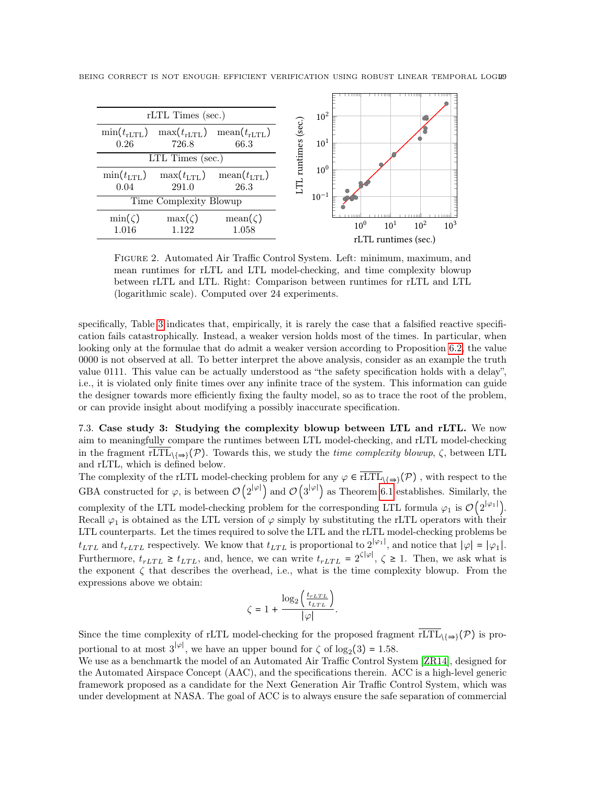

BEING CORRECT IS NOT ENOUGH: EFFICIENT VERIFICATION USING ROBUST LINEAR TEMPORAL LOGES

<span id="page-28-0"></span>Figure 2. Automated Air Traffic Control System. Left: minimum, maximum, and mean runtimes for rLTL and LTL model-checking, and time complexity blowup between rLTL and LTL. Right: Comparison between runtimes for rLTL and LTL (logarithmic scale). Computed over 24 experiments.

specifically, Table [3](#page-27-1) indicates that, empirically, it is rarely the case that a falsified reactive specification fails catastrophically. Instead, a weaker version holds most of the times. In particular, when looking only at the formulae that do admit a weaker version according to Proposition [6.2,](#page-20-0) the value 0000 is not observed at all. To better interpret the above analysis, consider as an example the truth value 0111. This value can be actually understood as "the safety specification holds with a delay", i.e., it is violated only finite times over any infinite trace of the system. This information can guide the designer towards more efficiently fixing the faulty model, so as to trace the root of the problem, or can provide insight about modifying a possibly inaccurate specification.

7.3. Case study 3: Studying the complexity blowup between LTL and rLTL. We now aim to meaningfully compare the runtimes between LTL model-checking, and rLTL model-checking in the fragment  $\overline{rLTL}_{\{\Rightarrow\}}(\mathcal{P})$ . Towards this, we study the *time complexity blowup*,  $\zeta$ , between LTL and rLTL, which is defined below.

The complexity of the rLTL model-checking problem for any  $\varphi \in \overline{rLTL}_{\setminus\{\Rightarrow\}}(\mathcal{P})$ , with respect to the GBA constructed for  $\varphi$ , is between  $\mathcal{O}(2^{|\varphi|})$  and  $\mathcal{O}(3^{|\varphi|})$  as Theorem [6.1](#page-19-1) establishes. Similarly, the complexity of the LTL model-checking problem for the corresponding LTL formula  $\varphi_1$  is  $\mathcal{O}(2^{|\varphi_1|})$ . Recall  $\varphi_1$  is obtained as the LTL version of  $\varphi$  simply by substituting the rLTL operators with their LTL counterparts. Let the times required to solve the LTL and the rLTL model-checking problems be  $t_{LTL}$  and  $t_{rLTL}$  respectively. We know that  $t_{LTL}$  is proportional to  $2^{|\varphi_1|}$ , and notice that  $|\varphi| = |\varphi_1|$ . Furthermore,  $t_{rLTL} \geq t_{LTL}$ , and, hence, we can write  $t_{rLTL} = 2^{\zeta |\varphi|}$ ,  $\zeta \geq 1$ . Then, we ask what is the exponent  $\zeta$  that describes the overhead, i.e., what is the time complexity blowup. From the expressions above we obtain:

$$
\zeta = 1 + \frac{\log_2\left(\frac{t_{rLTL}}{t_{LTL}}\right)}{|\varphi|}.
$$

Since the time complexity of rLTL model-checking for the proposed fragment  $\overline{rLTL}_{\{\Rightarrow\}}(\mathcal{P})$  is proportional to at most  $3^{|\varphi|}$ , we have an upper bound for  $\zeta$  of  $\log_2(3) = 1.58$ .

We use as a benchmartk the model of an Automated Air Traffic Control System [\[ZR14\]](#page-32-15), designed for the Automated Airspace Concept (AAC), and the specifications therein. ACC is a high-level generic framework proposed as a candidate for the Next Generation Air Traffic Control System, which was under development at NASA. The goal of ACC is to always ensure the safe separation of commercial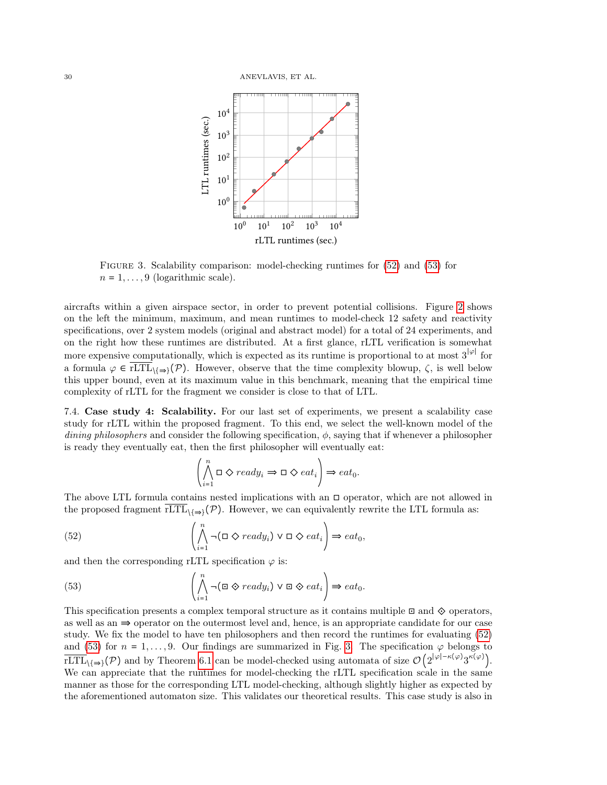

<span id="page-29-2"></span>Figure 3. Scalability comparison: model-checking runtimes for [\(52\)](#page-29-0) and [\(53\)](#page-29-1) for  $n = 1, \ldots, 9$  (logarithmic scale).

aircrafts within a given airspace sector, in order to prevent potential collisions. Figure [2](#page-28-0) shows on the left the minimum, maximum, and mean runtimes to model-check 12 safety and reactivity specifications, over 2 system models (original and abstract model) for a total of 24 experiments, and on the right how these runtimes are distributed. At a first glance, rLTL verification is somewhat more expensive computationally, which is expected as its runtime is proportional to at most  $3^{|\varphi|}$  for a formula  $\varphi \in \overline{rLTL}_{\{\Rightarrow\}}(\mathcal{P})$ . However, observe that the time complexity blowup,  $\zeta$ , is well below this upper bound, even at its maximum value in this benchmark, meaning that the empirical time complexity of rLTL for the fragment we consider is close to that of LTL.

7.4. Case study 4: Scalability. For our last set of experiments, we present a scalability case study for rLTL within the proposed fragment. To this end, we select the well-known model of the dining philosophers and consider the following specification,  $\phi$ , saying that if whenever a philosopher is ready they eventually eat, then the first philosopher will eventually eat:

$$
\left(\bigwedge_{i=1}^{n} \Box \diamondsuit \text{ } ready_i \Rightarrow \Box \diamondsuit \text{ } eat_i\right) \Rightarrow eat_0.
$$

The above LTL formula contains nested implications with an  $\Box$  operator, which are not allowed in the proposed fragment rLTL<sub>\{ $\Rightarrow$ </sub>\(P). However, we can equivalently rewrite the LTL formula as:

<span id="page-29-0"></span>(52) 
$$
\left(\bigwedge_{i=1}^{n} \neg(\Box \Diamond \text{ ready}_i) \lor \Box \Diamond \text{ eat}_i\right) \Rightarrow \text{eat}_0,
$$

and then the corresponding rLTL specification  $\varphi$  is:

<span id="page-29-1"></span>(53) 
$$
\left(\bigwedge_{i=1}^{n} \neg (\Box \otimes ready_i) \lor \Box \otimes eat_i\right) \Rightarrow eat_0.
$$

This specification presents a complex temporal structure as it contains multiple  $\Xi$  and  $\diamondsuit$  operators, as well as an  $\Rightarrow$  operator on the outermost level and, hence, is an appropriate candidate for our case study. We fix the model to have ten philosophers and then record the runtimes for evaluating [\(52\)](#page-29-0) and [\(53\)](#page-29-1) for  $n = 1, \ldots, 9$ . Our findings are summarized in Fig. [3.](#page-29-2) The specification  $\varphi$  belongs to  $\overline{\text{rLTL}}_{\setminus{\{\Rightarrow\}}}(\mathcal{P})$  and by Theorem [6.1](#page-19-1) can be model-checked using automata of size  $\mathcal{O}\left(2^{|\varphi|-\kappa(\varphi)}3^{\kappa(\varphi)}\right)$ . We can appreciate that the runtimes for model-checking the rLTL specification scale in the same manner as those for the corresponding LTL model-checking, although slightly higher as expected by the aforementioned automaton size. This validates our theoretical results. This case study is also in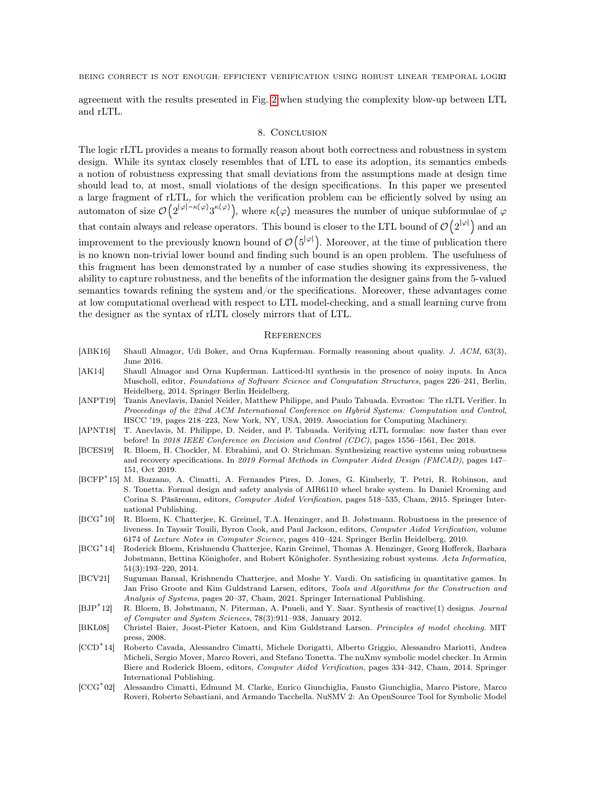agreement with the results presented in Fig. [2](#page-28-0) when studying the complexity blow-up between LTL and rLTL.

### 8. Conclusion

<span id="page-30-6"></span>The logic rLTL provides a means to formally reason about both correctness and robustness in system design. While its syntax closely resembles that of LTL to ease its adoption, its semantics embeds a notion of robustness expressing that small deviations from the assumptions made at design time should lead to, at most, small violations of the design specifications. In this paper we presented a large fragment of rLTL, for which the verification problem can be efficiently solved by using an automaton of size  $\mathcal{O}\left(2^{|\varphi|-\kappa(\varphi)}3^{\kappa(\varphi)}\right)$ , where  $\kappa(\varphi)$  measures the number of unique subformulae of  $\varphi$ that contain always and release operators. This bound is closer to the LTL bound of  $\mathcal{O}(2^{|\varphi|})$  and an improvement to the previously known bound of  $\mathcal{O}(5^{|\varphi|})$ . Moreover, at the time of publication there is no known non-trivial lower bound and finding such bound is an open problem. The usefulness of this fragment has been demonstrated by a number of case studies showing its expressiveness, the ability to capture robustness, and the benefits of the information the designer gains from the 5-valued semantics towards refining the system and/or the specifications. Moreover, these advantages come at low computational overhead with respect to LTL model-checking, and a small learning curve from the designer as the syntax of rLTL closely mirrors that of LTL.

### **REFERENCES**

- <span id="page-30-4"></span>[ABK16] Shaull Almagor, Udi Boker, and Orna Kupferman. Formally reasoning about quality. J. ACM, 63(3), June 2016.
- <span id="page-30-5"></span>[AK14] Shaull Almagor and Orna Kupferman. Latticed-ltl synthesis in the presence of noisy inputs. In Anca Muscholl, editor, Foundations of Software Science and Computation Structures, pages 226–241, Berlin, Heidelberg, 2014. Springer Berlin Heidelberg.
- <span id="page-30-10"></span>[ANPT19] Tzanis Anevlavis, Daniel Neider, Matthew Philippe, and Paulo Tabuada. Evrostos: The rLTL Verifier. In Proceedings of the 22nd ACM International Conference on Hybrid Systems: Computation and Control, HSCC '19, pages 218–223, New York, NY, USA, 2019. Association for Computing Machinery.
- <span id="page-30-0"></span>[APNT18] T. Anevlavis, M. Philippe, D. Neider, and P. Tabuada. Verifying rLTL formulas: now faster than ever before! In 2018 IEEE Conference on Decision and Control (CDC), pages 1556–1561, Dec 2018.
- <span id="page-30-2"></span>[BCES19] R. Bloem, H. Chockler, M. Ebrahimi, and O. Strichman. Synthesizing reactive systems using robustness and recovery specifications. In 2019 Formal Methods in Computer Aided Design (FMCAD), pages 147– 151, Oct 2019.
- <span id="page-30-12"></span>[BCFP<sup>+</sup> 15] M. Bozzano, A. Cimatti, A. Fernandes Pires, D. Jones, G. Kimberly, T. Petri, R. Robinson, and S. Tonetta. Formal design and safety analysis of AIR6110 wheel brake system. In Daniel Kroening and Corina S. Păsăreanu, editors, Computer Aided Verification, pages 518–535, Cham, 2015. Springer International Publishing.
- <span id="page-30-8"></span> $[BCG^+10]$ 10] R. Bloem, K. Chatterjee, K. Greimel, T.A. Henzinger, and B. Jobstmann. Robustness in the presence of liveness. In Tayssir Touili, Byron Cook, and Paul Jackson, editors, Computer Aided Verification, volume 6174 of Lecture Notes in Computer Science, pages 410–424. Springer Berlin Heidelberg, 2010.
- <span id="page-30-1"></span> $[BCG^+14]$ 14] Roderick Bloem, Krishnendu Chatterjee, Karin Greimel, Thomas A. Henzinger, Georg Hofferek, Barbara Jobstmann, Bettina Könighofer, and Robert Könighofer. Synthesizing robust systems. Acta Informatica, 51(3):193–220, 2014.
- <span id="page-30-3"></span>[BCV21] Suguman Bansal, Krishnendu Chatterjee, and Moshe Y. Vardi. On satisficing in quantitative games. In Jan Friso Groote and Kim Guldstrand Larsen, editors, Tools and Algorithms for the Construction and Analysis of Systems, pages 20–37, Cham, 2021. Springer International Publishing.
- <span id="page-30-9"></span> $[BJP^+12]$ R. Bloem, B. Jobstmann, N. Piterman, A. Pnueli, and Y. Saar. Synthesis of reactive(1) designs. Journal of Computer and System Sciences, 78(3):911–938, January 2012.
- <span id="page-30-7"></span>[BKL08] Christel Baier, Joost-Pieter Katoen, and Kim Guldstrand Larsen. Principles of model checking. MIT press, 2008.
- <span id="page-30-13"></span> $[CCD^+14]$ 14] Roberto Cavada, Alessandro Cimatti, Michele Dorigatti, Alberto Griggio, Alessandro Mariotti, Andrea Micheli, Sergio Mover, Marco Roveri, and Stefano Tonetta. The nuXmv symbolic model checker. In Armin Biere and Roderick Bloem, editors, Computer Aided Verification, pages 334–342, Cham, 2014. Springer International Publishing.
- <span id="page-30-11"></span> $[CCG^+02]$ 02] Alessandro Cimatti, Edmund M. Clarke, Enrico Giunchiglia, Fausto Giunchiglia, Marco Pistore, Marco Roveri, Roberto Sebastiani, and Armando Tacchella. NuSMV 2: An OpenSource Tool for Symbolic Model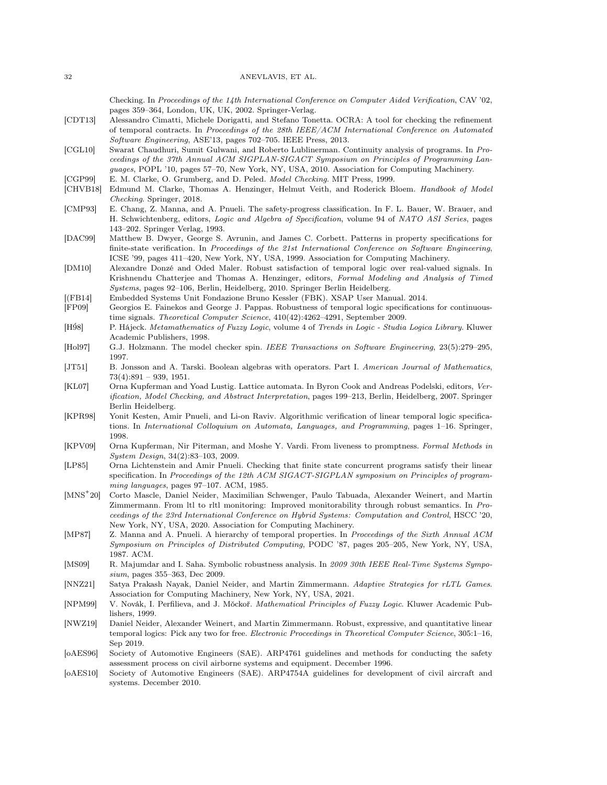#### 32 ANEVLAVIS, ET AL.

Checking. In Proceedings of the 14th International Conference on Computer Aided Verification, CAV '02, pages 359–364, London, UK, UK, 2002. Springer-Verlag.

- <span id="page-31-22"></span>[CDT13] Alessandro Cimatti, Michele Dorigatti, and Stefano Tonetta. OCRA: A tool for checking the refinement of temporal contracts. In Proceedings of the 28th IEEE/ACM International Conference on Automated Software Engineering, ASE'13, pages 702–705. IEEE Press, 2013.
- <span id="page-31-1"></span>[CGL10] Swarat Chaudhuri, Sumit Gulwani, and Roberto Lublinerman. Continuity analysis of programs. In Proceedings of the 37th Annual ACM SIGPLAN-SIGACT Symposium on Principles of Programming Languages, POPL '10, pages 57–70, New York, NY, USA, 2010. Association for Computing Machinery.
- <span id="page-31-10"></span>[CGP99] E. M. Clarke, O. Grumberg, and D. Peled. Model Checking. MIT Press, 1999.
- <span id="page-31-11"></span>[CHVB18] Edmund M. Clarke, Thomas A. Henzinger, Helmut Veith, and Roderick Bloem. Handbook of Model Checking. Springer, 2018.
- <span id="page-31-17"></span>[CMP93] E. Chang, Z. Manna, and A. Pnueli. The safety-progress classification. In F. L. Bauer, W. Brauer, and H. Schwichtenberg, editors, Logic and Algebra of Specification, volume 94 of NATO ASI Series, pages 143–202. Springer Verlag, 1993.
- <span id="page-31-0"></span>[DAC99] Matthew B. Dwyer, George S. Avrunin, and James C. Corbett. Patterns in property specifications for finite-state verification. In Proceedings of the 21st International Conference on Software Engineering, ICSE '99, pages 411–420, New York, NY, USA, 1999. Association for Computing Machinery.
- <span id="page-31-4"></span>[DM10] Alexandre Donzé and Oded Maler. Robust satisfaction of temporal logic over real-valued signals. In Krishnendu Chatterjee and Thomas A. Henzinger, editors, Formal Modeling and Analysis of Timed Systems, pages 92–106, Berlin, Heidelberg, 2010. Springer Berlin Heidelberg.
- <span id="page-31-23"></span>[(FB14] Embedded Systems Unit Fondazione Bruno Kessler (FBK). XSAP User Manual. 2014.
- <span id="page-31-3"></span>[FP09] Georgios E. Fainekos and George J. Pappas. Robustness of temporal logic specifications for continuoustime signals. Theoretical Computer Science, 410(42):4262–4291, September 2009.
- <span id="page-31-14"></span>[H98] P. Hájeck. Metamathematics of Fuzzy Logic, volume 4 of Trends in Logic - Studia Logica Library. Kluwer Academic Publishers, 1998.
- <span id="page-31-19"></span>[Hol97] G.J. Holzmann. The model checker spin. IEEE Transactions on Software Engineering, 23(5):279–295, 1997.
- <span id="page-31-16"></span>[JT51] B. Jonsson and A. Tarski. Boolean algebras with operators. Part I. American Journal of Mathematics,  $73(4):891 - 939, 1951.$
- <span id="page-31-5"></span>[KL07] Orna Kupferman and Yoad Lustig. Lattice automata. In Byron Cook and Andreas Podelski, editors, Verification, Model Checking, and Abstract Interpretation, pages 199–213, Berlin, Heidelberg, 2007. Springer Berlin Heidelberg.
- <span id="page-31-12"></span>[KPR98] Yonit Kesten, Amir Pnueli, and Li-on Raviv. Algorithmic verification of linear temporal logic specifications. In International Colloquium on Automata, Languages, and Programming, pages 1–16. Springer, 1998.
- <span id="page-31-8"></span>[KPV09] Orna Kupferman, Nir Piterman, and Moshe Y. Vardi. From liveness to promptness. Formal Methods in System Design, 34(2):83–103, 2009.
- <span id="page-31-13"></span>[LP85] Orna Lichtenstein and Amir Pnueli. Checking that finite state concurrent programs satisfy their linear specification. In Proceedings of the 12th ACM SIGACT-SIGPLAN symposium on Principles of programming languages, pages 97–107. ACM, 1985.
- <span id="page-31-7"></span> $[MNS^+20]$ 20] Corto Mascle, Daniel Neider, Maximilian Schwenger, Paulo Tabuada, Alexander Weinert, and Martin Zimmermann. From ltl to rltl monitoring: Improved monitorability through robust semantics. In Proceedings of the 23rd International Conference on Hybrid Systems: Computation and Control, HSCC '20, New York, NY, USA, 2020. Association for Computing Machinery.
- <span id="page-31-18"></span>[MP87] Z. Manna and A. Pnueli. A hierarchy of temporal properties. In Proceedings of the Sixth Annual ACM Symposium on Principles of Distributed Computing, PODC '87, pages 205–205, New York, NY, USA, 1987. ACM.
- <span id="page-31-2"></span>[MS09] R. Majumdar and I. Saha. Symbolic robustness analysis. In 2009 30th IEEE Real-Time Systems Symposium, pages 355–363, Dec 2009.
- <span id="page-31-6"></span>[NNZ21] Satya Prakash Nayak, Daniel Neider, and Martin Zimmermann. Adaptive Strategies for rLTL Games. Association for Computing Machinery, New York, NY, USA, 2021.
- <span id="page-31-15"></span>[NPM99] V. Novák, I. Perfilieva, and J. Mǒckoř. Mathematical Principles of Fuzzy Logic. Kluwer Academic Publishers, 1999.
- <span id="page-31-9"></span>[NWZ19] Daniel Neider, Alexander Weinert, and Martin Zimmermann. Robust, expressive, and quantitative linear temporal logics: Pick any two for free. Electronic Proceedings in Theoretical Computer Science, 305:1-16, Sep 2019.
- <span id="page-31-20"></span>[oAES96] Society of Automotive Engineers (SAE). ARP4761 guidelines and methods for conducting the safety assessment process on civil airborne systems and equipment. December 1996.
- <span id="page-31-21"></span>[oAES10] Society of Automotive Engineers (SAE). ARP4754A guidelines for development of civil aircraft and systems. December 2010.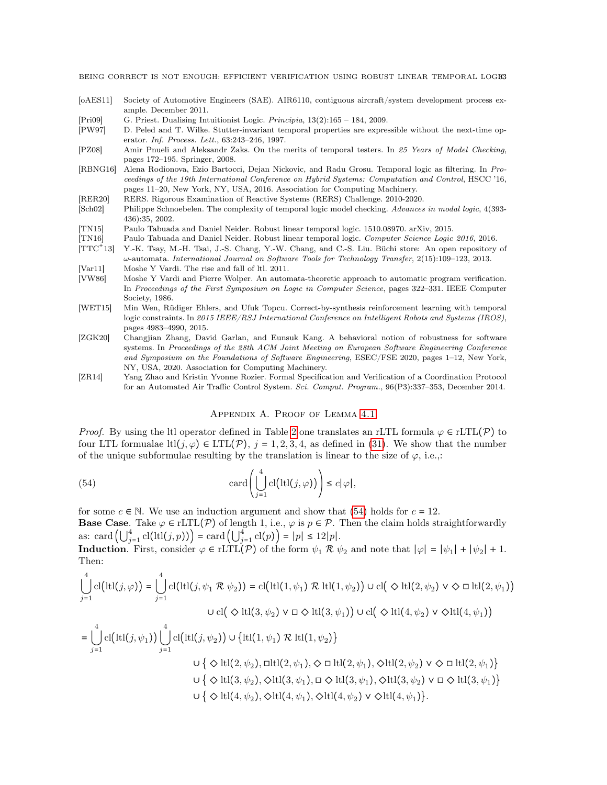- <span id="page-32-13"></span>[oAES11] Society of Automotive Engineers (SAE). AIR6110, contiguous aircraft/system development process example. December 2011.
- <span id="page-32-10"></span>[Pri09] G. Priest. Dualising Intuitionist Logic. Principia, 13(2):165 – 184, 2009.
- <span id="page-32-9"></span>[PW97] D. Peled and T. Wilke. Stutter-invariant temporal properties are expressible without the next-time operator. Inf. Process. Lett., 63:243–246, 1997.
- <span id="page-32-6"></span>[PZ08] Amir Pnueli and Aleksandr Zaks. On the merits of temporal testers. In 25 Years of Model Checking, pages 172–195. Springer, 2008.
- <span id="page-32-1"></span>[RBNG16] Alena Rodionova, Ezio Bartocci, Dejan Nickovic, and Radu Grosu. Temporal logic as filtering. In Proceedings of the 19th International Conference on Hybrid Systems: Computation and Control, HSCC '16, pages 11–20, New York, NY, USA, 2016. Association for Computing Machinery.
- <span id="page-32-14"></span>[RER20] RERS. Rigorous Examination of Reactive Systems (RERS) Challenge. 2010-2020.
- <span id="page-32-7"></span>[Sch02] Philippe Schnoebelen. The complexity of temporal logic model checking. Advances in modal logic, 4(393- 436):35, 2002.
- <span id="page-32-4"></span>[TN15] Paulo Tabuada and Daniel Neider. Robust linear temporal logic. 1510.08970. arXiv, 2015.
- <span id="page-32-12"></span><span id="page-32-0"></span>[TN16] Paulo Tabuada and Daniel Neider. Robust linear temporal logic. Computer Science Logic 2016, 2016.  $[TTC^+13]$ 13] Y.-K. Tsay, M.-H. Tsai, J.-S. Chang, Y.-W. Chang, and C.-S. Liu. Büchi store: An open repository of
- <span id="page-32-5"></span>ω-automata. International Journal on Software Tools for Technology Transfer, 2(15):109–123, 2013. [Var11] Moshe Y Vardi. The rise and fall of ltl. 2011.
- <span id="page-32-8"></span>[VW86] Moshe Y Vardi and Pierre Wolper. An automata-theoretic approach to automatic program verification. In Proceedings of the First Symposium on Logic in Computer Science, pages 322–331. IEEE Computer Society, 1986.
- <span id="page-32-2"></span>[WET15] Min Wen, Rüdiger Ehlers, and Ufuk Topcu. Correct-by-synthesis reinforcement learning with temporal logic constraints. In 2015 IEEE/RSJ International Conference on Intelligent Robots and Systems (IROS), pages 4983–4990, 2015.
- <span id="page-32-3"></span>[ZGK20] Changjian Zhang, David Garlan, and Eunsuk Kang. A behavioral notion of robustness for software systems. In Proceedings of the 28th ACM Joint Meeting on European Software Engineering Conference and Symposium on the Foundations of Software Engineering, ESEC/FSE 2020, pages 1–12, New York, NY, USA, 2020. Association for Computing Machinery.
- <span id="page-32-15"></span>[ZR14] Yang Zhao and Kristin Yvonne Rozier. Formal Specification and Verification of a Coordination Protocol for an Automated Air Traffic Control System. Sci. Comput. Program., 96(P3):337–353, December 2014.

### Appendix A. Proof of Lemma [4.1](#page-16-1)

<span id="page-32-11"></span>*Proof.* By using the ltl operator defined in Table [2](#page-16-0) one translates an rLTL formula  $\varphi \in \text{rLTL}(\mathcal{P})$  to four LTL formualae ltl $(j, \varphi) \in \text{LTL}(\mathcal{P})$ ,  $j = 1, 2, 3, 4$ , as defined in [\(31\)](#page-15-1). We show that the number of the unique subformulae resulting by the translation is linear to the size of  $\varphi$ , i.e.,:

<span id="page-32-16"></span>(54) 
$$
\operatorname{card}\left(\bigcup_{j=1}^{4} \operatorname{cl}\left(\operatorname{ltl}(j,\varphi)\right)\right) \leq c|\varphi|,
$$

for some  $c \in \mathbb{N}$ . We use an induction argument and show that [\(54\)](#page-32-16) holds for  $c = 12$ .

Base Case. Take  $\varphi \in \text{rLTL}(\mathcal{P})$  of length 1, i.e.,  $\varphi$  is  $p \in \mathcal{P}$ . Then the claim holds straightforwardly as: card  $\left(\bigcup_{j=1}^4 \mathrm{cl}(\mathrm{ltl}(j, p))\right) = \mathrm{card}\left(\bigcup_{j=1}^4 \mathrm{cl}(p)\right) = |p| \le 12|p|.$ 

**Induction.** First, consider  $\varphi \in \text{rLTL}(\mathcal{P})$  of the form  $\psi_1 \mathcal{R} \psi_2$  and note that  $|\varphi| = |\psi_1| + |\psi_2| + 1$ . Then:

$$
\bigcup_{j=1}^{4} \text{cl}(\text{ltl}(j, \varphi)) = \bigcup_{j=1}^{4} \text{cl}(\text{ltl}(j, \psi_1 \mathcal{R} \psi_2)) = \text{cl}(\text{ltl}(1, \psi_1) \mathcal{R} \text{ltl}(1, \psi_2)) \cup \text{cl}(\diamondsuit \text{ltl}(2, \psi_2) \vee \diamondsuit \square \text{ltl}(2, \psi_1))
$$
  

$$
\cup \text{cl}(\diamondsuit \text{ltl}(3, \psi_2) \vee \square \diamondsuit \text{ltl}(3, \psi_1)) \cup \text{cl}(\diamondsuit \text{ltl}(4, \psi_2) \vee \diamondsuit \text{ltl}(4, \psi_1))
$$
  

$$
= \bigcup_{j=1}^{4} \text{cl}(\text{ltl}(j, \psi_1)) \bigcup_{j=1}^{4} \text{cl}(\text{ltl}(j, \psi_2)) \cup \{\text{ltl}(1, \psi_1) \mathcal{R} \text{ltl}(1, \psi_2)\}
$$
  

$$
\cup \{ \diamondsuit \text{ltl}(2, \psi_2), \square \text{ltl}(2, \psi_1), \diamondsuit \square \text{ltl}(2, \psi_1), \diamondsuit \text{ltl}(2, \psi_2) \vee \diamondsuit \square \text{ltl}(2, \psi_1) \}
$$
  

$$
\cup \{ \diamondsuit \text{ltl}(3, \psi_2), \diamondsuit \text{ltl}(3, \psi_1), \square \diamondsuit \text{ltl}(3, \psi_1), \diamondsuit \text{ltl}(3, \psi_2) \vee \square \diamondsuit \text{ltl}(3, \psi_1) \}
$$
  

$$
\cup \{ \diamondsuit \text{ltl}(4, \psi_2), \diamondsuit \text{ltl}(4, \psi_1), \diamondsuit \text{ltl}(4, \psi_2) \vee \diamondsuit \text{ltl}(4, \psi_1) \}.
$$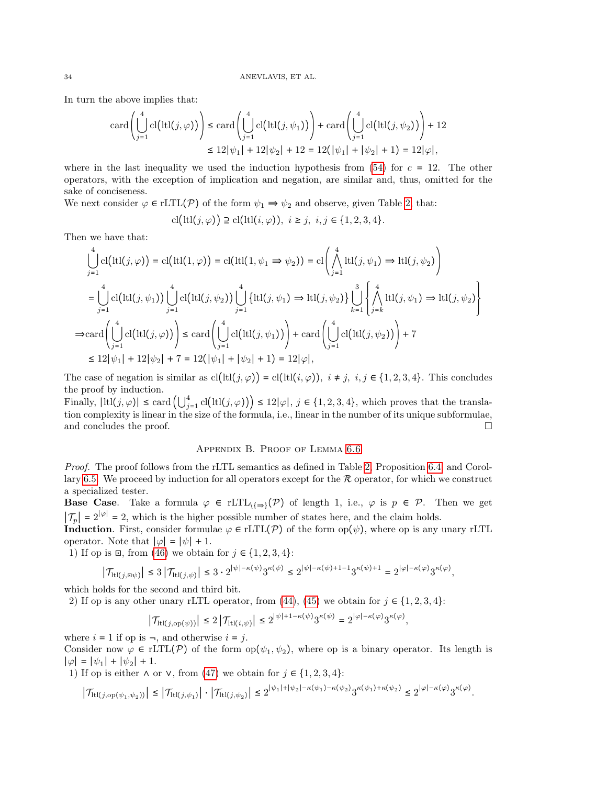In turn the above implies that:

$$
\operatorname{card}\left(\bigcup_{j=1}^{4} \operatorname{cl}\left(\operatorname{ltl}(j,\varphi)\right)\right) \le \operatorname{card}\left(\bigcup_{j=1}^{4} \operatorname{cl}\left(\operatorname{ltl}(j,\psi_{1})\right)\right) + \operatorname{card}\left(\bigcup_{j=1}^{4} \operatorname{cl}\left(\operatorname{ltl}(j,\psi_{2})\right)\right) + 12
$$
  

$$
\le 12|\psi_{1}| + 12|\psi_{2}| + 12 = 12(|\psi_{1}| + |\psi_{2}| + 1) = 12|\varphi|,
$$

where in the last inequality we used the induction hypothesis from  $(54)$  for  $c = 12$ . The other operators, with the exception of implication and negation, are similar and, thus, omitted for the sake of conciseness.

We next consider  $\varphi \in \text{rLTL}(\mathcal{P})$  of the form  $\psi_1 \Rightarrow \psi_2$  and observe, given Table [2,](#page-16-0) that:

$$
cl(tcl(j,\varphi)) \supseteq cl(tcl(i,\varphi)), \ i \geq j, \ i, j \in \{1,2,3,4\}.
$$

Then we have that:

$$
\bigcup_{j=1}^{4} cl\big(tl1(j,\varphi)\big) = cl\big(tl1(1,\varphi)\big) = cl\big(tl1(1,\psi_{1} \Rightarrow \psi_{2})\big) = cl\bigg(\bigwedge_{j=1}^{4} tll(j,\psi_{1}) \Rightarrow ltl(j,\psi_{2})\bigg)
$$
\n
$$
= \bigcup_{j=1}^{4} cl\big(tl1(j,\psi_{1})\big) \bigcup_{j=1}^{4} cl\big(tl1(j,\psi_{2})\big) \bigcup_{j=1}^{4} \big\{ltl1(j,\psi_{1}) \Rightarrow ltl(j,\psi_{2})\big\} \bigcup_{k=1}^{3} \bigg\{\bigwedge_{j=k}^{4} ltl(j,\psi_{1}) \Rightarrow ltl(j,\psi_{2})\bigg\}
$$
\n
$$
\Rightarrow \text{card}\bigg(\bigcup_{j=1}^{4} cl\big(tl1(j,\varphi)\big)\bigg) \le \text{card}\bigg(\bigcup_{j=1}^{4} cl\big(tl1(j,\psi_{1})\big)\bigg) + \text{card}\bigg(\bigcup_{j=1}^{4} cl\big(tl1(j,\psi_{2})\big)\bigg) + 7
$$
\n
$$
\le 12|\psi_{1}| + 12|\psi_{2}| + 7 = 12(|\psi_{1}| + |\psi_{2}| + 1) = 12|\varphi|,
$$

The case of negation is similar as  $cl(ltl(j, \varphi)) = cl(ltl(i, \varphi))$ ,  $i \neq j$ ,  $i, j \in \{1, 2, 3, 4\}$ . This concludes the proof by induction.

Finally,  $|ltl(i, \varphi)| \leq \text{card} \left( \bigcup_{j=1}^4 \text{cl} \big( \text{ltl}(j, \varphi) \big) \right) \leq 12|\varphi|, j \in \{1, 2, 3, 4\},\$  which proves that the translation complexity is linear in the size of the formula, i.e., linear in the number of its unique subformulae, and concludes the proof.

# Appendix B. Proof of Lemma [6.6](#page-24-0)

<span id="page-33-0"></span>Proof. The proof follows from the rLTL semantics as defined in Table [2,](#page-16-0) Proposition [6.4,](#page-23-4) and Corol-lary [6.5.](#page-23-5) We proceed by induction for all operators except for the  $R$  operator, for which we construct a specialized tester.

**Base Case.** Take a formula  $\varphi \in rLTL_{\{\Rightarrow\}}(\mathcal{P})$  of length 1, i.e.,  $\varphi$  is  $p \in \mathcal{P}$ . Then we get  $|\mathcal{T}_p| = 2^{|\varphi|} = 2$ , which is the higher possible number of states here, and the claim holds.

**Induction.** First, consider formulae  $\varphi \in rLTL(\mathcal{P})$  of the form  $op(\psi)$ , where op is any unary rLTL operator. Note that  $|\varphi| = |\psi| + 1$ .

1) If op is  $\Xi$ , from [\(46\)](#page-23-6) we obtain for  $j \in \{1, 2, 3, 4\}$ :

$$
\left|\mathcal{T}_{\mathrm{ltl}(j,\boxplus \psi)}\right|\leq 3\left|\mathcal{T}_{\mathrm{ltl}(j,\psi)}\right|\leq 3\cdot 2^{|\psi|-\kappa(\psi)}3^{\kappa(\psi)}\leq 2^{|\psi|-\kappa(\psi)+1-1}3^{\kappa(\psi)+1}=2^{|\varphi|-\kappa(\varphi)}3^{\kappa(\varphi)},
$$

which holds for the second and third bit.

2) If op is any other unary rLTL operator, from [\(44\)](#page-23-1), [\(45\)](#page-23-7) we obtain for  $j \in \{1, 2, 3, 4\}$ :

$$
\left|\mathcal{T}_{\mathrm{ltl}(j,\mathrm{op}(\psi))}\right| \leq 2\left|\mathcal{T}_{\mathrm{ltl}(i,\psi)}\right| \leq 2^{|\psi|+1-\kappa(\psi)}3^{\kappa(\psi)} = 2^{|\varphi|-\kappa(\varphi)}3^{\kappa(\varphi)},
$$

where  $i = 1$  if op is  $\neg$ , and otherwise  $i = j$ .

Consider now  $\varphi \in \text{rLTL}(\mathcal{P})$  of the form  $\text{op}(\psi_1, \psi_2)$ , where op is a binary operator. Its length is  $|\varphi| = |\psi_1| + |\psi_2| + 1.$ 

1) If op is either  $\wedge$  or  $\vee$ , from [\(47\)](#page-23-8) we obtain for  $j \in \{1, 2, 3, 4\}$ :

$$
\left|\mathcal{T}_{\mathrm{tl}(j,\mathrm{op}(\psi_1,\psi_2))}\right| \leq \left|\mathcal{T}_{\mathrm{tl}(j,\psi_1)}\right| \cdot \left|\mathcal{T}_{\mathrm{ltl}(j,\psi_2)}\right| \leq 2^{|\psi_1| + |\psi_2| - \kappa(\psi_1) - \kappa(\psi_2)} 3^{\kappa(\psi_1) + \kappa(\psi_2)} \leq 2^{|\varphi| - \kappa(\varphi)} 3^{\kappa(\varphi)}.
$$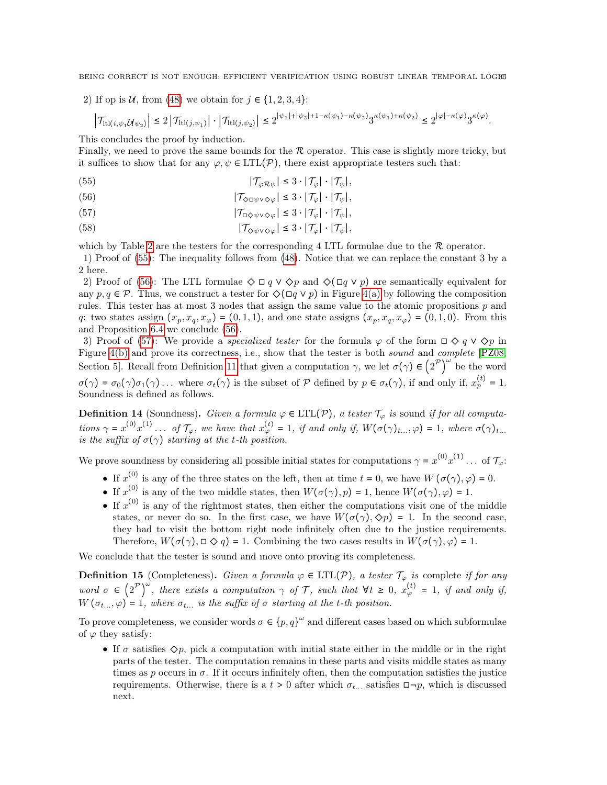2) If op is U, from [\(48\)](#page-23-2) we obtain for  $j \in \{1, 2, 3, 4\}$ :

$$
\left|\mathcal{T}_{\mathrm{ltl}(i,\psi_1\mathcal{U}\psi_2)}\right|\leq 2\left|\mathcal{T}_{\mathrm{ltl}(j,\psi_1)}\right|\cdot\left|\mathcal{T}_{\mathrm{ltl}(j,\psi_2)}\right|\leq 2^{|\psi_1|+|\psi_2|+1-\kappa(\psi_1)-\kappa(\psi_2)}3^{\kappa(\psi_1)+\kappa(\psi_2)}\leq 2^{|\varphi|-\kappa(\varphi)}3^{\kappa(\varphi)}.
$$

This concludes the proof by induction.

Finally, we need to prove the same bounds for the  $R$  operator. This case is slightly more tricky, but it suffices to show that for any  $\varphi, \psi \in \text{LTL}(\mathcal{P})$ , there exist appropriate testers such that:

<span id="page-34-0"></span>(55) 
$$
|\mathcal{T}_{\varphi \mathcal{R}\psi}| \leq 3 \cdot |\mathcal{T}_{\varphi}| \cdot |\mathcal{T}_{\psi}|,
$$

<span id="page-34-1"></span>(56) 
$$
|\mathcal{T}_{\Diamond \Box \psi \lor \Diamond \varphi}| \leq 3 \cdot |\mathcal{T}_{\varphi}| \cdot |\mathcal{T}_{\psi}|,
$$

<span id="page-34-2"></span>(57) 
$$
|\mathcal{T}_{\Box \Diamond \psi \lor \Diamond \varphi}| \leq 3 \cdot |\mathcal{T}_{\varphi}| \cdot |\mathcal{T}_{\psi}|,
$$

<span id="page-34-3"></span>(58) 
$$
|\mathcal{T}_{\Diamond\psi\lor\Diamond\varphi}| \leq 3 \cdot |\mathcal{T}_{\varphi}| \cdot |\mathcal{T}_{\psi}|,
$$

which by Table [2](#page-16-0) are the testers for the corresponding 4 LTL formulae due to the  $\mathcal R$  operator. 1) Proof of [\(55\)](#page-34-0): The inequality follows from [\(48\)](#page-23-2). Notice that we can replace the constant 3 by a 2 here.

2) Proof of [\(56\)](#page-34-1): The LTL formulae  $\Diamond \Box q \vee \Diamond p$  and  $\Diamond (\Box q \vee p)$  are semantically equivalent for any  $p, q \in \mathcal{P}$ . Thus, we construct a tester for  $\Diamond(\Box q \lor p)$  in Figure [4\(a\)](#page-35-0) by following the composition rules. This tester has at most 3 nodes that assign the same value to the atomic propositions p and q: two states assign  $(x_p, x_q, x_\varphi) = (0, 1, 1)$ , and one state assigns  $(x_p, x_q, x_\varphi) = (0, 1, 0)$ . From this and Proposition [6.4](#page-23-4) we conclude [\(56\)](#page-34-1).

3) Proof of [\(57\)](#page-34-2): We provide a *specialized tester* for the formula  $\varphi$  of the form  $\Box \Diamond q \vee \Diamond p$  in Figure [4\(b\)](#page-35-1) and prove its correctness, i.e., show that the tester is both sound and complete [\[PZ08,](#page-32-6) Section 5. Recall from Definition [11](#page-21-3) that given a computation  $\gamma$ , we let  $\sigma(\gamma) \in (2^{\mathcal{P}})^{\omega}$  be the word  $\sigma(\gamma) = \sigma_0(\gamma)\sigma_1(\gamma) \ldots$  where  $\sigma_t(\gamma)$  is the subset of P defined by  $p \in \sigma_t(\gamma)$ , if and only if,  $x_p^{(t)} = 1$ . Soundness is defined as follows.

**Definition 14** (Soundness). Given a formula  $\varphi \in \text{LTL}(\mathcal{P})$ , a tester  $\mathcal{T}_{\varphi}$  is sound if for all computations  $\gamma = x^{(0)}x^{(1)} \dots$  of  $\mathcal{T}_{\varphi}$ , we have that  $x^{(t)}_{\varphi} = 1$ , if and only if,  $W(\sigma(\gamma)_{t...}, \varphi) = 1$ , where  $\sigma(\gamma)_{t...}$ is the suffix of  $\sigma(\gamma)$  starting at the t-th position.

We prove soundness by considering all possible initial states for computations  $\gamma = x^{(0)}x^{(1)}\dots$  of  $\mathcal{T}_{\varphi}$ :

- If  $x^{(0)}$  is any of the three states on the left, then at time  $t = 0$ , we have  $W(\sigma(\gamma), \varphi) = 0$ .
- If  $x^{(0)}$  is any of the two middle states, then  $W(\sigma(\gamma), p) = 1$ , hence  $W(\sigma(\gamma), \varphi) = 1$ .
- If  $x^{(0)}$  is any of the rightmost states, then either the computations visit one of the middle states, or never do so. In the first case, we have  $W(\sigma(\gamma), \Diamond p) = 1$ . In the second case, they had to visit the bottom right node infinitely often due to the justice requirements. Therefore,  $W(\sigma(\gamma), \Box \diamondsuit q) = 1$ . Combining the two cases results in  $W(\sigma(\gamma), \varphi) = 1$ .

We conclude that the tester is sound and move onto proving its completeness.

**Definition 15** (Completeness). Given a formula  $\varphi \in \text{LTL}(\mathcal{P})$ , a tester  $\mathcal{T}_{\varphi}$  is complete if for any word  $\sigma \in (2^{\mathcal{P}})^{\omega}$ , there exists a computation  $\gamma$  of  $\mathcal{T}$ , such that  $\forall t \geq 0$ ,  $x_{\varphi}^{(t)} = 1$ , if and only if,  $W(\sigma_{t...},\varphi) = 1$ , where  $\sigma_{t...}$  is the suffix of  $\sigma$  starting at the t-th position.

To prove completeness, we consider words  $\sigma \in \{p, q\}^{\omega}$  and different cases based on which subformulae of  $\varphi$  they satisfy:

• If  $\sigma$  satisfies  $\Diamond p$ , pick a computation with initial state either in the middle or in the right parts of the tester. The computation remains in these parts and visits middle states as many times as p occurs in  $\sigma$ . If it occurs infinitely often, then the computation satisfies the justice requirements. Otherwise, there is a  $t > 0$  after which  $\sigma_{t}$ ... satisfies  $\Box \neg p$ , which is discussed next.